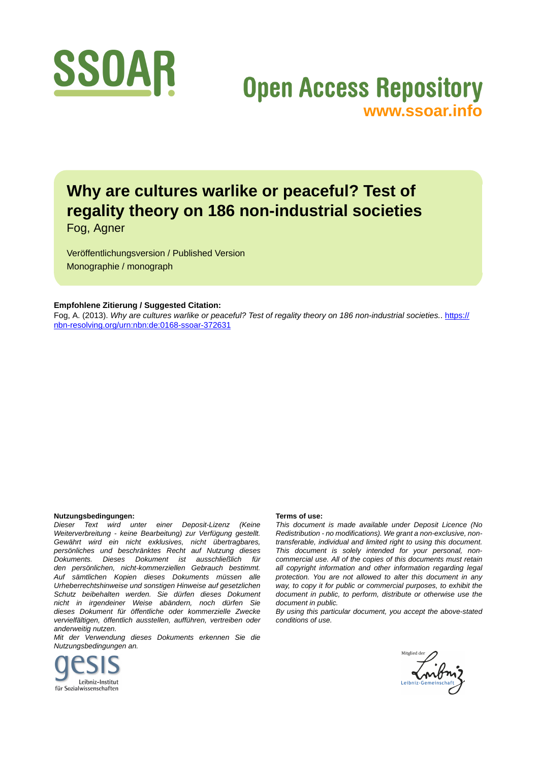

# **Open Access Repository [www.ssoar.info](http://www.ssoar.info)**

# **Why are cultures warlike or peaceful? Test of regality theory on 186 non-industrial societies**

Fog, Agner

Veröffentlichungsversion / Published Version Monographie / monograph

#### **Empfohlene Zitierung / Suggested Citation:**

Fog, A. (2013). *Why are cultures warlike or peaceful? Test of regality theory on 186 non-industrial societies.*. [https://](https://nbn-resolving.org/urn:nbn:de:0168-ssoar-372631) [nbn-resolving.org/urn:nbn:de:0168-ssoar-372631](https://nbn-resolving.org/urn:nbn:de:0168-ssoar-372631)

#### **Nutzungsbedingungen:**

*Dieser Text wird unter einer Deposit-Lizenz (Keine Weiterverbreitung - keine Bearbeitung) zur Verfügung gestellt. Gewährt wird ein nicht exklusives, nicht übertragbares, persönliches und beschränktes Recht auf Nutzung dieses Dokuments. Dieses Dokument ist ausschließlich für den persönlichen, nicht-kommerziellen Gebrauch bestimmt. Auf sämtlichen Kopien dieses Dokuments müssen alle Urheberrechtshinweise und sonstigen Hinweise auf gesetzlichen Schutz beibehalten werden. Sie dürfen dieses Dokument nicht in irgendeiner Weise abändern, noch dürfen Sie dieses Dokument für öffentliche oder kommerzielle Zwecke vervielfältigen, öffentlich ausstellen, aufführen, vertreiben oder anderweitig nutzen.*

*Mit der Verwendung dieses Dokuments erkennen Sie die Nutzungsbedingungen an.*



#### **Terms of use:**

*This document is made available under Deposit Licence (No Redistribution - no modifications). We grant a non-exclusive, nontransferable, individual and limited right to using this document. This document is solely intended for your personal, noncommercial use. All of the copies of this documents must retain all copyright information and other information regarding legal protection. You are not allowed to alter this document in any way, to copy it for public or commercial purposes, to exhibit the document in public, to perform, distribute or otherwise use the document in public.*

*By using this particular document, you accept the above-stated conditions of use.*

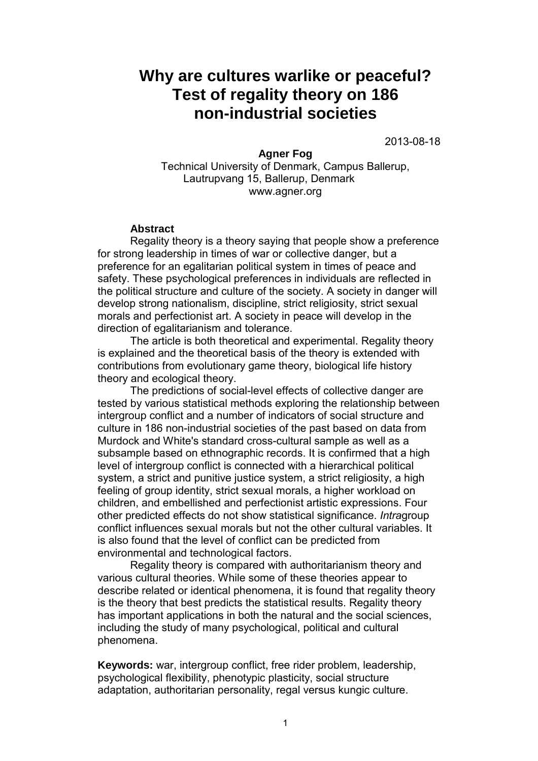# **Why are cultures warlike or peaceful? Test of regality theory on 186 non-industrial societies**

2013-08-18

**Agner Fog** 

Technical University of Denmark, Campus Ballerup, Lautrupvang 15, Ballerup, Denmark www.agner.org

#### **Abstract**

Regality theory is a theory saying that people show a preference for strong leadership in times of war or collective danger, but a preference for an egalitarian political system in times of peace and safety. These psychological preferences in individuals are reflected in the political structure and culture of the society. A society in danger will develop strong nationalism, discipline, strict religiosity, strict sexual morals and perfectionist art. A society in peace will develop in the direction of egalitarianism and tolerance.

The article is both theoretical and experimental. Regality theory is explained and the theoretical basis of the theory is extended with contributions from evolutionary game theory, biological life history theory and ecological theory.

The predictions of social-level effects of collective danger are tested by various statistical methods exploring the relationship between intergroup conflict and a number of indicators of social structure and culture in 186 non-industrial societies of the past based on data from Murdock and White's standard cross-cultural sample as well as a subsample based on ethnographic records. It is confirmed that a high level of intergroup conflict is connected with a hierarchical political system, a strict and punitive justice system, a strict religiosity, a high feeling of group identity, strict sexual morals, a higher workload on children, and embellished and perfectionist artistic expressions. Four other predicted effects do not show statistical significance. *Intra*group conflict influences sexual morals but not the other cultural variables. It is also found that the level of conflict can be predicted from environmental and technological factors.

Regality theory is compared with authoritarianism theory and various cultural theories. While some of these theories appear to describe related or identical phenomena, it is found that regality theory is the theory that best predicts the statistical results. Regality theory has important applications in both the natural and the social sciences, including the study of many psychological, political and cultural phenomena.

**Keywords:** war, intergroup conflict, free rider problem, leadership, psychological flexibility, phenotypic plasticity, social structure adaptation, authoritarian personality, regal versus kungic culture.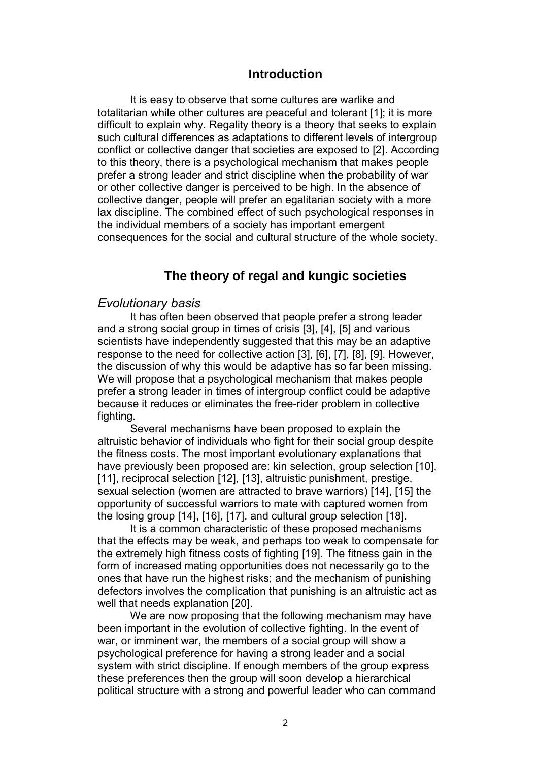# **Introduction**

It is easy to observe that some cultures are warlike and totalitarian while other cultures are peaceful and tolerant [[1\]](#page-67-0); it is more difficult to explain why. Regality theory is a theory that seeks to explain such cultural differences as adaptations to different levels of intergroup conflict or collective danger that societies are exposed to [\[2\]](#page-67-0). According to this theory, there is a psychological mechanism that makes people prefer a strong leader and strict discipline when the probability of war or other collective danger is perceived to be high. In the absence of collective danger, people will prefer an egalitarian society with a more lax discipline. The combined effect of such psychological responses in the individual members of a society has important emergent consequences for the social and cultural structure of the whole society.

## **The theory of regal and kungic societies**

#### *Evolutionary basis*

It has often been observed that people prefer a strong leader and a strong social group in times of crisis [\[3\]](#page-67-0), [\[4\]](#page-67-0), [\[5\]](#page-67-0) and various scientists have independently suggested that this may be an adaptive response to the need for collective action [\[3\]](#page-67-0), [[6\]](#page-67-0), [\[7\]](#page-67-0), [\[8\]](#page-67-0), [[9\]](#page-67-0). However, the discussion of why this would be adaptive has so far been missing. We will propose that a psychological mechanism that makes people prefer a strong leader in times of intergroup conflict could be adaptive because it reduces or eliminates the free-rider problem in collective fighting.

Several mechanisms have been proposed to explain the altruistic behavior of individuals who fight for their social group despite the fitness costs. The most important evolutionary explanations that have previously been proposed are: kin selection, group selection [\[10\]](#page-67-0), [\[11\]](#page-67-0), reciprocal selection [\[12\]](#page-67-0), [\[13\]](#page-67-0), altruistic punishment, prestige, sexual selection (women are attracted to brave warriors) [\[14\]](#page-68-0), [\[15\]](#page-68-0) the opportunity of successful warriors to mate with captured women from the losing group [\[14\]](#page-68-0), [\[16\]](#page-68-0), [\[17\]](#page-68-0), and cultural group selection [\[18\]](#page-68-0).

It is a common characteristic of these proposed mechanisms that the effects may be weak, and perhaps too weak to compensate for the extremely high fitness costs of fighting [\[19\]](#page-68-0). The fitness gain in the form of increased mating opportunities does not necessarily go to the ones that have run the highest risks; and the mechanism of punishing defectors involves the complication that punishing is an altruistic act as well that needs explanation [\[20\]](#page-68-0).

We are now proposing that the following mechanism may have been important in the evolution of collective fighting. In the event of war, or imminent war, the members of a social group will show a psychological preference for having a strong leader and a social system with strict discipline. If enough members of the group express these preferences then the group will soon develop a hierarchical political structure with a strong and powerful leader who can command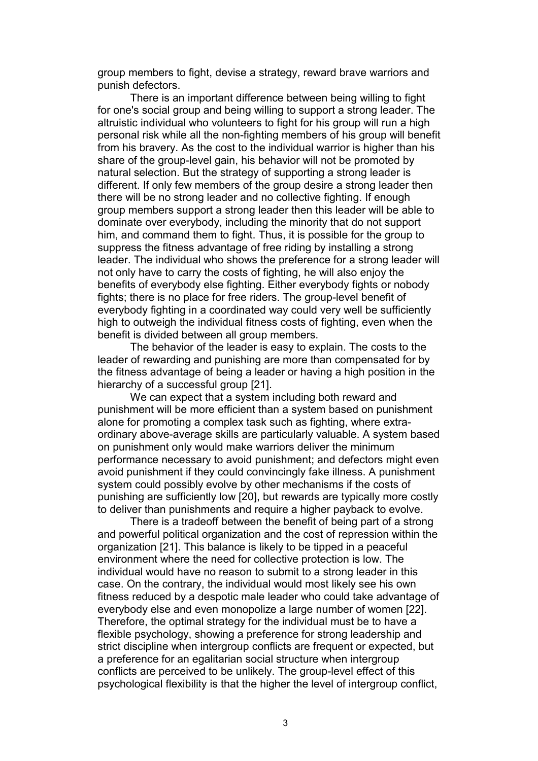group members to fight, devise a strategy, reward brave warriors and punish defectors.

There is an important difference between being willing to fight for one's social group and being willing to support a strong leader. The altruistic individual who volunteers to fight for his group will run a high personal risk while all the non-fighting members of his group will benefit from his bravery. As the cost to the individual warrior is higher than his share of the group-level gain, his behavior will not be promoted by natural selection. But the strategy of supporting a strong leader is different. If only few members of the group desire a strong leader then there will be no strong leader and no collective fighting. If enough group members support a strong leader then this leader will be able to dominate over everybody, including the minority that do not support him, and command them to fight. Thus, it is possible for the group to suppress the fitness advantage of free riding by installing a strong leader. The individual who shows the preference for a strong leader will not only have to carry the costs of fighting, he will also enjoy the benefits of everybody else fighting. Either everybody fights or nobody fights; there is no place for free riders. The group-level benefit of everybody fighting in a coordinated way could very well be sufficiently high to outweigh the individual fitness costs of fighting, even when the benefit is divided between all group members.

The behavior of the leader is easy to explain. The costs to the leader of rewarding and punishing are more than compensated for by the fitness advantage of being a leader or having a high position in the hierarchy of a successful group [\[21\]](#page-68-0).

We can expect that a system including both reward and punishment will be more efficient than a system based on punishment alone for promoting a complex task such as fighting, where extraordinary above-average skills are particularly valuable. A system based on punishment only would make warriors deliver the minimum performance necessary to avoid punishment; and defectors might even avoid punishment if they could convincingly fake illness. A punishment system could possibly evolve by other mechanisms if the costs of punishing are sufficiently low [\[20\]](#page-68-0), but rewards are typically more costly to deliver than punishments and require a higher payback to evolve.

There is a tradeoff between the benefit of being part of a strong and powerful political organization and the cost of repression within the organization [\[21\]](#page-68-0). This balance is likely to be tipped in a peaceful environment where the need for collective protection is low. The individual would have no reason to submit to a strong leader in this case. On the contrary, the individual would most likely see his own fitness reduced by a despotic male leader who could take advantage of everybody else and even monopolize a large number of women [\[22\]](#page-68-0). Therefore, the optimal strategy for the individual must be to have a flexible psychology, showing a preference for strong leadership and strict discipline when intergroup conflicts are frequent or expected, but a preference for an egalitarian social structure when intergroup conflicts are perceived to be unlikely. The group-level effect of this psychological flexibility is that the higher the level of intergroup conflict,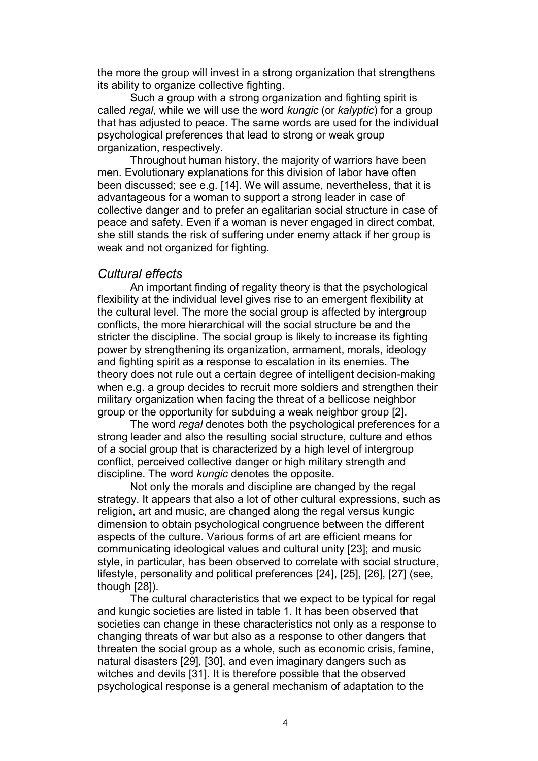the more the group will invest in a strong organization that strengthens its ability to organize collective fighting.

Such a group with a strong organization and fighting spirit is called *regal*, while we will use the word *kungic* (or *kalyptic*) for a group that has adjusted to peace. The same words are used for the individual psychological preferences that lead to strong or weak group organization, respectively.

Throughout human history, the majority of warriors have been men. Evolutionary explanations for this division of labor have often been discussed; see e.g. [\[14\]](#page-68-0). We will assume, nevertheless, that it is advantageous for a woman to support a strong leader in case of collective danger and to prefer an egalitarian social structure in case of peace and safety. Even if a woman is never engaged in direct combat, she still stands the risk of suffering under enemy attack if her group is weak and not organized for fighting.

#### *Cultural effects*

An important finding of regality theory is that the psychological flexibility at the individual level gives rise to an emergent flexibility at the cultural level. The more the social group is affected by intergroup conflicts, the more hierarchical will the social structure be and the stricter the discipline. The social group is likely to increase its fighting power by strengthening its organization, armament, morals, ideology and fighting spirit as a response to escalation in its enemies. The theory does not rule out a certain degree of intelligent decision-making when e.g. a group decides to recruit more soldiers and strengthen their military organization when facing the threat of a bellicose neighbor group or the opportunity for subduing a weak neighbor group [[2\]](#page-67-0).

The word *regal* denotes both the psychological preferences for a strong leader and also the resulting social structure, culture and ethos of a social group that is characterized by a high level of intergroup conflict, perceived collective danger or high military strength and discipline. The word *kungic* denotes the opposite.

Not only the morals and discipline are changed by the regal strategy. It appears that also a lot of other cultural expressions, such as religion, art and music, are changed along the regal versus kungic dimension to obtain psychological congruence between the different aspects of the culture. Various forms of art are efficient means for communicating ideological values and cultural unity [\[23\]](#page-68-0); and music style, in particular, has been observed to correlate with social structure, lifestyle, personality and political preferences [[24\]](#page-68-0), [\[25\]](#page-68-0), [\[26\]](#page-68-0), [\[27\]](#page-68-0) (see, though [\[28\]](#page-68-0)).

The cultural characteristics that we expect to be typical for regal and kungic societies are listed in table 1. It has been observed that societies can change in these characteristics not only as a response to changing threats of war but also as a response to other dangers that threaten the social group as a whole, such as economic crisis, famine, natural disasters [\[29\]](#page-68-0), [\[30\]](#page-69-0), and even imaginary dangers such as witches and devils [\[31\]](#page-69-0). It is therefore possible that the observed psychological response is a general mechanism of adaptation to the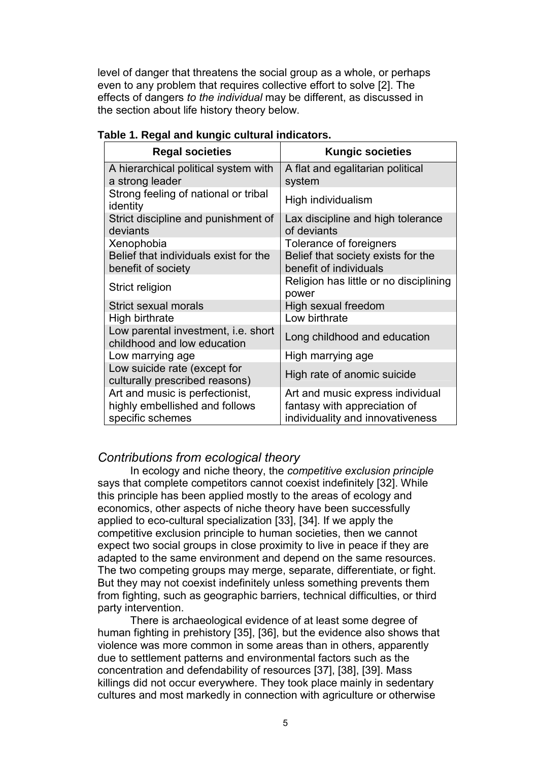<span id="page-5-0"></span>level of danger that threatens the social group as a whole, or perhaps even to any problem that requires collective effort to solve [\[2\]](#page-67-0). The effects of dangers *to the individual* may be different, as discussed in the section about life history theory [below.](#page-6-0)

| <b>Regal societies</b>                                                                | <b>Kungic societies</b>                                                                              |  |  |  |  |  |
|---------------------------------------------------------------------------------------|------------------------------------------------------------------------------------------------------|--|--|--|--|--|
| A hierarchical political system with                                                  | A flat and egalitarian political                                                                     |  |  |  |  |  |
| a strong leader                                                                       | system                                                                                               |  |  |  |  |  |
| Strong feeling of national or tribal<br>identity                                      | High individualism                                                                                   |  |  |  |  |  |
| Strict discipline and punishment of<br>deviants                                       | Lax discipline and high tolerance<br>of deviants                                                     |  |  |  |  |  |
| Xenophobia                                                                            | <b>Tolerance of foreigners</b>                                                                       |  |  |  |  |  |
| Belief that individuals exist for the<br>benefit of society                           | Belief that society exists for the<br>benefit of individuals                                         |  |  |  |  |  |
| Strict religion                                                                       | Religion has little or no disciplining<br>power                                                      |  |  |  |  |  |
| <b>Strict sexual morals</b>                                                           | High sexual freedom                                                                                  |  |  |  |  |  |
| High birthrate                                                                        | Low birthrate                                                                                        |  |  |  |  |  |
| Low parental investment, i.e. short<br>childhood and low education                    | Long childhood and education                                                                         |  |  |  |  |  |
| Low marrying age                                                                      | High marrying age                                                                                    |  |  |  |  |  |
| Low suicide rate (except for<br>culturally prescribed reasons)                        | High rate of anomic suicide                                                                          |  |  |  |  |  |
| Art and music is perfectionist,<br>highly embellished and follows<br>specific schemes | Art and music express individual<br>fantasy with appreciation of<br>individuality and innovativeness |  |  |  |  |  |

#### **Table 1. Regal and kungic cultural indicators.**

# *Contributions from ecological theory*

In ecology and niche theory, the *competitive exclusion principle* says that complete competitors cannot coexist indefinitely [\[32\]](#page-69-0). While this principle has been applied mostly to the areas of ecology and economics, other aspects of niche theory have been successfully applied to eco-cultural specialization [\[33\]](#page-69-0), [\[34\]](#page-69-0). If we apply the competitive exclusion principle to human societies, then we cannot expect two social groups in close proximity to live in peace if they are adapted to the same environment and depend on the same resources. The two competing groups may merge, separate, differentiate, or fight. But they may not coexist indefinitely unless something prevents them from fighting, such as geographic barriers, technical difficulties, or third party intervention.

There is archaeological evidence of at least some degree of human fighting in prehistory [\[35\]](#page-69-0), [\[36\]](#page-69-0), but the evidence also shows that violence was more common in some areas than in others, apparently due to settlement patterns and environmental factors such as the concentration and defendability of resources [\[37\]](#page-69-0), [\[38\]](#page-69-0), [\[39\]](#page-69-0). Mass killings did not occur everywhere. They took place mainly in sedentary cultures and most markedly in connection with agriculture or otherwise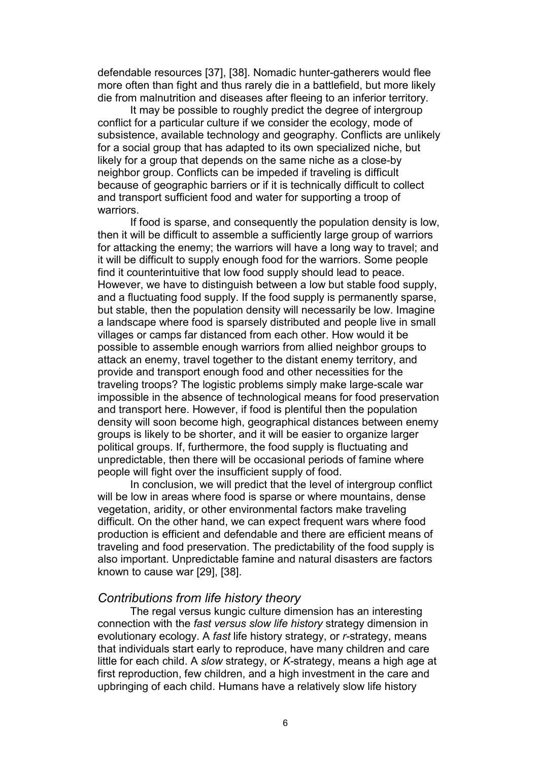<span id="page-6-0"></span>defendable resources [\[37\]](#page-69-0), [\[38\]](#page-69-0). Nomadic hunter-gatherers would flee more often than fight and thus rarely die in a battlefield, but more likely die from malnutrition and diseases after fleeing to an inferior territory.

It may be possible to roughly predict the degree of intergroup conflict for a particular culture if we consider the ecology, mode of subsistence, available technology and geography. Conflicts are unlikely for a social group that has adapted to its own specialized niche, but likely for a group that depends on the same niche as a close-by neighbor group. Conflicts can be impeded if traveling is difficult because of geographic barriers or if it is technically difficult to collect and transport sufficient food and water for supporting a troop of warriors.

If food is sparse, and consequently the population density is low, then it will be difficult to assemble a sufficiently large group of warriors for attacking the enemy; the warriors will have a long way to travel; and it will be difficult to supply enough food for the warriors. Some people find it counterintuitive that low food supply should lead to peace. However, we have to distinguish between a low but stable food supply, and a fluctuating food supply. If the food supply is permanently sparse, but stable, then the population density will necessarily be low. Imagine a landscape where food is sparsely distributed and people live in small villages or camps far distanced from each other. How would it be possible to assemble enough warriors from allied neighbor groups to attack an enemy, travel together to the distant enemy territory, and provide and transport enough food and other necessities for the traveling troops? The logistic problems simply make large-scale war impossible in the absence of technological means for food preservation and transport here. However, if food is plentiful then the population density will soon become high, geographical distances between enemy groups is likely to be shorter, and it will be easier to organize larger political groups. If, furthermore, the food supply is fluctuating and unpredictable, then there will be occasional periods of famine where people will fight over the insufficient supply of food.

In conclusion, we will predict that the level of intergroup conflict will be low in areas where food is sparse or where mountains, dense vegetation, aridity, or other environmental factors make traveling difficult. On the other hand, we can expect frequent wars where food production is efficient and defendable and there are efficient means of traveling and food preservation. The predictability of the food supply is also important. Unpredictable famine and natural disasters are factors known to cause war [\[29\]](#page-68-0), [\[38\]](#page-69-0).

#### *Contributions from life history theory*

The regal versus kungic culture dimension has an interesting connection with the *fast versus slow life history* strategy dimension in evolutionary ecology. A *fast* life history strategy, or *r-*strategy, means that individuals start early to reproduce, have many children and care little for each child. A *slow* strategy, or *K-*strategy, means a high age at first reproduction, few children, and a high investment in the care and upbringing of each child. Humans have a relatively slow life history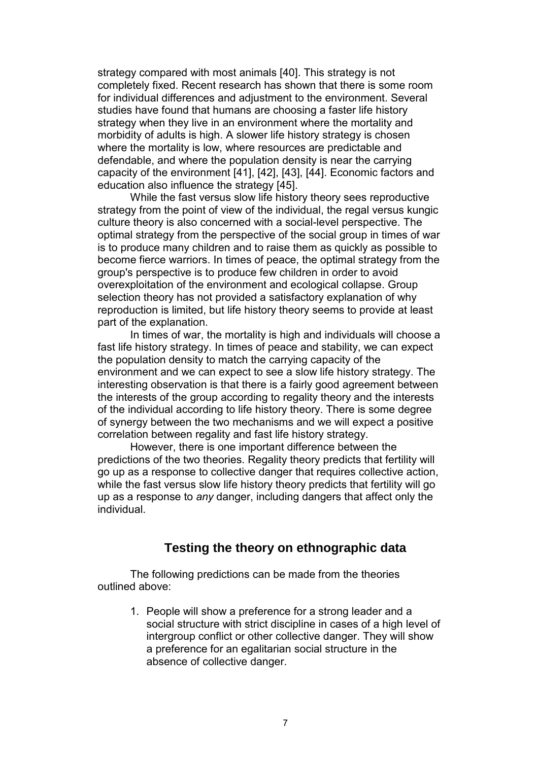strategy compared with most animals [\[40\]](#page-69-0). This strategy is not completely fixed. Recent research has shown that there is some room for individual differences and adjustment to the environment. Several studies have found that humans are choosing a faster life history strategy when they live in an environment where the mortality and morbidity of adults is high. A slower life history strategy is chosen where the mortality is low, where resources are predictable and defendable, and where the population density is near the carrying capacity of the environment [\[41\]](#page-69-0), [\[42\]](#page-69-0), [\[43\]](#page-69-0), [\[44\]](#page-69-0). Economic factors and education also influence the strategy [\[45\]](#page-69-0).

While the fast versus slow life history theory sees reproductive strategy from the point of view of the individual, the regal versus kungic culture theory is also concerned with a social-level perspective. The optimal strategy from the perspective of the social group in times of war is to produce many children and to raise them as quickly as possible to become fierce warriors. In times of peace, the optimal strategy from the group's perspective is to produce few children in order to avoid overexploitation of the environment and ecological collapse. Group selection theory has not provided a satisfactory explanation of why reproduction is limited, but life history theory seems to provide at least part of the explanation.

In times of war, the mortality is high and individuals will choose a fast life history strategy. In times of peace and stability, we can expect the population density to match the carrying capacity of the environment and we can expect to see a slow life history strategy. The interesting observation is that there is a fairly good agreement between the interests of the group according to regality theory and the interests of the individual according to life history theory. There is some degree of synergy between the two mechanisms and we will expect a positive correlation between regality and fast life history strategy.

However, there is one important difference between the predictions of the two theories. Regality theory predicts that fertility will go up as a response to collective danger that requires collective action, while the fast versus slow life history theory predicts that fertility will go up as a response to *any* danger, including dangers that affect only the individual.

## **Testing the theory on ethnographic data**

The following predictions can be made from the theories outlined above:

> 1. People will show a preference for a strong leader and a social structure with strict discipline in cases of a high level of intergroup conflict or other collective danger. They will show a preference for an egalitarian social structure in the absence of collective danger.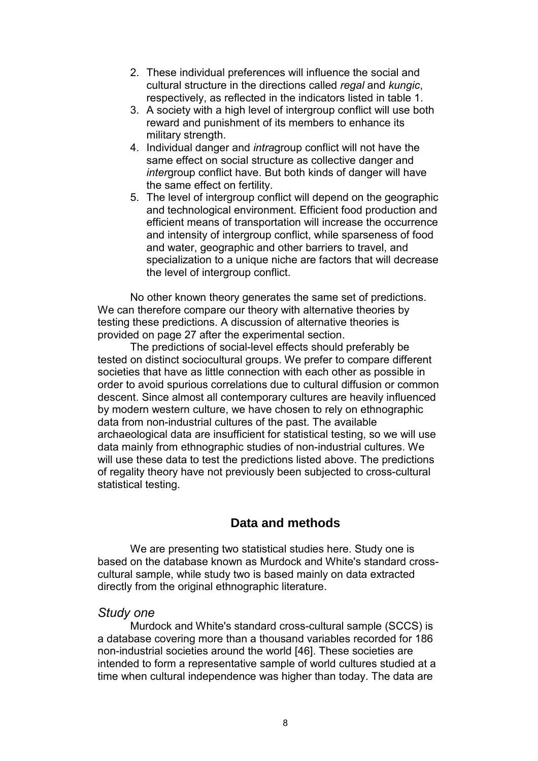- 2. These individual preferences will influence the social and cultural structure in the directions called *regal* and *kungic*, respectively, as reflected in the indicators listed in table 1.
- 3. A society with a high level of intergroup conflict will use both reward and punishment of its members to enhance its military strength.
- 4. Individual danger and *intra*group conflict will not have the same effect on social structure as collective danger and *inter*group conflict have. But both kinds of danger will have the same effect on fertility.
- 5. The level of intergroup conflict will depend on the geographic and technological environment. Efficient food production and efficient means of transportation will increase the occurrence and intensity of intergroup conflict, while sparseness of food and water, geographic and other barriers to travel, and specialization to a unique niche are factors that will decrease the level of intergroup conflict.

No other known theory generates the same set of predictions. We can therefore compare our theory with alternative theories by testing these predictions. A discussion of alternative theories is provided on page [27](#page-27-0) after the experimental section.

The predictions of social-level effects should preferably be tested on distinct sociocultural groups. We prefer to compare different societies that have as little connection with each other as possible in order to avoid spurious correlations due to cultural diffusion or common descent. Since almost all contemporary cultures are heavily influenced by modern western culture, we have chosen to rely on ethnographic data from non-industrial cultures of the past. The available archaeological data are insufficient for statistical testing, so we will use data mainly from ethnographic studies of non-industrial cultures. We will use these data to test the predictions listed above. The predictions of regality theory have not previously been subjected to cross-cultural statistical testing.

# **Data and methods**

We are presenting two statistical studies here. Study one is based on the database known as Murdock and White's standard crosscultural sample, while study two is based mainly on data extracted directly from the original ethnographic literature.

# *Study one*

Murdock and White's standard cross-cultural sample (SCCS) is a database covering more than a thousand variables recorded for 186 non-industrial societies around the world [\[46\]](#page-70-0). These societies are intended to form a representative sample of world cultures studied at a time when cultural independence was higher than today. The data are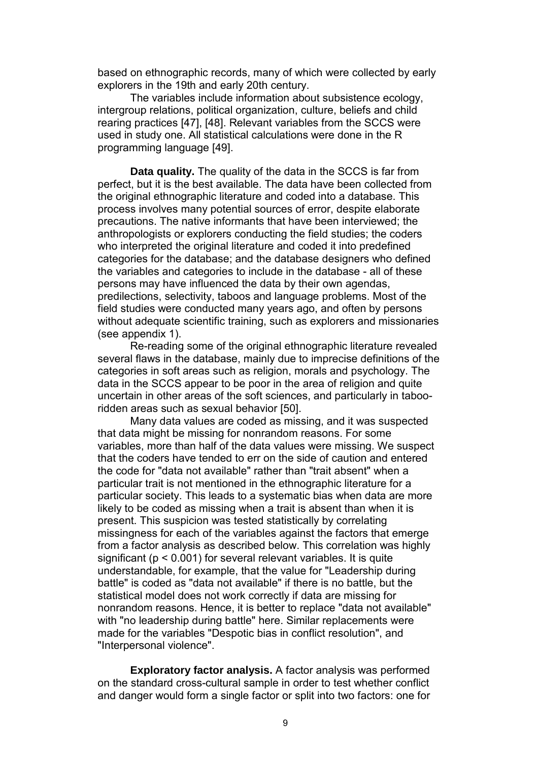based on ethnographic records, many of which were collected by early explorers in the 19th and early 20th century.

The variables include information about subsistence ecology, intergroup relations, political organization, culture, beliefs and child rearing practices [\[47\]](#page-70-0), [\[48\]](#page-70-0). Relevant variables from the SCCS were used in study one. All statistical calculations were done in the R programming language [\[49\]](#page-70-0).

**Data quality.** The quality of the data in the SCCS is far from perfect, but it is the best available. The data have been collected from the original ethnographic literature and coded into a database. This process involves many potential sources of error, despite elaborate precautions. The native informants that have been interviewed; the anthropologists or explorers conducting the field studies; the coders who interpreted the original literature and coded it into predefined categories for the database; and the database designers who defined the variables and categories to include in the database - all of these persons may have influenced the data by their own agendas, predilections, selectivity, taboos and language problems. Most of the field studies were conducted many years ago, and often by persons without adequate scientific training, such as explorers and missionaries (see appendix 1).

Re-reading some of the original ethnographic literature revealed several flaws in the database, mainly due to imprecise definitions of the categories in soft areas such as religion, morals and psychology. The data in the SCCS appear to be poor in the area of religion and quite uncertain in other areas of the soft sciences, and particularly in tabooridden areas such as sexual behavior [\[50\]](#page-70-0).

Many data values are coded as missing, and it was suspected that data might be missing for nonrandom reasons. For some variables, more than half of the data values were missing. We suspect that the coders have tended to err on the side of caution and entered the code for "data not available" rather than "trait absent" when a particular trait is not mentioned in the ethnographic literature for a particular society. This leads to a systematic bias when data are more likely to be coded as missing when a trait is absent than when it is present. This suspicion was tested statistically by correlating missingness for each of the variables against the factors that emerge from a factor analysis as described below. This correlation was highly significant (p < 0.001) for several relevant variables. It is quite understandable, for example, that the value for "Leadership during battle" is coded as "data not available" if there is no battle, but the statistical model does not work correctly if data are missing for nonrandom reasons. Hence, it is better to replace "data not available" with "no leadership during battle" here. Similar replacements were made for the variables "Despotic bias in conflict resolution", and "Interpersonal violence".

**Exploratory factor analysis.** A factor analysis was performed on the standard cross-cultural sample in order to test whether conflict and danger would form a single factor or split into two factors: one for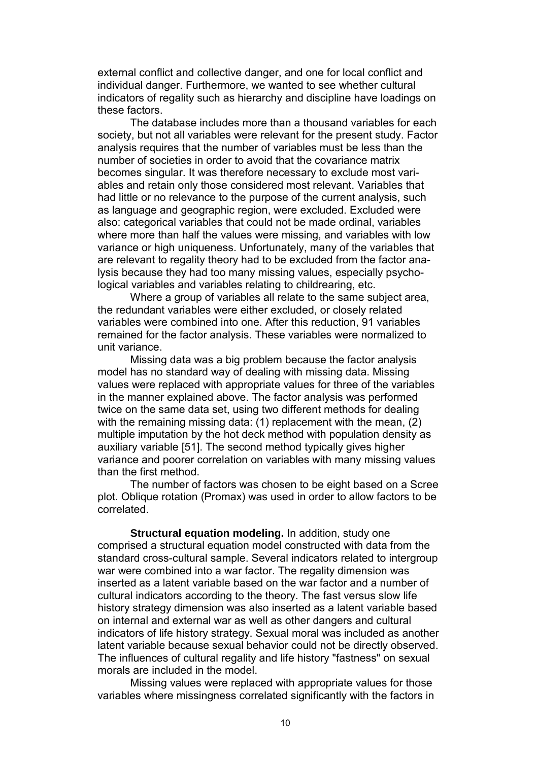external conflict and collective danger, and one for local conflict and individual danger. Furthermore, we wanted to see whether cultural indicators of regality such as hierarchy and discipline have loadings on these factors.

The database includes more than a thousand variables for each society, but not all variables were relevant for the present study. Factor analysis requires that the number of variables must be less than the number of societies in order to avoid that the covariance matrix becomes singular. It was therefore necessary to exclude most variables and retain only those considered most relevant. Variables that had little or no relevance to the purpose of the current analysis, such as language and geographic region, were excluded. Excluded were also: categorical variables that could not be made ordinal, variables where more than half the values were missing, and variables with low variance or high uniqueness. Unfortunately, many of the variables that are relevant to regality theory had to be excluded from the factor analysis because they had too many missing values, especially psychological variables and variables relating to childrearing, etc.

Where a group of variables all relate to the same subject area, the redundant variables were either excluded, or closely related variables were combined into one. After this reduction, 91 variables remained for the factor analysis. These variables were normalized to unit variance.

Missing data was a big problem because the factor analysis model has no standard way of dealing with missing data. Missing values were replaced with appropriate values for three of the variables in the manner explained above. The factor analysis was performed twice on the same data set, using two different methods for dealing with the remaining missing data: (1) replacement with the mean, (2) multiple imputation by the hot deck method with population density as auxiliary variable [\[51\]](#page-70-0). The second method typically gives higher variance and poorer correlation on variables with many missing values than the first method.

The number of factors was chosen to be eight based on a Scree plot. Oblique rotation (Promax) was used in order to allow factors to be correlated.

**Structural equation modeling.** In addition, study one comprised a structural equation model constructed with data from the standard cross-cultural sample. Several indicators related to intergroup war were combined into a war factor. The regality dimension was inserted as a latent variable based on the war factor and a number of cultural indicators according to the theory. The fast versus slow life history strategy dimension was also inserted as a latent variable based on internal and external war as well as other dangers and cultural indicators of life history strategy. Sexual moral was included as another latent variable because sexual behavior could not be directly observed. The influences of cultural regality and life history "fastness" on sexual morals are included in the model.

Missing values were replaced with appropriate values for those variables where missingness correlated significantly with the factors in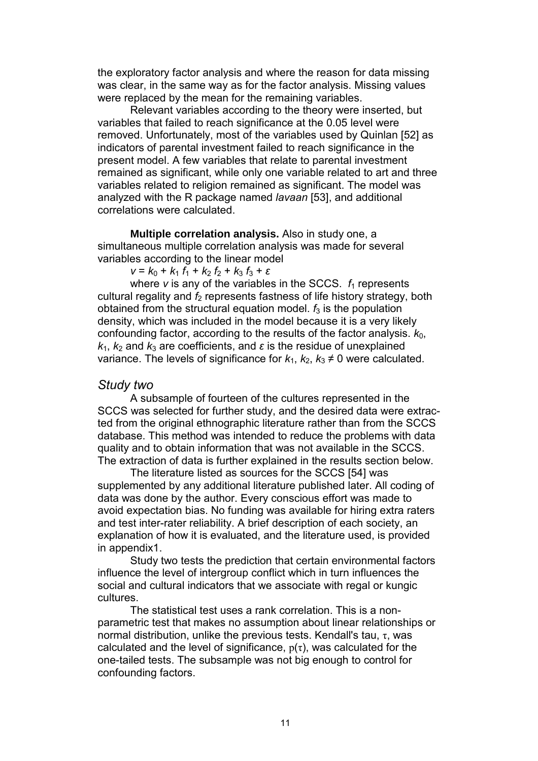the exploratory factor analysis and where the reason for data missing was clear, in the same way as for the factor analysis. Missing values were replaced by the mean for the remaining variables.

Relevant variables according to the theory were inserted, but variables that failed to reach significance at the 0.05 level were removed. Unfortunately, most of the variables used by Quinlan [\[52\]](#page-70-0) as indicators of parental investment failed to reach significance in the present model. A few variables that relate to parental investment remained as significant, while only one variable related to art and three variables related to religion remained as significant. The model was analyzed with the R package named *lavaan* [[53\]](#page-70-0), and additional correlations were calculated.

**Multiple correlation analysis.** Also in study one, a simultaneous multiple correlation analysis was made for several variables according to the linear model

 $v = k_0 + k_1 f_1 + k_2 f_2 + k_3 f_3 + \varepsilon$ 

where  $v$  is any of the variables in the SCCS.  $f_1$  represents cultural regality and  $f_2$  represents fastness of life history strategy, both obtained from the structural equation model.  $f_3$  is the population density, which was included in the model because it is a very likely confounding factor, according to the results of the factor analysis.  $k<sub>0</sub>$ ,  $k_1$ ,  $k_2$  and  $k_3$  are coefficients, and *ε* is the residue of unexplained variance. The levels of significance for  $k_1$ ,  $k_2$ ,  $k_3 \neq 0$  were calculated.

### *Study two*

A subsample of fourteen of the cultures represented in the SCCS was selected for further study, and the desired data were extracted from the original ethnographic literature rather than from the SCCS database. This method was intended to reduce the problems with data quality and to obtain information that was not available in the SCCS. The extraction of data is further explained in the results section below.

The literature listed as sources for the SCCS [\[54\]](#page-70-0) was supplemented by any additional literature published later. All coding of data was done by the author. Every conscious effort was made to avoid expectation bias. No funding was available for hiring extra raters and test inter-rater reliability. A brief description of each society, an explanation of how it is evaluated, and the literature used, is provided in appendix1.

Study two tests the prediction that certain environmental factors influence the level of intergroup conflict which in turn influences the social and cultural indicators that we associate with regal or kungic cultures.

The statistical test uses a rank correlation. This is a nonparametric test that makes no assumption about linear relationships or normal distribution, unlike the previous tests. Kendall's tau,  $τ$ , was calculated and the level of significance,  $p(\tau)$ , was calculated for the one-tailed tests. The subsample was not big enough to control for confounding factors.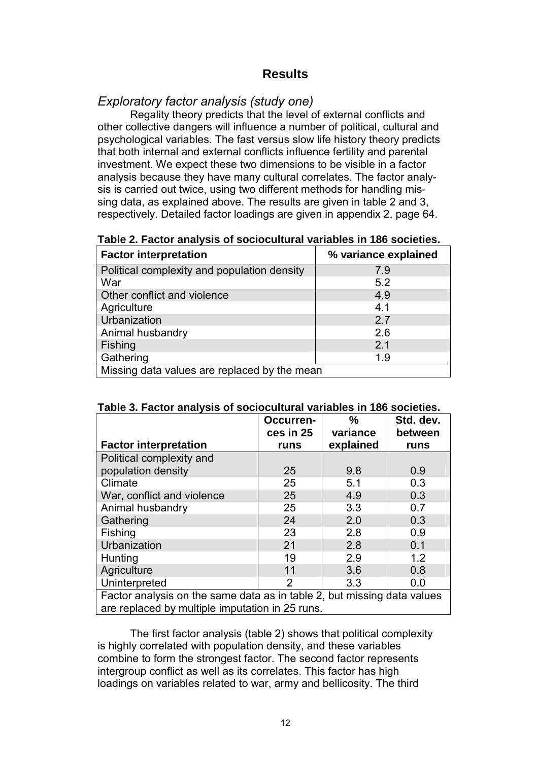# **Results**

# *Exploratory factor analysis (study one)*

Regality theory predicts that the level of external conflicts and other collective dangers will influence a number of political, cultural and psychological variables. The fast versus slow life history theory predicts that both internal and external conflicts influence fertility and parental investment. We expect these two dimensions to be visible in a factor analysis because they have many cultural correlates. The factor analysis is carried out twice, using two different methods for handling missing data, as explained above. The results are given in table 2 and 3, respectively. Detailed factor loadings are given in appendix 2, page [64.](#page-64-0)

#### **Table 2. Factor analysis of sociocultural variables in 186 societies.**

| <b>Factor interpretation</b>                 | % variance explained |
|----------------------------------------------|----------------------|
| Political complexity and population density  | 7.9                  |
| War                                          | 5.2                  |
| Other conflict and violence                  | 4.9                  |
| Agriculture                                  | 4.1                  |
| Urbanization                                 | 2.7                  |
| Animal husbandry                             | 2.6                  |
| Fishing                                      | 2.1                  |
| Gathering                                    | 1.9                  |
| Missing data values are replaced by the mean |                      |

|                                                                         | Occurren-<br>ces in 25 | $\frac{0}{0}$<br>variance | Std. dev.<br>between |  |  |  |  |  |
|-------------------------------------------------------------------------|------------------------|---------------------------|----------------------|--|--|--|--|--|
| <b>Factor interpretation</b>                                            | runs                   | explained                 | runs                 |  |  |  |  |  |
| Political complexity and                                                |                        |                           |                      |  |  |  |  |  |
| population density                                                      | 25                     | 9.8                       | 0.9                  |  |  |  |  |  |
| Climate                                                                 | 25                     | 5.1                       | 0.3                  |  |  |  |  |  |
| War, conflict and violence                                              | 25                     | 4.9                       | 0.3                  |  |  |  |  |  |
| Animal husbandry                                                        | 25                     | 3.3                       | 0.7                  |  |  |  |  |  |
| Gathering                                                               | 24                     | 2.0                       | 0.3                  |  |  |  |  |  |
| Fishing                                                                 | 23                     | 2.8                       | 0.9                  |  |  |  |  |  |
| Urbanization                                                            | 21                     | 2.8                       | 0.1                  |  |  |  |  |  |
| Hunting                                                                 | 19                     | 2.9                       | 1.2                  |  |  |  |  |  |
| Agriculture                                                             | 11                     | 3.6                       | 0.8                  |  |  |  |  |  |
| Uninterpreted                                                           | $\overline{2}$         | 3.3                       | 0.0                  |  |  |  |  |  |
| Factor analysis on the same data as in table 2, but missing data values |                        |                           |                      |  |  |  |  |  |
| are replaced by multiple imputation in 25 runs.                         |                        |                           |                      |  |  |  |  |  |

# **Table 3. Factor analysis of sociocultural variables in 186 societies.**

The first factor analysis (table 2) shows that political complexity is highly correlated with population density, and these variables combine to form the strongest factor. The second factor represents intergroup conflict as well as its correlates. This factor has high loadings on variables related to war, army and bellicosity. The third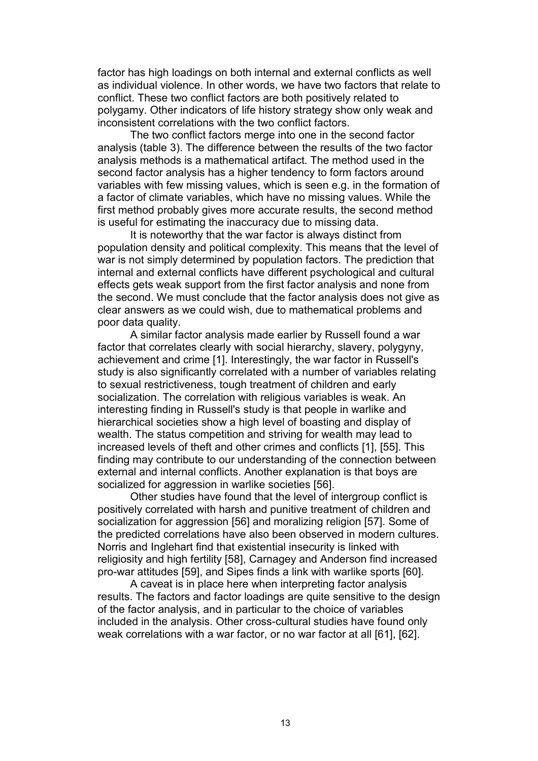factor has high loadings on both internal and external conflicts as well as individual violence. In other words, we have two factors that relate to conflict. These two conflict factors are both positively related to polygamy. Other indicators of life history strategy show only weak and inconsistent correlations with the two conflict factors.

The two conflict factors merge into one in the second factor analysis (table 3). The difference between the results of the two factor analysis methods is a mathematical artifact. The method used in the second factor analysis has a higher tendency to form factors around variables with few missing values, which is seen e.g. in the formation of a factor of climate variables, which have no missing values. While the first method probably gives more accurate results, the second method is useful for estimating the inaccuracy due to missing data.

It is noteworthy that the war factor is always distinct from population density and political complexity. This means that the level of war is not simply determined by population factors. The prediction that internal and external conflicts have different psychological and cultural effects gets weak support from the first factor analysis and none from the second. We must conclude that the factor analysis does not give as clear answers as we could wish, due to mathematical problems and poor data quality.

A similar factor analysis made earlier by Russell found a war factor that correlates clearly with social hierarchy, slavery, polygyny, achievement and crime [\[1\]](#page-67-0). Interestingly, the war factor in Russell's study is also significantly correlated with a number of variables relating to sexual restrictiveness, tough treatment of children and early socialization. The correlation with religious variables is weak. An interesting finding in Russell's study is that people in warlike and hierarchical societies show a high level of boasting and display of wealth. The status competition and striving for wealth may lead to increased levels of theft and other crimes and conflicts [\[1\]](#page-67-0), [\[55\]](#page-70-0). This finding may contribute to our understanding of the connection between external and internal conflicts. Another explanation is that boys are socialized for aggression in warlike societies [\[56\]](#page-70-0).

Other studies have found that the level of intergroup conflict is positively correlated with harsh and punitive treatment of children and socialization for aggression [\[56\]](#page-70-0) and moralizing religion [\[57\]](#page-70-0). Some of the predicted correlations have also been observed in modern cultures. Norris and Inglehart find that existential insecurity is linked with religiosity and high fertility [\[58\]](#page-70-0), Carnagey and Anderson find increased pro-war attitudes [\[59\]](#page-70-0), and Sipes finds a link with warlike sports [[60\]](#page-70-0).

A caveat is in place here when interpreting factor analysis results. The factors and factor loadings are quite sensitive to the design of the factor analysis, and in particular to the choice of variables included in the analysis. Other cross-cultural studies have found only weak correlations with a war factor, or no war factor at all [\[61\]](#page-70-0), [\[62\]](#page-71-0).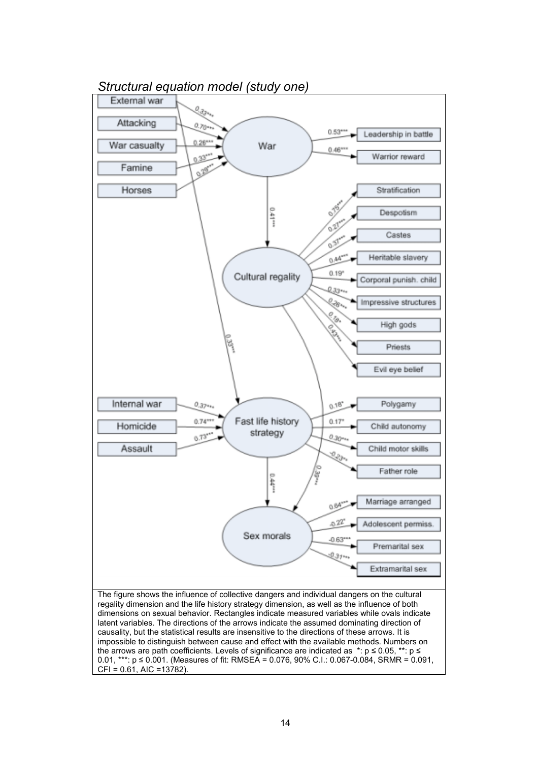

# *Structural equation model (study one)*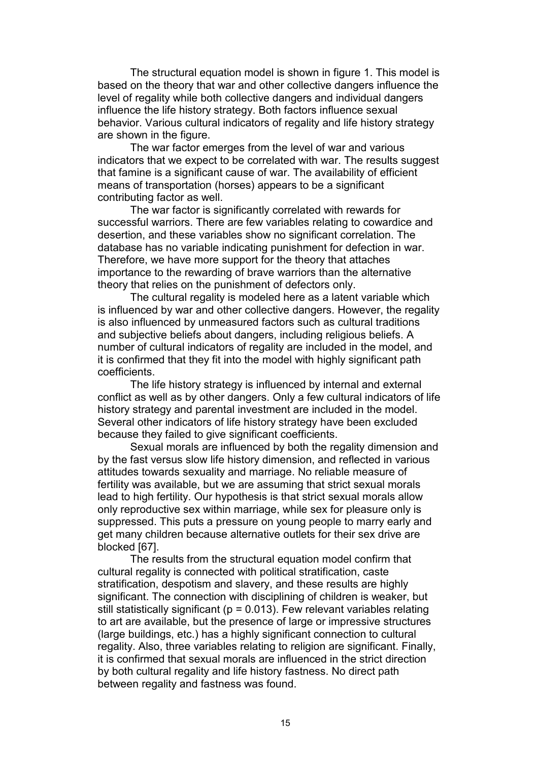The structural equation model is shown in figure 1. This model is based on the theory that war and other collective dangers influence the level of regality while both collective dangers and individual dangers influence the life history strategy. Both factors influence sexual behavior. Various cultural indicators of regality and life history strategy are shown in the figure.

The war factor emerges from the level of war and various indicators that we expect to be correlated with war. The results suggest that famine is a significant cause of war. The availability of efficient means of transportation (horses) appears to be a significant contributing factor as well.

The war factor is significantly correlated with rewards for successful warriors. There are few variables relating to cowardice and desertion, and these variables show no significant correlation. The database has no variable indicating punishment for defection in war. Therefore, we have more support for the theory that attaches importance to the rewarding of brave warriors than the alternative theory that relies on the punishment of defectors only.

The cultural regality is modeled here as a latent variable which is influenced by war and other collective dangers. However, the regality is also influenced by unmeasured factors such as cultural traditions and subjective beliefs about dangers, including religious beliefs. A number of cultural indicators of regality are included in the model, and it is confirmed that they fit into the model with highly significant path coefficients.

The life history strategy is influenced by internal and external conflict as well as by other dangers. Only a few cultural indicators of life history strategy and parental investment are included in the model. Several other indicators of life history strategy have been excluded because they failed to give significant coefficients.

Sexual morals are influenced by both the regality dimension and by the fast versus slow life history dimension, and reflected in various attitudes towards sexuality and marriage. No reliable measure of fertility was available, but we are assuming that strict sexual morals lead to high fertility. Our hypothesis is that strict sexual morals allow only reproductive sex within marriage, while sex for pleasure only is suppressed. This puts a pressure on young people to marry early and get many children because alternative outlets for their sex drive are blocked [\[67\]](#page-71-0).

The results from the structural equation model confirm that cultural regality is connected with political stratification, caste stratification, despotism and slavery, and these results are highly significant. The connection with disciplining of children is weaker, but still statistically significant ( $p = 0.013$ ). Few relevant variables relating to art are available, but the presence of large or impressive structures (large buildings, etc.) has a highly significant connection to cultural regality. Also, three variables relating to religion are significant. Finally, it is confirmed that sexual morals are influenced in the strict direction by both cultural regality and life history fastness. No direct path between regality and fastness was found.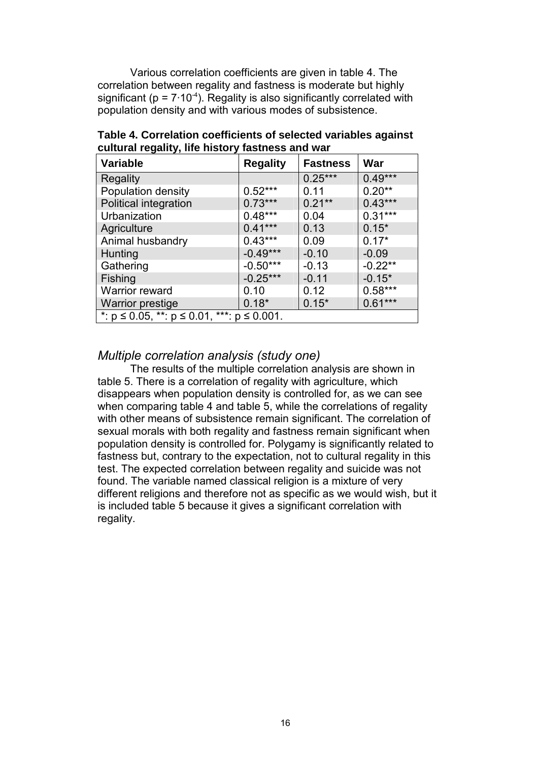Various correlation coefficients are given in table 4. The correlation between regality and fastness is moderate but highly significant ( $p = 7.10^{-4}$ ). Regality is also significantly correlated with population density and with various modes of subsistence.

| Variable                                                  | <b>Regality</b>      | <b>Fastness</b> | War       |  |  |  |  |  |  |
|-----------------------------------------------------------|----------------------|-----------------|-----------|--|--|--|--|--|--|
| <b>Regality</b>                                           |                      | $0.25***$       | $0.49***$ |  |  |  |  |  |  |
| Population density                                        | $0.52***$            | 0.11            | $0.20**$  |  |  |  |  |  |  |
| <b>Political integration</b>                              | $0.73***$            | $0.21***$       | $0.43***$ |  |  |  |  |  |  |
| Urbanization                                              | $0.48***$            | 0.04            | $0.31***$ |  |  |  |  |  |  |
| Agriculture                                               | $0.41***$            | 0.13            | $0.15*$   |  |  |  |  |  |  |
| Animal husbandry                                          | $0.43***$            | 0.09            | $0.17*$   |  |  |  |  |  |  |
| Hunting                                                   | $-0.49***$           | $-0.10$         | $-0.09$   |  |  |  |  |  |  |
| Gathering                                                 | $-0.50***$           | $-0.13$         | $-0.22**$ |  |  |  |  |  |  |
| Fishing                                                   | $-0.25***$           | $-0.11$         | $-0.15*$  |  |  |  |  |  |  |
| Warrior reward                                            | 0.10                 | 0.12            | $0.58***$ |  |  |  |  |  |  |
| <b>Warrior prestige</b>                                   | $0.18*$              | $0.15*$         | $0.61***$ |  |  |  |  |  |  |
| $\overline{\cdot}$ p ≤ 0.05, $\overline{\cdot}$ p ≤ 0.01, | ***: $p \le 0.001$ . |                 |           |  |  |  |  |  |  |

**Table 4. Correlation coefficients of selected variables against cultural regality, life history fastness and war**

# *Multiple correlation analysis (study one)*

The results of the multiple correlation analysis are shown in table 5. There is a correlation of regality with agriculture, which disappears when population density is controlled for, as we can see when comparing table 4 and table 5, while the correlations of regality with other means of subsistence remain significant. The correlation of sexual morals with both regality and fastness remain significant when population density is controlled for. Polygamy is significantly related to fastness but, contrary to the expectation, not to cultural regality in this test. The expected correlation between regality and suicide was not found. The variable named classical religion is a mixture of very different religions and therefore not as specific as we would wish, but it is included table 5 because it gives a significant correlation with regality.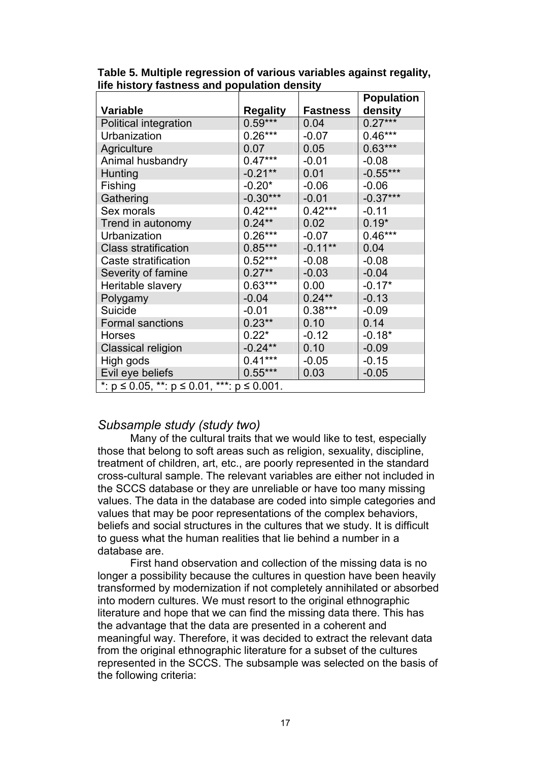|                                                           |                 |                 | <b>Population</b> |
|-----------------------------------------------------------|-----------------|-----------------|-------------------|
| Variable                                                  | <b>Regality</b> | <b>Fastness</b> | density           |
| Political integration                                     | $0.59***$       | 0.04            | $0.27***$         |
| Urbanization                                              | $0.26***$       | $-0.07$         | $0.46***$         |
| Agriculture                                               | 0.07            | 0.05            | $0.63***$         |
| Animal husbandry                                          | $0.47***$       | $-0.01$         | $-0.08$           |
| Hunting                                                   | $-0.21**$       | 0.01            | $-0.55***$        |
| Fishing                                                   | $-0.20*$        | $-0.06$         | $-0.06$           |
| Gathering                                                 | $-0.30***$      | $-0.01$         | $-0.37***$        |
| Sex morals                                                | $0.42***$       | $0.42***$       | $-0.11$           |
| Trend in autonomy                                         | $0.24***$       | 0.02            | $0.19*$           |
| Urbanization                                              | $0.26***$       | $-0.07$         | $0.46***$         |
| <b>Class stratification</b>                               | $0.85***$       | $-0.11***$      | 0.04              |
| Caste stratification                                      | $0.52***$       | $-0.08$         | $-0.08$           |
| Severity of famine                                        | $0.27**$        | $-0.03$         | $-0.04$           |
| Heritable slavery                                         | $0.63***$       | 0.00            | $-0.17*$          |
| Polygamy                                                  | $-0.04$         | $0.24**$        | $-0.13$           |
| Suicide                                                   | $-0.01$         | $0.38***$       | $-0.09$           |
| Formal sanctions                                          | $0.23**$        | 0.10            | 0.14              |
| <b>Horses</b>                                             | $0.22*$         | $-0.12$         | $-0.18*$          |
| Classical religion                                        | $-0.24**$       | 0.10            | $-0.09$           |
| High gods                                                 | $0.41***$       | $-0.05$         | $-0.15$           |
| Evil eye beliefs                                          | $0.55***$       | 0.03            | $-0.05$           |
| *: $p \le 0.05$ , **: $p \le 0.01$ , ***: $p \le 0.001$ . |                 |                 |                   |

**Table 5. Multiple regression of various variables against regality, life history fastness and population density**

# *Subsample study (study two)*

Many of the cultural traits that we would like to test, especially those that belong to soft areas such as religion, sexuality, discipline, treatment of children, art, etc., are poorly represented in the standard cross-cultural sample. The relevant variables are either not included in the SCCS database or they are unreliable or have too many missing values. The data in the database are coded into simple categories and values that may be poor representations of the complex behaviors, beliefs and social structures in the cultures that we study. It is difficult to guess what the human realities that lie behind a number in a database are.

First hand observation and collection of the missing data is no longer a possibility because the cultures in question have been heavily transformed by modernization if not completely annihilated or absorbed into modern cultures. We must resort to the original ethnographic literature and hope that we can find the missing data there. This has the advantage that the data are presented in a coherent and meaningful way. Therefore, it was decided to extract the relevant data from the original ethnographic literature for a subset of the cultures represented in the SCCS. The subsample was selected on the basis of the following criteria: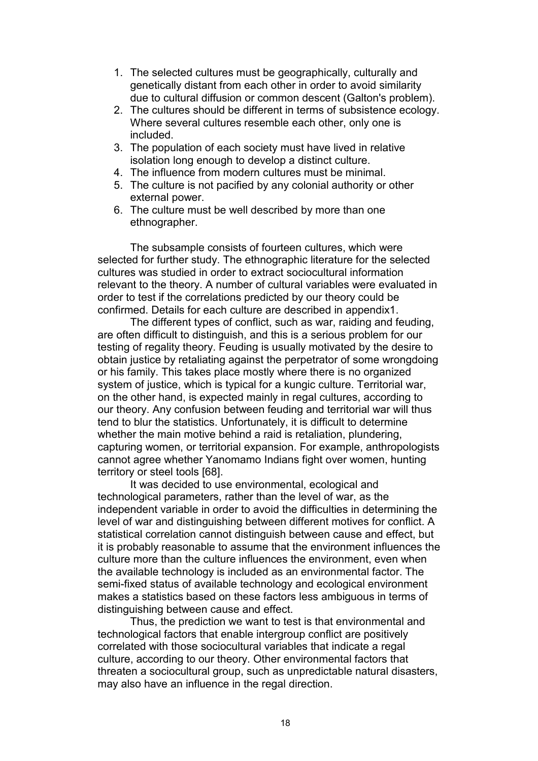- 1. The selected cultures must be geographically, culturally and genetically distant from each other in order to avoid similarity due to cultural diffusion or common descent (Galton's problem).
- 2. The cultures should be different in terms of subsistence ecology. Where several cultures resemble each other, only one is included.
- 3. The population of each society must have lived in relative isolation long enough to develop a distinct culture.
- 4. The influence from modern cultures must be minimal.
- 5. The culture is not pacified by any colonial authority or other external power.
- 6. The culture must be well described by more than one ethnographer.

The subsample consists of fourteen cultures, which were selected for further study. The ethnographic literature for the selected cultures was studied in order to extract sociocultural information relevant to the theory. A number of cultural variables were evaluated in order to test if the correlations predicted by our theory could be confirmed. Details for each culture are described in appendix1.

The different types of conflict, such as war, raiding and feuding, are often difficult to distinguish, and this is a serious problem for our testing of regality theory. Feuding is usually motivated by the desire to obtain justice by retaliating against the perpetrator of some wrongdoing or his family. This takes place mostly where there is no organized system of justice, which is typical for a kungic culture. Territorial war, on the other hand, is expected mainly in regal cultures, according to our theory. Any confusion between feuding and territorial war will thus tend to blur the statistics. Unfortunately, it is difficult to determine whether the main motive behind a raid is retaliation, plundering, capturing women, or territorial expansion. For example, anthropologists cannot agree whether Yanomamo Indians fight over women, hunting territory or steel tools [\[68\]](#page-71-0).

It was decided to use environmental, ecological and technological parameters, rather than the level of war, as the independent variable in order to avoid the difficulties in determining the level of war and distinguishing between different motives for conflict. A statistical correlation cannot distinguish between cause and effect, but it is probably reasonable to assume that the environment influences the culture more than the culture influences the environment, even when the available technology is included as an environmental factor. The semi-fixed status of available technology and ecological environment makes a statistics based on these factors less ambiguous in terms of distinguishing between cause and effect.

Thus, the prediction we want to test is that environmental and technological factors that enable intergroup conflict are positively correlated with those sociocultural variables that indicate a regal culture, according to our theory. Other environmental factors that threaten a sociocultural group, such as unpredictable natural disasters, may also have an influence in the regal direction.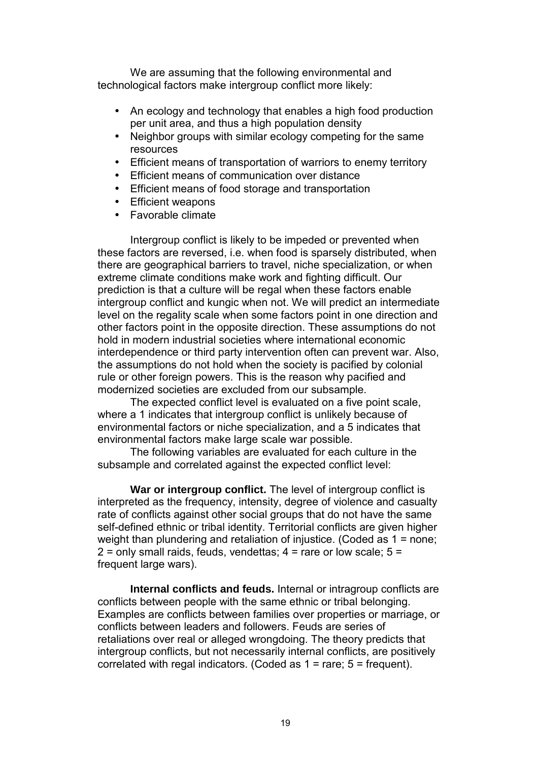We are assuming that the following environmental and technological factors make intergroup conflict more likely:

- An ecology and technology that enables a high food production per unit area, and thus a high population density
- Neighbor groups with similar ecology competing for the same resources
- Efficient means of transportation of warriors to enemy territory
- Efficient means of communication over distance
- Efficient means of food storage and transportation
- Efficient weapons
- Favorable climate

Intergroup conflict is likely to be impeded or prevented when these factors are reversed, i.e. when food is sparsely distributed, when there are geographical barriers to travel, niche specialization, or when extreme climate conditions make work and fighting difficult. Our prediction is that a culture will be regal when these factors enable intergroup conflict and kungic when not. We will predict an intermediate level on the regality scale when some factors point in one direction and other factors point in the opposite direction. These assumptions do not hold in modern industrial societies where international economic interdependence or third party intervention often can prevent war. Also, the assumptions do not hold when the society is pacified by colonial rule or other foreign powers. This is the reason why pacified and modernized societies are excluded from our subsample.

The expected conflict level is evaluated on a five point scale, where a 1 indicates that intergroup conflict is unlikely because of environmental factors or niche specialization, and a 5 indicates that environmental factors make large scale war possible.

The following variables are evaluated for each culture in the subsample and correlated against the expected conflict level:

**War or intergroup conflict.** The level of intergroup conflict is interpreted as the frequency, intensity, degree of violence and casualty rate of conflicts against other social groups that do not have the same self-defined ethnic or tribal identity. Territorial conflicts are given higher weight than plundering and retaliation of injustice. (Coded as 1 = none:  $2$  = only small raids, feuds, vendettas;  $4$  = rare or low scale;  $5$  = frequent large wars).

**Internal conflicts and feuds.** Internal or intragroup conflicts are conflicts between people with the same ethnic or tribal belonging. Examples are conflicts between families over properties or marriage, or conflicts between leaders and followers. Feuds are series of retaliations over real or alleged wrongdoing. The theory predicts that intergroup conflicts, but not necessarily internal conflicts, are positively correlated with regal indicators. (Coded as 1 = rare; 5 = frequent).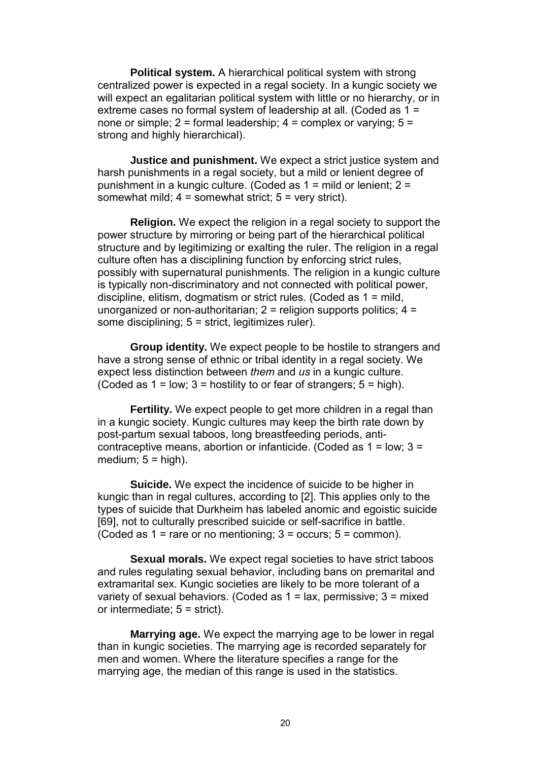**Political system.** A hierarchical political system with strong centralized power is expected in a regal society. In a kungic society we will expect an egalitarian political system with little or no hierarchy, or in extreme cases no formal system of leadership at all. (Coded as 1 = none or simple;  $2 =$  formal leadership;  $4 =$  complex or varying;  $5 =$ strong and highly hierarchical).

**Justice and punishment.** We expect a strict justice system and harsh punishments in a regal society, but a mild or lenient degree of punishment in a kungic culture. (Coded as 1 = mild or lenient; 2 = somewhat mild;  $4 =$  somewhat strict;  $5 =$  very strict).

**Religion.** We expect the religion in a regal society to support the power structure by mirroring or being part of the hierarchical political structure and by legitimizing or exalting the ruler. The religion in a regal culture often has a disciplining function by enforcing strict rules, possibly with supernatural punishments. The religion in a kungic culture is typically non-discriminatory and not connected with political power, discipline, elitism, dogmatism or strict rules. (Coded as 1 = mild, unorganized or non-authoritarian;  $2$  = religion supports politics;  $4$  = some disciplining; 5 = strict, legitimizes ruler).

**Group identity.** We expect people to be hostile to strangers and have a strong sense of ethnic or tribal identity in a regal society. We expect less distinction between *them* and *us* in a kungic culture. (Coded as  $1 = \text{low}$ ;  $3 = \text{hostility}$  to or fear of strangers;  $5 = \text{high}$ ).

**Fertility.** We expect people to get more children in a regal than in a kungic society. Kungic cultures may keep the birth rate down by post-partum sexual taboos, long breastfeeding periods, anticontraceptive means, abortion or infanticide. (Coded as 1 = low; 3 = medium;  $5 = high$ ).

**Suicide.** We expect the incidence of suicide to be higher in kungic than in regal cultures, according to [\[2\]](#page-67-0). This applies only to the types of suicide that Durkheim has labeled anomic and egoistic suicide [\[69\]](#page-71-0), not to culturally prescribed suicide or self-sacrifice in battle. (Coded as  $1 =$  rare or no mentioning;  $3 =$  occurs;  $5 =$  common).

**Sexual morals.** We expect regal societies to have strict taboos and rules regulating sexual behavior, including bans on premarital and extramarital sex. Kungic societies are likely to be more tolerant of a variety of sexual behaviors. (Coded as 1 = lax, permissive; 3 = mixed or intermediate; 5 = strict).

**Marrying age.** We expect the marrying age to be lower in regal than in kungic societies. The marrying age is recorded separately for men and women. Where the literature specifies a range for the marrying age, the median of this range is used in the statistics.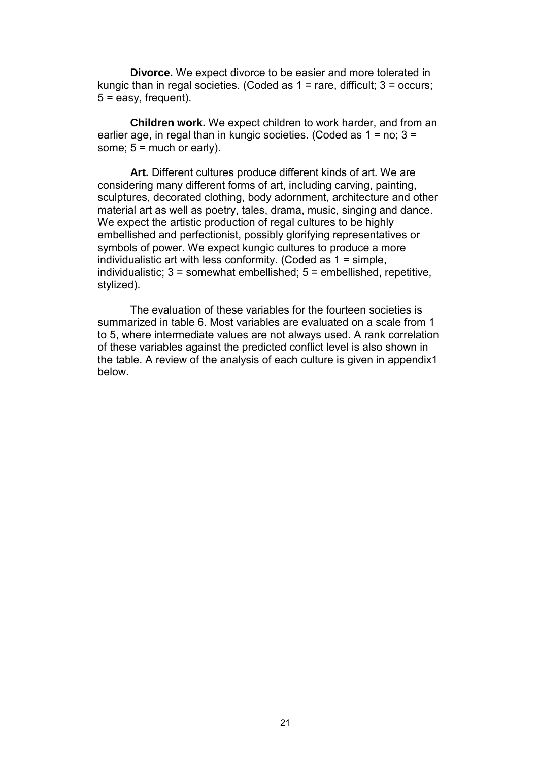**Divorce.** We expect divorce to be easier and more tolerated in kungic than in regal societies. (Coded as  $1 =$  rare, difficult;  $3 =$  occurs;  $5 = e$ asy, frequent).

**Children work.** We expect children to work harder, and from an earlier age, in regal than in kungic societies. (Coded as  $1 = no$ ;  $3 =$ some:  $5 =$  much or early).

**Art.** Different cultures produce different kinds of art. We are considering many different forms of art, including carving, painting, sculptures, decorated clothing, body adornment, architecture and other material art as well as poetry, tales, drama, music, singing and dance. We expect the artistic production of regal cultures to be highly embellished and perfectionist, possibly glorifying representatives or symbols of power. We expect kungic cultures to produce a more individualistic art with less conformity. (Coded as 1 = simple, individualistic; 3 = somewhat embellished; 5 = embellished, repetitive, stylized).

The evaluation of these variables for the fourteen societies is summarized in table 6. Most variables are evaluated on a scale from 1 to 5, where intermediate values are not always used. A rank correlation of these variables against the predicted conflict level is also shown in the table. A review of the analysis of each culture is given in appendix1 below.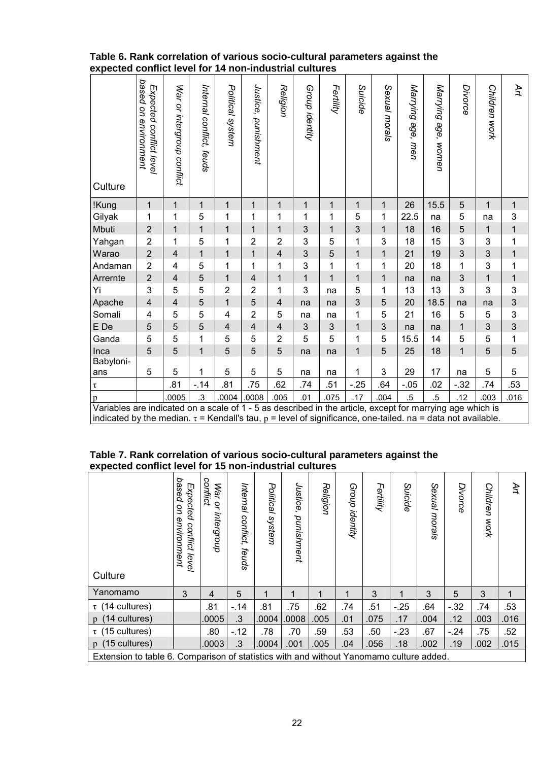| Table 6. Rank correlation of various socio-cultural parameters against the |  |
|----------------------------------------------------------------------------|--|
| expected conflict level for 14 non-industrial cultures                     |  |

| Culture                                                                                                                                                                                                                         | based<br>Expected conflict level<br>on environment | War or intergroup conflict | Internal conflict, feuds | Political system        | Justice, punishment     | Religion                | Group identity | Fertility    | <b>Suicide</b> | Sexual morals  | Marrying<br>age,<br>men | Marrying age, womer | <b>Divorce</b> | Children work  | Art            |
|---------------------------------------------------------------------------------------------------------------------------------------------------------------------------------------------------------------------------------|----------------------------------------------------|----------------------------|--------------------------|-------------------------|-------------------------|-------------------------|----------------|--------------|----------------|----------------|-------------------------|---------------------|----------------|----------------|----------------|
| !Kung                                                                                                                                                                                                                           | $\mathbf{1}$                                       | $\mathbf{1}$               | $\mathbf{1}$             | 1                       | $\mathbf{1}$            | $\mathbf 1$             | $\mathbf{1}$   | $\mathbf{1}$ | 1              | $\mathbf{1}$   | 26                      | 15.5                | 5              | $\mathbf{1}$   | 1              |
| Gilyak                                                                                                                                                                                                                          | 1                                                  | 1                          | 5                        | 1                       | 1                       | 1                       | 1              | 1            | 5              | 1              | 22.5                    | na                  | 5              | na             | 3              |
| Mbuti                                                                                                                                                                                                                           | $\overline{2}$                                     | $\mathbf{1}$               | $\mathbf{1}$             | $\mathbf{1}$            | $\mathbf{1}$            | $\mathbf 1$             | 3              | $\mathbf{1}$ | 3              | $\overline{1}$ | 18                      | 16                  | 5              | $\mathbf{1}$   | $\mathbf{1}$   |
| Yahgan                                                                                                                                                                                                                          | 2                                                  | 1                          | 5                        | 1                       | $\overline{\mathbf{c}}$ | $\overline{2}$          | 3              | 5            | 1              | 3              | 18                      | 15                  | 3              | 3              | $\mathbf 1$    |
| Warao                                                                                                                                                                                                                           | $\overline{2}$                                     | $\overline{\mathbf{4}}$    | $\overline{1}$           | $\mathbf{1}$            | $\overline{1}$          | $\overline{\mathbf{4}}$ | 3              | 5            | $\mathbf{1}$   | $\overline{1}$ | 21                      | 19                  | 3              | 3              | $\mathbf{1}$   |
| Andaman                                                                                                                                                                                                                         | $\overline{2}$                                     | 4                          | 5                        | $\mathbf{1}$            | 1                       | $\mathbf 1$             | 3              | 1            | 1              | 1              | 20                      | 18                  | $\mathbf{1}$   | 3              | $\mathbf{1}$   |
| Arrernte                                                                                                                                                                                                                        | $\overline{2}$                                     | $\overline{\mathbf{4}}$    | 5                        | $\overline{1}$          | $\overline{\mathbf{4}}$ | $\mathbf{1}$            | $\mathbf{1}$   | $\mathbf{1}$ | $\mathbf{1}$   | $\overline{1}$ | na                      | na                  | 3              | $\mathbf{1}$   | $\mathbf{1}$   |
| Yi                                                                                                                                                                                                                              | 3                                                  | 5                          | 5                        | $\overline{2}$          | $\overline{c}$          | 1                       | 3              | na           | 5              | 1              | 13                      | 13                  | 3              | 3              | 3              |
| Apache                                                                                                                                                                                                                          | $\overline{\mathbf{4}}$                            | $\overline{\mathbf{4}}$    | 5                        | $\mathbf{1}$            | 5                       | $\overline{\mathbf{4}}$ | na             | na           | 3              | $\sqrt{5}$     | 20                      | 18.5                | na             | na             | $\overline{3}$ |
| Somali                                                                                                                                                                                                                          | 4                                                  | 5                          | 5                        | $\overline{4}$          | $\overline{c}$          | 5                       | na             | na           | 1              | $\sqrt{5}$     | 21                      | 16                  | 5              | 5              | 3              |
| E De                                                                                                                                                                                                                            | 5                                                  | 5                          | 5                        | $\overline{\mathbf{4}}$ | $\overline{4}$          | $\overline{\mathbf{4}}$ | 3              | 3            | $\mathbf{1}$   | $\mathfrak{S}$ | na                      | na                  | $\mathbf{1}$   | $\mathfrak{S}$ | $\overline{3}$ |
| Ganda                                                                                                                                                                                                                           | 5                                                  | 5                          | 1                        | 5                       | 5                       | $\overline{2}$          | 5              | 5            | 1              | $\mathbf 5$    | 15.5                    | 14                  | 5              | 5              | $\mathbf 1$    |
| Inca                                                                                                                                                                                                                            | 5                                                  | 5                          | $\overline{1}$           | 5                       | 5                       | 5                       | na             | na           | $\mathbf{1}$   | 5              | 25                      | 18                  | $\overline{1}$ | 5              | 5              |
| Babyloni-                                                                                                                                                                                                                       |                                                    |                            |                          |                         |                         |                         |                |              |                |                |                         |                     |                |                |                |
| ans                                                                                                                                                                                                                             | 5                                                  | 5                          | 1                        | 5                       | 5                       | 5                       | na             | na           | 1              | 3              | 29                      | 17                  | na             | 5              | 5              |
| $\tau$                                                                                                                                                                                                                          |                                                    | .81                        | $-.14$                   | .81                     | .75                     | 62                      | .74            | .51          | $-25$          | .64            | $-.05$                  | .02                 | $-32$          | .74            | 53             |
| p                                                                                                                                                                                                                               |                                                    | 0005                       | $\cdot$                  | .0004                   | 0008                    | .005                    | .01            | .075         | .17            | .004           | $.5\,$                  | $.5\,$              | .12            | .003           | .016           |
| Variables are indicated on a scale of 1 - 5 as described in the article, except for marrying age which is<br>indicated by the median. $\tau$ = Kendall's tau, $p$ = level of significance, one-tailed. na = data not available. |                                                    |                            |                          |                         |                         |                         |                |              |                |                |                         |                     |                |                |                |

**Table 7. Rank correlation of various socio-cultural parameters against the expected conflict level for 15 non-industrial cultures**

| Culture                                                                                 | based<br>Expected<br>5<br>environment<br>conflict level | conflict<br>War or<br>intergroup | Internal<br>conflict,<br>feuds | Political<br>system | Justice,<br>punishment | Religion | Group<br>identity | Fertility | Suicide | Sexual<br>morals | Divorce | Children work | Ar   |
|-----------------------------------------------------------------------------------------|---------------------------------------------------------|----------------------------------|--------------------------------|---------------------|------------------------|----------|-------------------|-----------|---------|------------------|---------|---------------|------|
| Yanomamo                                                                                | 3                                                       | $\overline{4}$                   | 5                              | 1                   | 1                      | 1        | 1                 | 3         | 1       | 3                | 5       | 3             |      |
| $\tau$ (14 cultures)                                                                    |                                                         | .81                              | $-.14$                         | .81                 | .75                    | .62      | .74               | .51       | $-25$   | .64              | $-32$   | .74           | .53  |
| p (14 cultures)                                                                         |                                                         | 0005                             | $\cdot 3$                      | .0004               | .0008                  | .005     | .01               | .075      | .17     | .004             | .12     | .003          | .016 |
| $\tau$ (15 cultures)                                                                    |                                                         | .80                              | $-12$                          | .78                 | .70                    | .59      | .53               | .50       | $-23$   | .67              | $-24$   | .75           | .52  |
| p (15 cultures)                                                                         |                                                         | 0003                             | .3                             | .0004               | .001                   | .005     | .04               | .056      | .18     | .002             | .19     | .002          | .015 |
| Extension to table 6. Comparison of statistics with and without Yanomamo culture added. |                                                         |                                  |                                |                     |                        |          |                   |           |         |                  |         |               |      |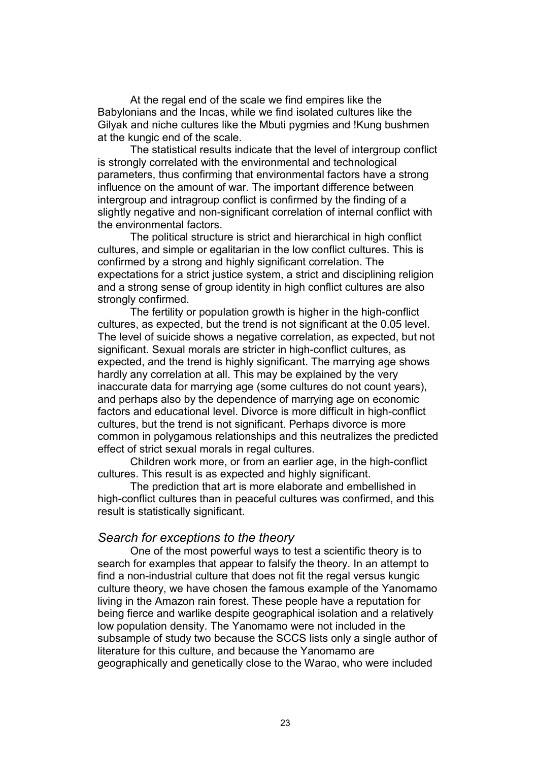At the regal end of the scale we find empires like the Babylonians and the Incas, while we find isolated cultures like the Gilyak and niche cultures like the Mbuti pygmies and !Kung bushmen at the kungic end of the scale.

The statistical results indicate that the level of intergroup conflict is strongly correlated with the environmental and technological parameters, thus confirming that environmental factors have a strong influence on the amount of war. The important difference between intergroup and intragroup conflict is confirmed by the finding of a slightly negative and non-significant correlation of internal conflict with the environmental factors.

The political structure is strict and hierarchical in high conflict cultures, and simple or egalitarian in the low conflict cultures. This is confirmed by a strong and highly significant correlation. The expectations for a strict justice system, a strict and disciplining religion and a strong sense of group identity in high conflict cultures are also strongly confirmed.

The fertility or population growth is higher in the high-conflict cultures, as expected, but the trend is not significant at the 0.05 level. The level of suicide shows a negative correlation, as expected, but not significant. Sexual morals are stricter in high-conflict cultures, as expected, and the trend is highly significant. The marrying age shows hardly any correlation at all. This may be explained by the very inaccurate data for marrying age (some cultures do not count years), and perhaps also by the dependence of marrying age on economic factors and educational level. Divorce is more difficult in high-conflict cultures, but the trend is not significant. Perhaps divorce is more common in polygamous relationships and this neutralizes the predicted effect of strict sexual morals in regal cultures.

Children work more, or from an earlier age, in the high-conflict cultures. This result is as expected and highly significant.

The prediction that art is more elaborate and embellished in high-conflict cultures than in peaceful cultures was confirmed, and this result is statistically significant.

#### *Search for exceptions to the theory*

One of the most powerful ways to test a scientific theory is to search for examples that appear to falsify the theory. In an attempt to find a non-industrial culture that does not fit the regal versus kungic culture theory, we have chosen the famous example of the Yanomamo living in the Amazon rain forest. These people have a reputation for being fierce and warlike despite geographical isolation and a relatively low population density. The Yanomamo were not included in the subsample of study two because the SCCS lists only a single author of literature for this culture, and because the Yanomamo are geographically and genetically close to the Warao, who were included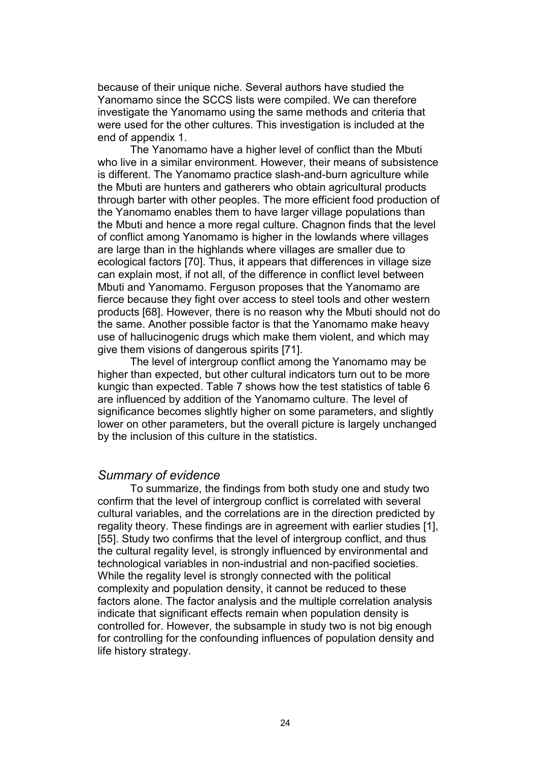because of their unique niche. Several authors have studied the Yanomamo since the SCCS lists were compiled. We can therefore investigate the Yanomamo using the same methods and criteria that were used for the other cultures. This investigation is included at the end of appendix 1.

The Yanomamo have a higher level of conflict than the Mbuti who live in a similar environment. However, their means of subsistence is different. The Yanomamo practice slash-and-burn agriculture while the Mbuti are hunters and gatherers who obtain agricultural products through barter with other peoples. The more efficient food production of the Yanomamo enables them to have larger village populations than the Mbuti and hence a more regal culture. Chagnon finds that the level of conflict among Yanomamo is higher in the lowlands where villages are large than in the highlands where villages are smaller due to ecological factors [\[70\]](#page-71-0). Thus, it appears that differences in village size can explain most, if not all, of the difference in conflict level between Mbuti and Yanomamo. Ferguson proposes that the Yanomamo are fierce because they fight over access to steel tools and other western products [\[68\]](#page-71-0). However, there is no reason why the Mbuti should not do the same. Another possible factor is that the Yanomamo make heavy use of hallucinogenic drugs which make them violent, and which may give them visions of dangerous spirits [\[71\]](#page-71-0).

The level of intergroup conflict among the Yanomamo may be higher than expected, but other cultural indicators turn out to be more kungic than expected. Table 7 shows how the test statistics of table 6 are influenced by addition of the Yanomamo culture. The level of significance becomes slightly higher on some parameters, and slightly lower on other parameters, but the overall picture is largely unchanged by the inclusion of this culture in the statistics.

### *Summary of evidence*

To summarize, the findings from both study one and study two confirm that the level of intergroup conflict is correlated with several cultural variables, and the correlations are in the direction predicted by regality theory. These findings are in agreement with earlier studies [\[1\]](#page-67-0), [\[55\]](#page-70-0). Study two confirms that the level of intergroup conflict, and thus the cultural regality level, is strongly influenced by environmental and technological variables in non-industrial and non-pacified societies. While the regality level is strongly connected with the political complexity and population density, it cannot be reduced to these factors alone. The factor analysis and the multiple correlation analysis indicate that significant effects remain when population density is controlled for. However, the subsample in study two is not big enough for controlling for the confounding influences of population density and life history strategy.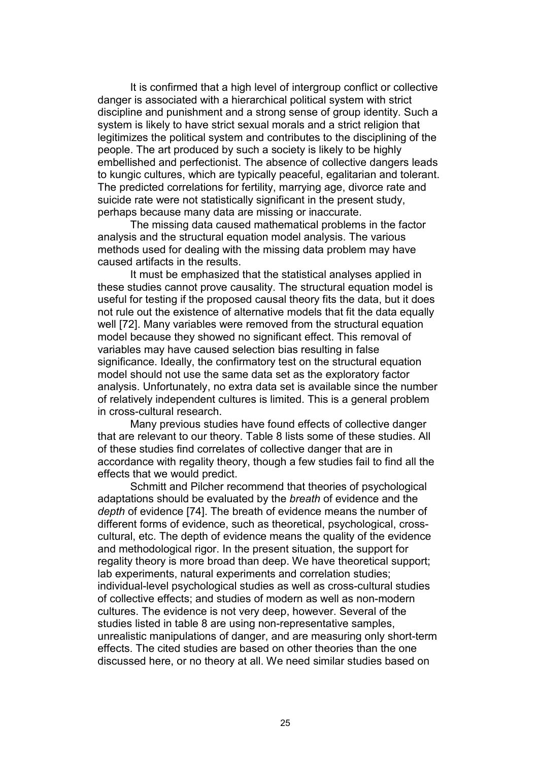It is confirmed that a high level of intergroup conflict or collective danger is associated with a hierarchical political system with strict discipline and punishment and a strong sense of group identity. Such a system is likely to have strict sexual morals and a strict religion that legitimizes the political system and contributes to the disciplining of the people. The art produced by such a society is likely to be highly embellished and perfectionist. The absence of collective dangers leads to kungic cultures, which are typically peaceful, egalitarian and tolerant. The predicted correlations for fertility, marrying age, divorce rate and suicide rate were not statistically significant in the present study, perhaps because many data are missing or inaccurate.

The missing data caused mathematical problems in the factor analysis and the structural equation model analysis. The various methods used for dealing with the missing data problem may have caused artifacts in the results.

It must be emphasized that the statistical analyses applied in these studies cannot prove causality. The structural equation model is useful for testing if the proposed causal theory fits the data, but it does not rule out the existence of alternative models that fit the data equally well [\[72\]](#page-71-0). Many variables were removed from the structural equation model because they showed no significant effect. This removal of variables may have caused selection bias resulting in false significance. Ideally, the confirmatory test on the structural equation model should not use the same data set as the exploratory factor analysis. Unfortunately, no extra data set is available since the number of relatively independent cultures is limited. This is a general problem in cross-cultural research.

Many previous studies have found effects of collective danger that are relevant to our theory. Table 8 lists some of these studies. All of these studies find correlates of collective danger that are in accordance with regality theory, though a few studies fail to find all the effects that we would predict.

Schmitt and Pilcher recommend that theories of psychological adaptations should be evaluated by the *breath* of evidence and the *depth* of evidence [\[74\]](#page-71-0). The breath of evidence means the number of different forms of evidence, such as theoretical, psychological, crosscultural, etc. The depth of evidence means the quality of the evidence and methodological rigor. In the present situation, the support for regality theory is more broad than deep. We have theoretical support; lab experiments, natural experiments and correlation studies; individual-level psychological studies as well as cross-cultural studies of collective effects; and studies of modern as well as non-modern cultures. The evidence is not very deep, however. Several of the studies listed in table 8 are using non-representative samples, unrealistic manipulations of danger, and are measuring only short-term effects. The cited studies are based on other theories than the one discussed here, or no theory at all. We need similar studies based on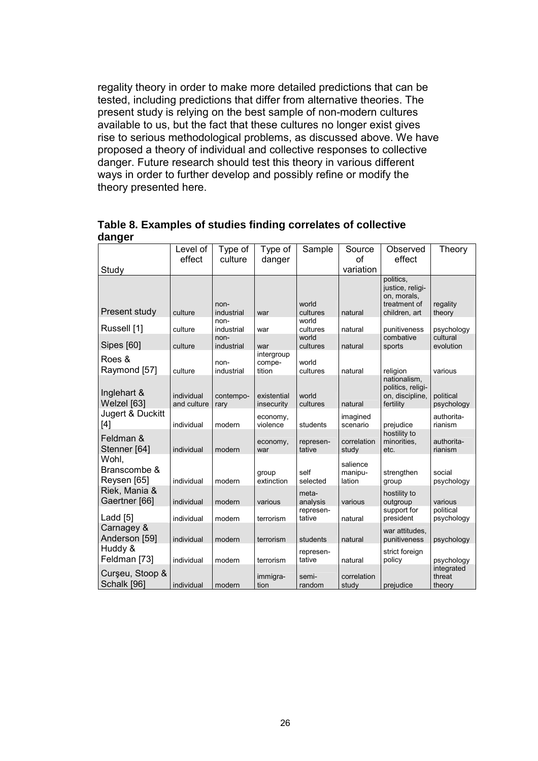regality theory in order to make more detailed predictions that can be tested, including predictions that differ from alternative theories. The present study is relying on the best sample of non-modern cultures available to us, but the fact that these cultures no longer exist gives rise to serious methodological problems, as discussed above. We have proposed a theory of individual and collective responses to collective danger. Future research should test this theory in various different ways in order to further develop and possibly refine or modify the theory presented here.

|                                | Level of    | Type of            | Type of          | Sample              | Source      | Observed                        | Theory                  |
|--------------------------------|-------------|--------------------|------------------|---------------------|-------------|---------------------------------|-------------------------|
|                                | effect      | culture            | danger           |                     | $\Omega$    | effect                          |                         |
| Study                          |             |                    |                  |                     | variation   |                                 |                         |
|                                |             |                    |                  |                     |             | politics,                       |                         |
|                                |             |                    |                  |                     |             | justice, religi-<br>on, morals, |                         |
|                                |             | non-               |                  | world               |             | treatment of                    | regality                |
| Present study                  | culture     | industrial         | war              | cultures            | natural     | children, art                   | theory                  |
|                                |             | non-               |                  | world               |             |                                 |                         |
| Russell [1]                    | culture     | industrial<br>non- | war              | cultures<br>world   | natural     | punitiveness<br>combative       | psychology<br>cultural  |
| Sipes [60]                     | culture     | industrial         | war              | cultures            | natural     | sports                          | evolution               |
| Roes &                         |             |                    | intergroup       |                     |             |                                 |                         |
| Raymond [57]                   | culture     | non-<br>industrial | compe-<br>tition | world<br>cultures   | natural     |                                 | various                 |
|                                |             |                    |                  |                     |             | religion<br>nationalism,        |                         |
|                                |             |                    |                  |                     |             | politics, religi-               |                         |
| Inglehart &                    | individual  | contempo-          | existential      | world               |             | on, discipline,                 | political               |
| Welzel [63]                    | and culture | rary               | insecurity       | cultures            | natural     | fertility                       | psychology              |
| Jugert & Duckitt               |             |                    | economy,         |                     | imagined    |                                 | authorita-              |
| [4]                            | individual  | modern             | violence         | students            | scenario    | prejudice<br>hostility to       | rianism                 |
| Feldman &                      |             |                    | economy,         | represen-           | correlation | minorities,                     | authorita-              |
| Stenner [64]                   | individual  | modern             | war              | tative              | study       | etc.                            | rianism                 |
| Wohl,                          |             |                    |                  |                     | salience    |                                 |                         |
| Branscombe &                   |             |                    | group            | self                | manipu-     | strengthen                      | social                  |
| Reysen [65]                    | individual  | modern             | extinction       | selected            | lation      | group                           | psychology              |
| Riek, Mania &                  |             |                    |                  | meta-               |             | hostility to                    |                         |
| Gaertner [66]                  | individual  | modern             | various          | analysis            | various     | outgroup                        | various                 |
| Ladd [5]                       | individual  | modern             | terrorism        | represen-<br>tative | natural     | support for<br>president        | political<br>psychology |
| Carnagey &                     |             |                    |                  |                     |             |                                 |                         |
| Anderson [59]                  | individual  | modern             | terrorism        | students            | natural     | war attitudes,<br>punitiveness  | psychology              |
| Huddy &                        |             |                    |                  |                     |             | strict foreign                  |                         |
| Feldman [73]                   | individual  | modern             | terrorism        | represen-<br>tative | natural     | policy                          | psychology              |
|                                |             |                    |                  |                     |             |                                 | integrated              |
| Curșeu, Stoop &<br>Schalk [96] |             |                    | immigra-         | semi-               | correlation |                                 | threat                  |
|                                | individual  | modern             | tion             | random              | study       | prejudice                       | theory                  |

**Table 8. Examples of studies finding correlates of collective danger**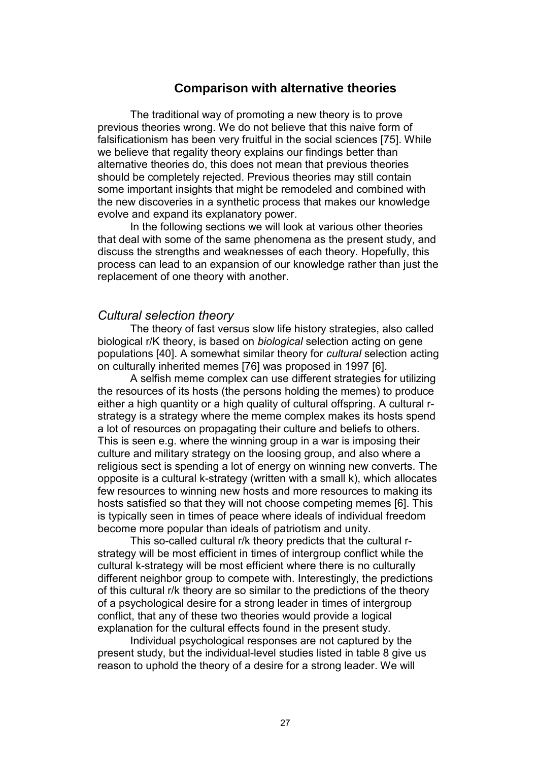## **Comparison with alternative theories**

<span id="page-27-0"></span>The traditional way of promoting a new theory is to prove previous theories wrong. We do not believe that this naive form of falsificationism has been very fruitful in the social sciences [\[75\]](#page-71-0). While we believe that regality theory explains our findings better than alternative theories do, this does not mean that previous theories should be completely rejected. Previous theories may still contain some important insights that might be remodeled and combined with the new discoveries in a synthetic process that makes our knowledge evolve and expand its explanatory power.

In the following sections we will look at various other theories that deal with some of the same phenomena as the present study, and discuss the strengths and weaknesses of each theory. Hopefully, this process can lead to an expansion of our knowledge rather than just the replacement of one theory with another.

#### *Cultural selection theory*

The theory of fast versus slow life history strategies, also called biological r/K theory, is based on *biological* selection acting on gene populations [\[40\]](#page-69-0). A somewhat similar theory for *cultural* selection acting on culturally inherited memes [\[76\]](#page-71-0) was proposed in 1997 [\[6\]](#page-67-0).

A selfish meme complex can use different strategies for utilizing the resources of its hosts (the persons holding the memes) to produce either a high quantity or a high quality of cultural offspring. A cultural rstrategy is a strategy where the meme complex makes its hosts spend a lot of resources on propagating their culture and beliefs to others. This is seen e.g. where the winning group in a war is imposing their culture and military strategy on the loosing group, and also where a religious sect is spending a lot of energy on winning new converts. The opposite is a cultural k-strategy (written with a small k), which allocates few resources to winning new hosts and more resources to making its hosts satisfied so that they will not choose competing memes [\[6\]](#page-67-0). This is typically seen in times of peace where ideals of individual freedom become more popular than ideals of patriotism and unity.

This so-called cultural r/k theory predicts that the cultural rstrategy will be most efficient in times of intergroup conflict while the cultural k-strategy will be most efficient where there is no culturally different neighbor group to compete with. Interestingly, the predictions of this cultural r/k theory are so similar to the predictions of the theory of a psychological desire for a strong leader in times of intergroup conflict, that any of these two theories would provide a logical explanation for the cultural effects found in the present study.

Individual psychological responses are not captured by the present study, but the individual-level studies listed in table 8 give us reason to uphold the theory of a desire for a strong leader. We will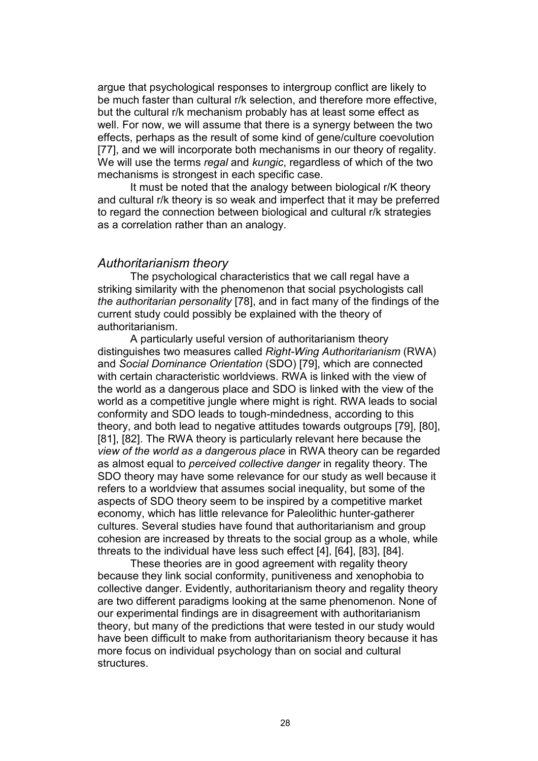argue that psychological responses to intergroup conflict are likely to be much faster than cultural r/k selection, and therefore more effective, but the cultural r/k mechanism probably has at least some effect as well. For now, we will assume that there is a synergy between the two effects, perhaps as the result of some kind of gene/culture coevolution [\[77\]](#page-71-0), and we will incorporate both mechanisms in our theory of regality. We will use the terms *regal* and *kungic*, regardless of which of the two mechanisms is strongest in each specific case.

It must be noted that the analogy between biological r/K theory and cultural r/k theory is so weak and imperfect that it may be preferred to regard the connection between biological and cultural r/k strategies as a correlation rather than an analogy.

### *Authoritarianism theory*

The psychological characteristics that we call regal have a striking similarity with the phenomenon that social psychologists call *the authoritarian personality* [\[78\]](#page-72-0), and in fact many of the findings of the current study could possibly be explained with the theory of authoritarianism.

A particularly useful version of authoritarianism theory distinguishes two measures called *Right-Wing Authoritarianism* (RWA) and *Social Dominance Orientation* (SDO) [\[79\]](#page-72-0), which are connected with certain characteristic worldviews. RWA is linked with the view of the world as a dangerous place and SDO is linked with the view of the world as a competitive jungle where might is right. RWA leads to social conformity and SDO leads to tough-mindedness, according to this theory, and both lead to negative attitudes towards outgroups [\[79\]](#page-72-0), [[80\]](#page-72-0), [\[81\]](#page-72-0), [\[82\]](#page-72-0). The RWA theory is particularly relevant here because the *view of the world as a dangerous place* in RWA theory can be regarded as almost equal to *perceived collective danger* in regality theory. The SDO theory may have some relevance for our study as well because it refers to a worldview that assumes social inequality, but some of the aspects of SDO theory seem to be inspired by a competitive market economy, which has little relevance for Paleolithic hunter-gatherer cultures. Several studies have found that authoritarianism and group cohesion are increased by threats to the social group as a whole, while threats to the individual have less such effect [\[4\]](#page-67-0), [\[64\]](#page-71-0), [\[83\]](#page-72-0), [\[84\]](#page-72-0).

These theories are in good agreement with regality theory because they link social conformity, punitiveness and xenophobia to collective danger. Evidently, authoritarianism theory and regality theory are two different paradigms looking at the same phenomenon. None of our experimental findings are in disagreement with authoritarianism theory, but many of the predictions that were tested in our study would have been difficult to make from authoritarianism theory because it has more focus on individual psychology than on social and cultural structures.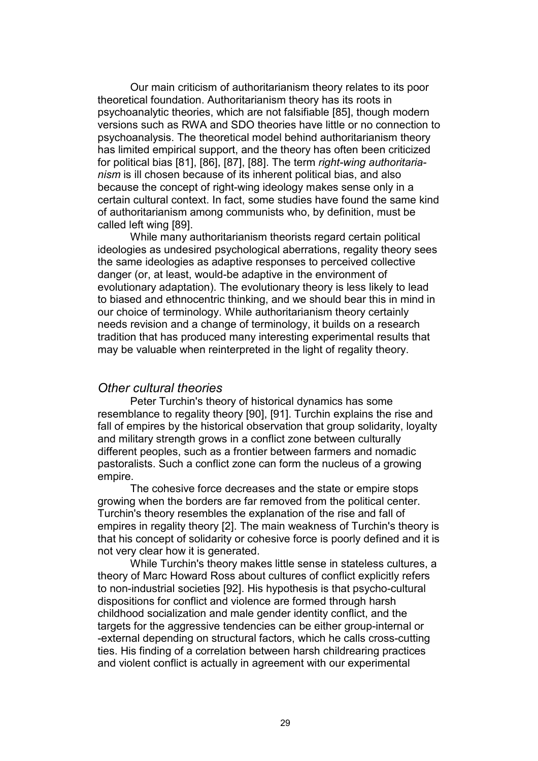Our main criticism of authoritarianism theory relates to its poor theoretical foundation. Authoritarianism theory has its roots in psychoanalytic theories, which are not falsifiable [[85\]](#page-72-0), though modern versions such as RWA and SDO theories have little or no connection to psychoanalysis. The theoretical model behind authoritarianism theory has limited empirical support, and the theory has often been criticized for political bias [\[81\]](#page-72-0), [\[86\]](#page-72-0), [\[87\]](#page-72-0), [\[88\]](#page-72-0). The term *right-wing authoritarianism* is ill chosen because of its inherent political bias, and also because the concept of right-wing ideology makes sense only in a certain cultural context. In fact, some studies have found the same kind of authoritarianism among communists who, by definition, must be called left wing [\[89\]](#page-72-0).

While many authoritarianism theorists regard certain political ideologies as undesired psychological aberrations, regality theory sees the same ideologies as adaptive responses to perceived collective danger (or, at least, would-be adaptive in the environment of evolutionary adaptation). The evolutionary theory is less likely to lead to biased and ethnocentric thinking, and we should bear this in mind in our choice of terminology. While authoritarianism theory certainly needs revision and a change of terminology, it builds on a research tradition that has produced many interesting experimental results that may be valuable when reinterpreted in the light of regality theory.

#### *Other cultural theories*

Peter Turchin's theory of historical dynamics has some resemblance to regality theory [\[90\]](#page-72-0), [\[91\]](#page-72-0). Turchin explains the rise and fall of empires by the historical observation that group solidarity, loyalty and military strength grows in a conflict zone between culturally different peoples, such as a frontier between farmers and nomadic pastoralists. Such a conflict zone can form the nucleus of a growing empire.

The cohesive force decreases and the state or empire stops growing when the borders are far removed from the political center. Turchin's theory resembles the explanation of the rise and fall of empires in regality theory [\[2\]](#page-67-0). The main weakness of Turchin's theory is that his concept of solidarity or cohesive force is poorly defined and it is not very clear how it is generated.

While Turchin's theory makes little sense in stateless cultures, a theory of Marc Howard Ross about cultures of conflict explicitly refers to non-industrial societies [\[92\]](#page-72-0). His hypothesis is that psycho-cultural dispositions for conflict and violence are formed through harsh childhood socialization and male gender identity conflict, and the targets for the aggressive tendencies can be either group-internal or -external depending on structural factors, which he calls cross-cutting ties. His finding of a correlation between harsh childrearing practices and violent conflict is actually in agreement with our experimental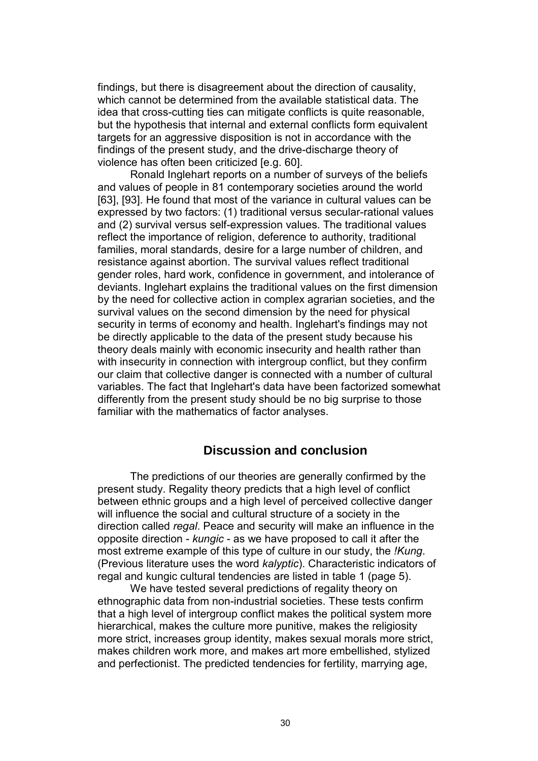findings, but there is disagreement about the direction of causality, which cannot be determined from the available statistical data. The idea that cross-cutting ties can mitigate conflicts is quite reasonable, but the hypothesis that internal and external conflicts form equivalent targets for an aggressive disposition is not in accordance with the findings of the present study, and the drive-discharge theory of violence has often been criticized [e.g. [60\]](#page-70-0).

Ronald Inglehart reports on a number of surveys of the beliefs and values of people in 81 contemporary societies around the world [\[63\]](#page-71-0), [\[93\]](#page-72-0). He found that most of the variance in cultural values can be expressed by two factors: (1) traditional versus secular-rational values and (2) survival versus self-expression values. The traditional values reflect the importance of religion, deference to authority, traditional families, moral standards, desire for a large number of children, and resistance against abortion. The survival values reflect traditional gender roles, hard work, confidence in government, and intolerance of deviants. Inglehart explains the traditional values on the first dimension by the need for collective action in complex agrarian societies, and the survival values on the second dimension by the need for physical security in terms of economy and health. Inglehart's findings may not be directly applicable to the data of the present study because his theory deals mainly with economic insecurity and health rather than with insecurity in connection with intergroup conflict, but they confirm our claim that collective danger is connected with a number of cultural variables. The fact that Inglehart's data have been factorized somewhat differently from the present study should be no big surprise to those familiar with the mathematics of factor analyses.

# **Discussion and conclusion**

The predictions of our theories are generally confirmed by the present study. Regality theory predicts that a high level of conflict between ethnic groups and a high level of perceived collective danger will influence the social and cultural structure of a society in the direction called *regal*. Peace and security will make an influence in the opposite direction - *kungic* - as we have proposed to call it after the most extreme example of this type of culture in our study, the *!Kung*. (Previous literature uses the word *kalyptic*). Characteristic indicators of regal and kungic cultural tendencies are listed in table 1 (page [5\)](#page-5-0).

We have tested several predictions of regality theory on ethnographic data from non-industrial societies. These tests confirm that a high level of intergroup conflict makes the political system more hierarchical, makes the culture more punitive, makes the religiosity more strict, increases group identity, makes sexual morals more strict, makes children work more, and makes art more embellished, stylized and perfectionist. The predicted tendencies for fertility, marrying age,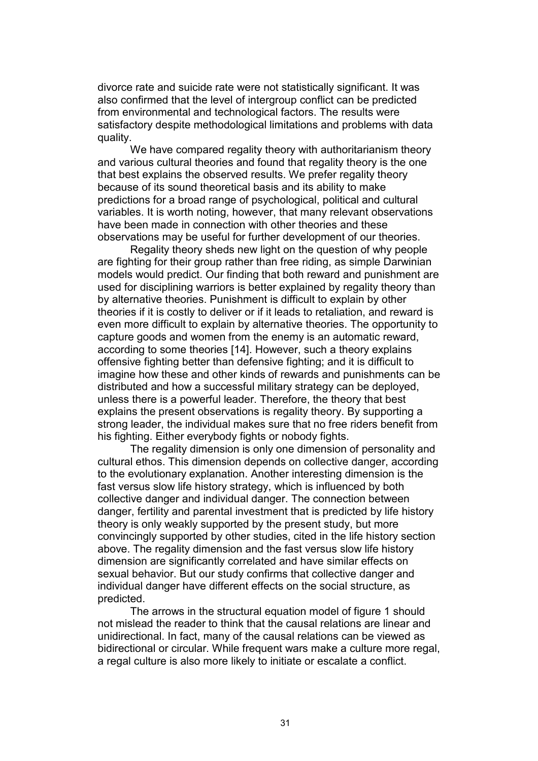divorce rate and suicide rate were not statistically significant. It was also confirmed that the level of intergroup conflict can be predicted from environmental and technological factors. The results were satisfactory despite methodological limitations and problems with data quality.

We have compared regality theory with authoritarianism theory and various cultural theories and found that regality theory is the one that best explains the observed results. We prefer regality theory because of its sound theoretical basis and its ability to make predictions for a broad range of psychological, political and cultural variables. It is worth noting, however, that many relevant observations have been made in connection with other theories and these observations may be useful for further development of our theories.

Regality theory sheds new light on the question of why people are fighting for their group rather than free riding, as simple Darwinian models would predict. Our finding that both reward and punishment are used for disciplining warriors is better explained by regality theory than by alternative theories. Punishment is difficult to explain by other theories if it is costly to deliver or if it leads to retaliation, and reward is even more difficult to explain by alternative theories. The opportunity to capture goods and women from the enemy is an automatic reward, according to some theories [\[14\]](#page-68-0). However, such a theory explains offensive fighting better than defensive fighting; and it is difficult to imagine how these and other kinds of rewards and punishments can be distributed and how a successful military strategy can be deployed, unless there is a powerful leader. Therefore, the theory that best explains the present observations is regality theory. By supporting a strong leader, the individual makes sure that no free riders benefit from his fighting. Either everybody fights or nobody fights.

The regality dimension is only one dimension of personality and cultural ethos. This dimension depends on collective danger, according to the evolutionary explanation. Another interesting dimension is the fast versus slow life history strategy, which is influenced by both collective danger and individual danger. The connection between danger, fertility and parental investment that is predicted by life history theory is only weakly supported by the present study, but more convincingly supported by other studies, cited in the life history section [above.](#page-6-0) The regality dimension and the fast versus slow life history dimension are significantly correlated and have similar effects on sexual behavior. But our study confirms that collective danger and individual danger have different effects on the social structure, as predicted.

The arrows in the structural equation model of figure 1 should not mislead the reader to think that the causal relations are linear and unidirectional. In fact, many of the causal relations can be viewed as bidirectional or circular. While frequent wars make a culture more regal, a regal culture is also more likely to initiate or escalate a conflict.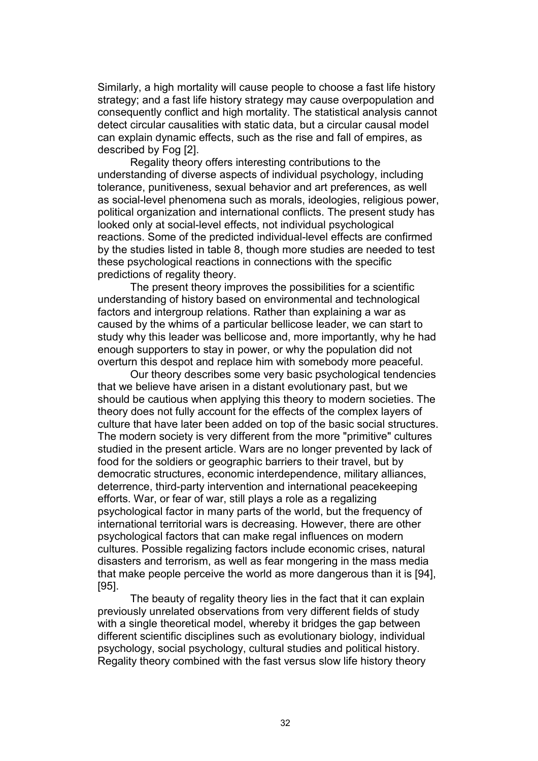Similarly, a high mortality will cause people to choose a fast life history strategy; and a fast life history strategy may cause overpopulation and consequently conflict and high mortality. The statistical analysis cannot detect circular causalities with static data, but a circular causal model can explain dynamic effects, such as the rise and fall of empires, as described by Fog [\[2\]](#page-67-0).

Regality theory offers interesting contributions to the understanding of diverse aspects of individual psychology, including tolerance, punitiveness, sexual behavior and art preferences, as well as social-level phenomena such as morals, ideologies, religious power, political organization and international conflicts. The present study has looked only at social-level effects, not individual psychological reactions. Some of the predicted individual-level effects are confirmed by the studies listed in table 8, though more studies are needed to test these psychological reactions in connections with the specific predictions of regality theory.

The present theory improves the possibilities for a scientific understanding of history based on environmental and technological factors and intergroup relations. Rather than explaining a war as caused by the whims of a particular bellicose leader, we can start to study why this leader was bellicose and, more importantly, why he had enough supporters to stay in power, or why the population did not overturn this despot and replace him with somebody more peaceful.

Our theory describes some very basic psychological tendencies that we believe have arisen in a distant evolutionary past, but we should be cautious when applying this theory to modern societies. The theory does not fully account for the effects of the complex layers of culture that have later been added on top of the basic social structures. The modern society is very different from the more "primitive" cultures studied in the present article. Wars are no longer prevented by lack of food for the soldiers or geographic barriers to their travel, but by democratic structures, economic interdependence, military alliances, deterrence, third-party intervention and international peacekeeping efforts. War, or fear of war, still plays a role as a regalizing psychological factor in many parts of the world, but the frequency of international territorial wars is decreasing. However, there are other psychological factors that can make regal influences on modern cultures. Possible regalizing factors include economic crises, natural disasters and terrorism, as well as fear mongering in the mass media that make people perceive the world as more dangerous than it is [\[94\]](#page-73-0), [\[95\]](#page-73-0).

The beauty of regality theory lies in the fact that it can explain previously unrelated observations from very different fields of study with a single theoretical model, whereby it bridges the gap between different scientific disciplines such as evolutionary biology, individual psychology, social psychology, cultural studies and political history. Regality theory combined with the fast versus slow life history theory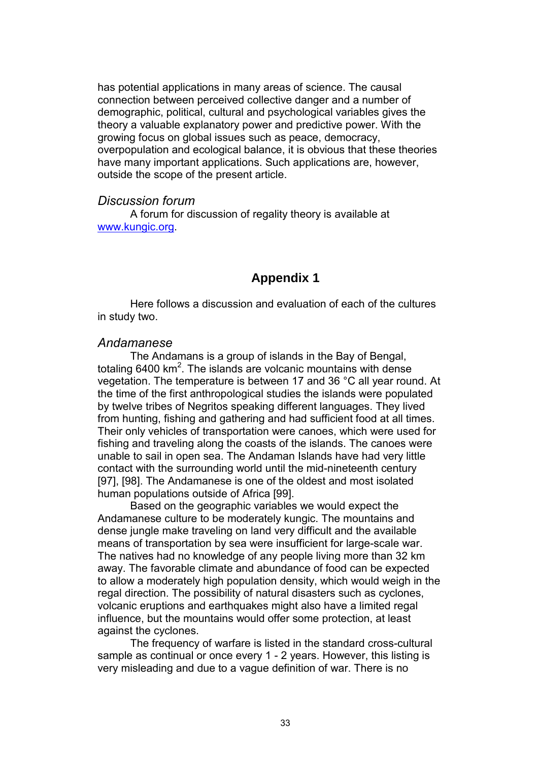has potential applications in many areas of science. The causal connection between perceived collective danger and a number of demographic, political, cultural and psychological variables gives the theory a valuable explanatory power and predictive power. With the growing focus on global issues such as peace, democracy, overpopulation and ecological balance, it is obvious that these theories have many important applications. Such applications are, however, outside the scope of the present article.

#### *Discussion forum*

A forum for discussion of regality theory is available at [www.kungic.org.](http://www.kungic.org/)

## **Appendix 1**

Here follows a discussion and evaluation of each of the cultures in study two.

#### *Andamanese*

The Andamans is a group of islands in the Bay of Bengal, totaling 6400  $km^2$ . The islands are volcanic mountains with dense vegetation. The temperature is between 17 and 36 °C all year round. At the time of the first anthropological studies the islands were populated by twelve tribes of Negritos speaking different languages. They lived from hunting, fishing and gathering and had sufficient food at all times. Their only vehicles of transportation were canoes, which were used for fishing and traveling along the coasts of the islands. The canoes were unable to sail in open sea. The Andaman Islands have had very little contact with the surrounding world until the mid-nineteenth century [\[97\]](#page-73-0), [\[98\]](#page-73-0). The Andamanese is one of the oldest and most isolated human populations outside of Africa [\[99\]](#page-73-0).

Based on the geographic variables we would expect the Andamanese culture to be moderately kungic. The mountains and dense jungle make traveling on land very difficult and the available means of transportation by sea were insufficient for large-scale war. The natives had no knowledge of any people living more than 32 km away. The favorable climate and abundance of food can be expected to allow a moderately high population density, which would weigh in the regal direction. The possibility of natural disasters such as cyclones, volcanic eruptions and earthquakes might also have a limited regal influence, but the mountains would offer some protection, at least against the cyclones.

The frequency of warfare is listed in the standard cross-cultural sample as continual or once every 1 - 2 years. However, this listing is very misleading and due to a vague definition of war. There is no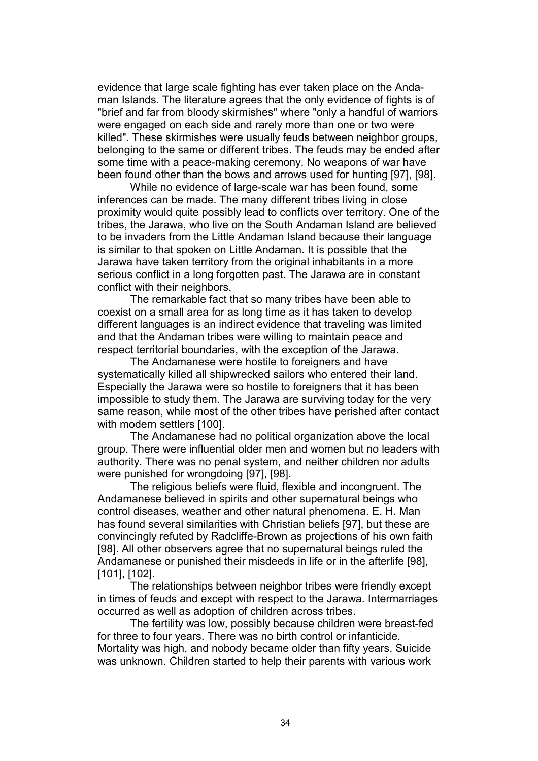evidence that large scale fighting has ever taken place on the Andaman Islands. The literature agrees that the only evidence of fights is of "brief and far from bloody skirmishes" where "only a handful of warriors were engaged on each side and rarely more than one or two were killed". These skirmishes were usually feuds between neighbor groups, belonging to the same or different tribes. The feuds may be ended after some time with a peace-making ceremony. No weapons of war have been found other than the bows and arrows used for hunting [\[97\]](#page-73-0), [\[98\]](#page-73-0).

While no evidence of large-scale war has been found, some inferences can be made. The many different tribes living in close proximity would quite possibly lead to conflicts over territory. One of the tribes, the Jarawa, who live on the South Andaman Island are believed to be invaders from the Little Andaman Island because their language is similar to that spoken on Little Andaman. It is possible that the Jarawa have taken territory from the original inhabitants in a more serious conflict in a long forgotten past. The Jarawa are in constant conflict with their neighbors.

The remarkable fact that so many tribes have been able to coexist on a small area for as long time as it has taken to develop different languages is an indirect evidence that traveling was limited and that the Andaman tribes were willing to maintain peace and respect territorial boundaries, with the exception of the Jarawa.

The Andamanese were hostile to foreigners and have systematically killed all shipwrecked sailors who entered their land. Especially the Jarawa were so hostile to foreigners that it has been impossible to study them. The Jarawa are surviving today for the very same reason, while most of the other tribes have perished after contact with modern settlers [\[100\]](#page-73-0).

The Andamanese had no political organization above the local group. There were influential older men and women but no leaders with authority. There was no penal system, and neither children nor adults were punished for wrongdoing [\[97\]](#page-73-0), [\[98\]](#page-73-0).

The religious beliefs were fluid, flexible and incongruent. The Andamanese believed in spirits and other supernatural beings who control diseases, weather and other natural phenomena. E. H. Man has found several similarities with Christian beliefs [\[97\]](#page-73-0), but these are convincingly refuted by Radcliffe-Brown as projections of his own faith [\[98\]](#page-73-0). All other observers agree that no supernatural beings ruled the Andamanese or punished their misdeeds in life or in the afterlife [\[98\]](#page-73-0), [\[101\]](#page-73-0), [\[102\]](#page-73-0).

The relationships between neighbor tribes were friendly except in times of feuds and except with respect to the Jarawa. Intermarriages occurred as well as adoption of children across tribes.

The fertility was low, possibly because children were breast-fed for three to four years. There was no birth control or infanticide. Mortality was high, and nobody became older than fifty years. Suicide was unknown. Children started to help their parents with various work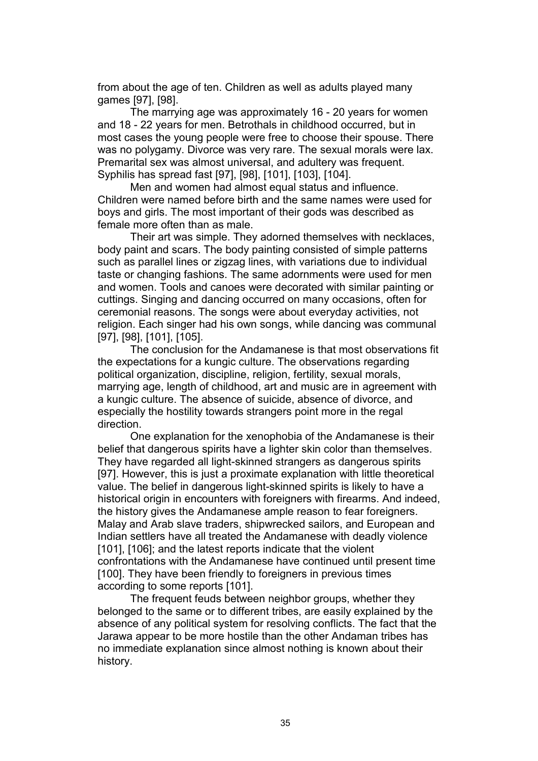from about the age of ten. Children as well as adults played many games [\[97\]](#page-73-0), [\[98\]](#page-73-0).

The marrying age was approximately 16 - 20 years for women and 18 - 22 years for men. Betrothals in childhood occurred, but in most cases the young people were free to choose their spouse. There was no polygamy. Divorce was very rare. The sexual morals were lax. Premarital sex was almost universal, and adultery was frequent. Syphilis has spread fast [\[97\]](#page-73-0), [\[98\]](#page-73-0), [\[101\]](#page-73-0), [\[103\]](#page-73-0), [\[104\]](#page-73-0).

Men and women had almost equal status and influence. Children were named before birth and the same names were used for boys and girls. The most important of their gods was described as female more often than as male.

Their art was simple. They adorned themselves with necklaces, body paint and scars. The body painting consisted of simple patterns such as parallel lines or zigzag lines, with variations due to individual taste or changing fashions. The same adornments were used for men and women. Tools and canoes were decorated with similar painting or cuttings. Singing and dancing occurred on many occasions, often for ceremonial reasons. The songs were about everyday activities, not religion. Each singer had his own songs, while dancing was communal [\[97\]](#page-73-0), [\[98\]](#page-73-0), [\[101\]](#page-73-0), [\[105\]](#page-73-0).

The conclusion for the Andamanese is that most observations fit the expectations for a kungic culture. The observations regarding political organization, discipline, religion, fertility, sexual morals, marrying age, length of childhood, art and music are in agreement with a kungic culture. The absence of suicide, absence of divorce, and especially the hostility towards strangers point more in the regal direction.

One explanation for the xenophobia of the Andamanese is their belief that dangerous spirits have a lighter skin color than themselves. They have regarded all light-skinned strangers as dangerous spirits [\[97\]](#page-73-0). However, this is just a proximate explanation with little theoretical value. The belief in dangerous light-skinned spirits is likely to have a historical origin in encounters with foreigners with firearms. And indeed, the history gives the Andamanese ample reason to fear foreigners. Malay and Arab slave traders, shipwrecked sailors, and European and Indian settlers have all treated the Andamanese with deadly violence [\[101\]](#page-73-0). [\[106\]](#page-73-0): and the latest reports indicate that the violent confrontations with the Andamanese have continued until present time [\[100\]](#page-73-0). They have been friendly to foreigners in previous times according to some reports [\[101\]](#page-73-0).

The frequent feuds between neighbor groups, whether they belonged to the same or to different tribes, are easily explained by the absence of any political system for resolving conflicts. The fact that the Jarawa appear to be more hostile than the other Andaman tribes has no immediate explanation since almost nothing is known about their history.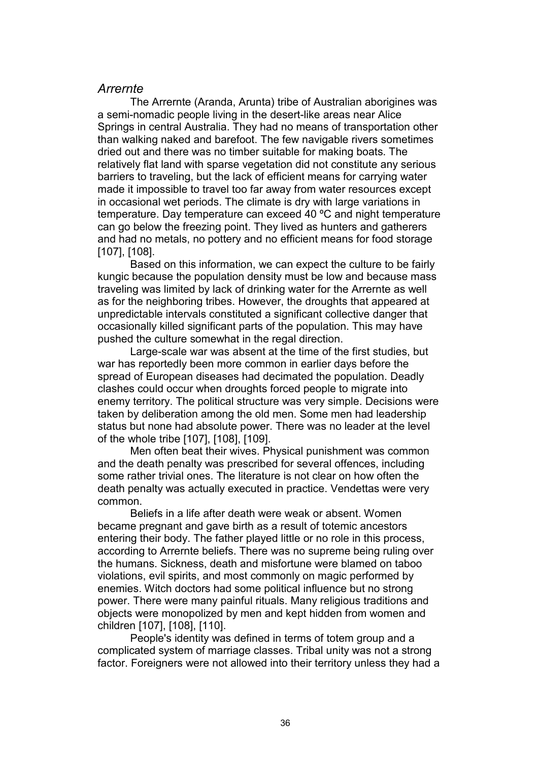# *Arrernte*

The Arrernte (Aranda, Arunta) tribe of Australian aborigines was a semi-nomadic people living in the desert-like areas near Alice Springs in central Australia. They had no means of transportation other than walking naked and barefoot. The few navigable rivers sometimes dried out and there was no timber suitable for making boats. The relatively flat land with sparse vegetation did not constitute any serious barriers to traveling, but the lack of efficient means for carrying water made it impossible to travel too far away from water resources except in occasional wet periods. The climate is dry with large variations in temperature. Day temperature can exceed 40 ºC and night temperature can go below the freezing point. They lived as hunters and gatherers and had no metals, no pottery and no efficient means for food storage [\[107\]](#page-73-0), [\[108\]](#page-73-0).

Based on this information, we can expect the culture to be fairly kungic because the population density must be low and because mass traveling was limited by lack of drinking water for the Arrernte as well as for the neighboring tribes. However, the droughts that appeared at unpredictable intervals constituted a significant collective danger that occasionally killed significant parts of the population. This may have pushed the culture somewhat in the regal direction.

Large-scale war was absent at the time of the first studies, but war has reportedly been more common in earlier days before the spread of European diseases had decimated the population. Deadly clashes could occur when droughts forced people to migrate into enemy territory. The political structure was very simple. Decisions were taken by deliberation among the old men. Some men had leadership status but none had absolute power. There was no leader at the level of the whole tribe [\[107\]](#page-73-0), [\[108\]](#page-73-0), [\[109\]](#page-74-0).

Men often beat their wives. Physical punishment was common and the death penalty was prescribed for several offences, including some rather trivial ones. The literature is not clear on how often the death penalty was actually executed in practice. Vendettas were very common.

Beliefs in a life after death were weak or absent. Women became pregnant and gave birth as a result of totemic ancestors entering their body. The father played little or no role in this process, according to Arrernte beliefs. There was no supreme being ruling over the humans. Sickness, death and misfortune were blamed on taboo violations, evil spirits, and most commonly on magic performed by enemies. Witch doctors had some political influence but no strong power. There were many painful rituals. Many religious traditions and objects were monopolized by men and kept hidden from women and children [\[107\]](#page-73-0), [\[108\]](#page-73-0), [\[110\]](#page-74-0).

People's identity was defined in terms of totem group and a complicated system of marriage classes. Tribal unity was not a strong factor. Foreigners were not allowed into their territory unless they had a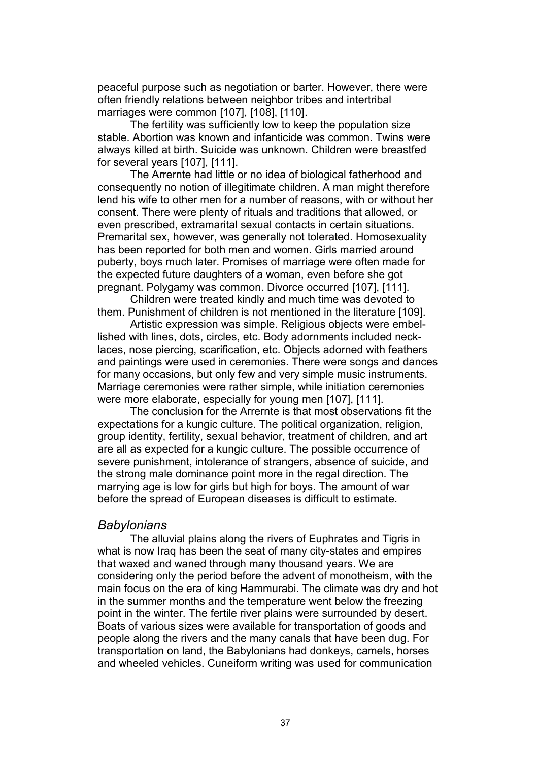peaceful purpose such as negotiation or barter. However, there were often friendly relations between neighbor tribes and intertribal marriages were common [\[107\]](#page-73-0), [\[108\]](#page-73-0), [\[110\]](#page-74-0).

The fertility was sufficiently low to keep the population size stable. Abortion was known and infanticide was common. Twins were always killed at birth. Suicide was unknown. Children were breastfed for several years [\[107\]](#page-73-0), [\[111\]](#page-74-0).

The Arrernte had little or no idea of biological fatherhood and consequently no notion of illegitimate children. A man might therefore lend his wife to other men for a number of reasons, with or without her consent. There were plenty of rituals and traditions that allowed, or even prescribed, extramarital sexual contacts in certain situations. Premarital sex, however, was generally not tolerated. Homosexuality has been reported for both men and women. Girls married around puberty, boys much later. Promises of marriage were often made for the expected future daughters of a woman, even before she got pregnant. Polygamy was common. Divorce occurred [\[107\]](#page-73-0), [\[111\]](#page-74-0).

Children were treated kindly and much time was devoted to them. Punishment of children is not mentioned in the literature [\[109\]](#page-74-0).

Artistic expression was simple. Religious objects were embellished with lines, dots, circles, etc. Body adornments included necklaces, nose piercing, scarification, etc. Objects adorned with feathers and paintings were used in ceremonies. There were songs and dances for many occasions, but only few and very simple music instruments. Marriage ceremonies were rather simple, while initiation ceremonies were more elaborate, especially for young men [\[107\]](#page-73-0), [\[111\]](#page-74-0).

The conclusion for the Arrernte is that most observations fit the expectations for a kungic culture. The political organization, religion, group identity, fertility, sexual behavior, treatment of children, and art are all as expected for a kungic culture. The possible occurrence of severe punishment, intolerance of strangers, absence of suicide, and the strong male dominance point more in the regal direction. The marrying age is low for girls but high for boys. The amount of war before the spread of European diseases is difficult to estimate.

#### *Babylonians*

The alluvial plains along the rivers of Euphrates and Tigris in what is now Iraq has been the seat of many city-states and empires that waxed and waned through many thousand years. We are considering only the period before the advent of monotheism, with the main focus on the era of king Hammurabi. The climate was dry and hot in the summer months and the temperature went below the freezing point in the winter. The fertile river plains were surrounded by desert. Boats of various sizes were available for transportation of goods and people along the rivers and the many canals that have been dug. For transportation on land, the Babylonians had donkeys, camels, horses and wheeled vehicles. Cuneiform writing was used for communication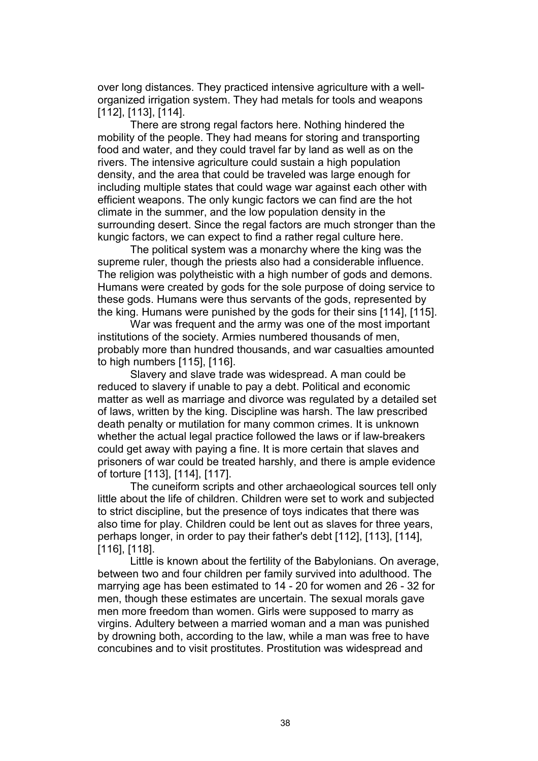over long distances. They practiced intensive agriculture with a wellorganized irrigation system. They had metals for tools and weapons [\[112\]](#page-74-0), [\[113\]](#page-74-0), [\[114\]](#page-74-0).

There are strong regal factors here. Nothing hindered the mobility of the people. They had means for storing and transporting food and water, and they could travel far by land as well as on the rivers. The intensive agriculture could sustain a high population density, and the area that could be traveled was large enough for including multiple states that could wage war against each other with efficient weapons. The only kungic factors we can find are the hot climate in the summer, and the low population density in the surrounding desert. Since the regal factors are much stronger than the kungic factors, we can expect to find a rather regal culture here.

The political system was a monarchy where the king was the supreme ruler, though the priests also had a considerable influence. The religion was polytheistic with a high number of gods and demons. Humans were created by gods for the sole purpose of doing service to these gods. Humans were thus servants of the gods, represented by the king. Humans were punished by the gods for their sins [\[114\]](#page-74-0), [\[115\]](#page-74-0).

War was frequent and the army was one of the most important institutions of the society. Armies numbered thousands of men, probably more than hundred thousands, and war casualties amounted to high numbers [\[115\]](#page-74-0), [\[116\]](#page-74-0).

Slavery and slave trade was widespread. A man could be reduced to slavery if unable to pay a debt. Political and economic matter as well as marriage and divorce was regulated by a detailed set of laws, written by the king. Discipline was harsh. The law prescribed death penalty or mutilation for many common crimes. It is unknown whether the actual legal practice followed the laws or if law-breakers could get away with paying a fine. It is more certain that slaves and prisoners of war could be treated harshly, and there is ample evidence of torture [\[113\]](#page-74-0), [\[114\]](#page-74-0), [\[117\]](#page-74-0).

The cuneiform scripts and other archaeological sources tell only little about the life of children. Children were set to work and subjected to strict discipline, but the presence of toys indicates that there was also time for play. Children could be lent out as slaves for three years, perhaps longer, in order to pay their father's debt [[112\]](#page-74-0), [\[113\]](#page-74-0), [\[114\]](#page-74-0), [\[116\]](#page-74-0), [\[118\]](#page-74-0).

Little is known about the fertility of the Babylonians. On average, between two and four children per family survived into adulthood. The marrying age has been estimated to 14 - 20 for women and 26 - 32 for men, though these estimates are uncertain. The sexual morals gave men more freedom than women. Girls were supposed to marry as virgins. Adultery between a married woman and a man was punished by drowning both, according to the law, while a man was free to have concubines and to visit prostitutes. Prostitution was widespread and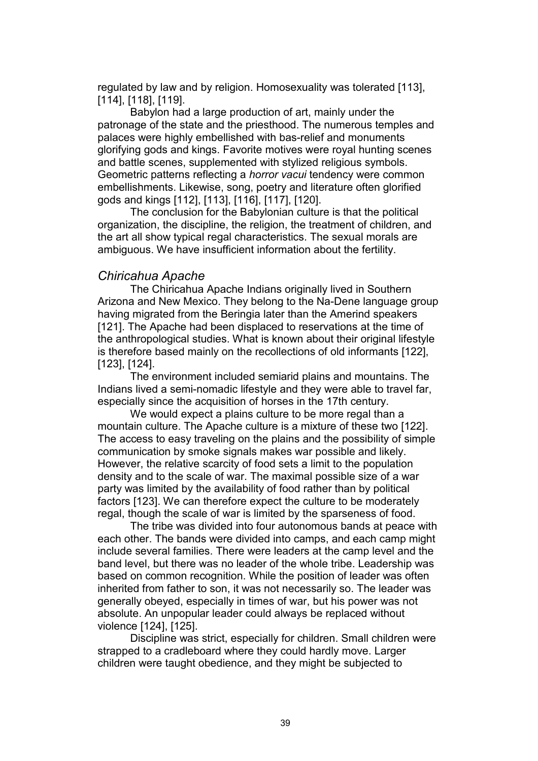regulated by law and by religion. Homosexuality was tolerated [\[113\]](#page-74-0), [\[114\]](#page-74-0), [\[118\]](#page-74-0), [\[119\]](#page-74-0).

Babylon had a large production of art, mainly under the patronage of the state and the priesthood. The numerous temples and palaces were highly embellished with bas-relief and monuments glorifying gods and kings. Favorite motives were royal hunting scenes and battle scenes, supplemented with stylized religious symbols. Geometric patterns reflecting a *horror vacui* tendency were common embellishments. Likewise, song, poetry and literature often glorified gods and kings [\[112\]](#page-74-0), [\[113\]](#page-74-0), [\[116\]](#page-74-0), [\[117\]](#page-74-0), [[120\]](#page-74-0).

The conclusion for the Babylonian culture is that the political organization, the discipline, the religion, the treatment of children, and the art all show typical regal characteristics. The sexual morals are ambiguous. We have insufficient information about the fertility.

# *Chiricahua Apache*

The Chiricahua Apache Indians originally lived in Southern Arizona and New Mexico. They belong to the Na-Dene language group having migrated from the Beringia later than the Amerind speakers [\[121\]](#page-74-0). The Apache had been displaced to reservations at the time of the anthropological studies. What is known about their original lifestyle is therefore based mainly on the recollections of old informants [\[122\]](#page-74-0), [\[123\]](#page-74-0), [\[124\]](#page-74-0).

The environment included semiarid plains and mountains. The Indians lived a semi-nomadic lifestyle and they were able to travel far, especially since the acquisition of horses in the 17th century.

We would expect a plains culture to be more regal than a mountain culture. The Apache culture is a mixture of these two [\[122\]](#page-74-0). The access to easy traveling on the plains and the possibility of simple communication by smoke signals makes war possible and likely. However, the relative scarcity of food sets a limit to the population density and to the scale of war. The maximal possible size of a war party was limited by the availability of food rather than by political factors [\[123\]](#page-74-0). We can therefore expect the culture to be moderately regal, though the scale of war is limited by the sparseness of food.

The tribe was divided into four autonomous bands at peace with each other. The bands were divided into camps, and each camp might include several families. There were leaders at the camp level and the band level, but there was no leader of the whole tribe. Leadership was based on common recognition. While the position of leader was often inherited from father to son, it was not necessarily so. The leader was generally obeyed, especially in times of war, but his power was not absolute. An unpopular leader could always be replaced without violence [\[124\]](#page-74-0), [\[125\]](#page-74-0).

Discipline was strict, especially for children. Small children were strapped to a cradleboard where they could hardly move. Larger children were taught obedience, and they might be subjected to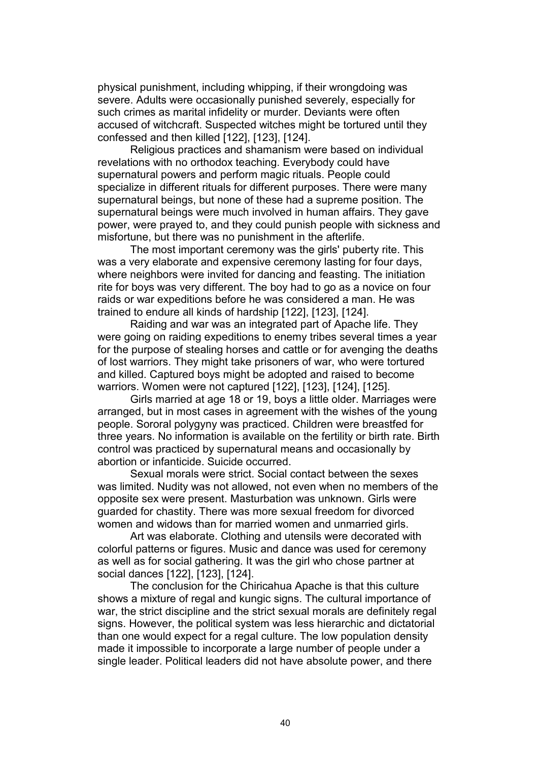physical punishment, including whipping, if their wrongdoing was severe. Adults were occasionally punished severely, especially for such crimes as marital infidelity or murder. Deviants were often accused of witchcraft. Suspected witches might be tortured until they confessed and then killed [\[122\]](#page-74-0), [\[123\]](#page-74-0), [[124\]](#page-74-0).

Religious practices and shamanism were based on individual revelations with no orthodox teaching. Everybody could have supernatural powers and perform magic rituals. People could specialize in different rituals for different purposes. There were many supernatural beings, but none of these had a supreme position. The supernatural beings were much involved in human affairs. They gave power, were prayed to, and they could punish people with sickness and misfortune, but there was no punishment in the afterlife.

The most important ceremony was the girls' puberty rite. This was a very elaborate and expensive ceremony lasting for four days, where neighbors were invited for dancing and feasting. The initiation rite for boys was very different. The boy had to go as a novice on four raids or war expeditions before he was considered a man. He was trained to endure all kinds of hardship [\[122\]](#page-74-0), [\[123\]](#page-74-0), [\[124\]](#page-74-0).

Raiding and war was an integrated part of Apache life. They were going on raiding expeditions to enemy tribes several times a year for the purpose of stealing horses and cattle or for avenging the deaths of lost warriors. They might take prisoners of war, who were tortured and killed. Captured boys might be adopted and raised to become warriors. Women were not captured [\[122\]](#page-74-0), [\[123\]](#page-74-0), [\[124\]](#page-74-0), [\[125\]](#page-74-0).

Girls married at age 18 or 19, boys a little older. Marriages were arranged, but in most cases in agreement with the wishes of the young people. Sororal polygyny was practiced. Children were breastfed for three years. No information is available on the fertility or birth rate. Birth control was practiced by supernatural means and occasionally by abortion or infanticide. Suicide occurred.

Sexual morals were strict. Social contact between the sexes was limited. Nudity was not allowed, not even when no members of the opposite sex were present. Masturbation was unknown. Girls were guarded for chastity. There was more sexual freedom for divorced women and widows than for married women and unmarried girls.

Art was elaborate. Clothing and utensils were decorated with colorful patterns or figures. Music and dance was used for ceremony as well as for social gathering. It was the girl who chose partner at social dances [\[122\]](#page-74-0), [\[123\]](#page-74-0), [\[124\]](#page-74-0).

The conclusion for the Chiricahua Apache is that this culture shows a mixture of regal and kungic signs. The cultural importance of war, the strict discipline and the strict sexual morals are definitely regal signs. However, the political system was less hierarchic and dictatorial than one would expect for a regal culture. The low population density made it impossible to incorporate a large number of people under a single leader. Political leaders did not have absolute power, and there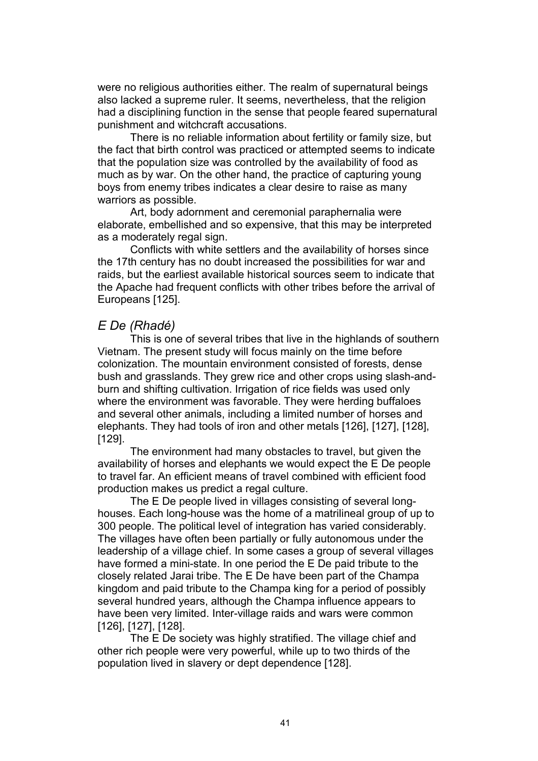were no religious authorities either. The realm of supernatural beings also lacked a supreme ruler. It seems, nevertheless, that the religion had a disciplining function in the sense that people feared supernatural punishment and witchcraft accusations.

There is no reliable information about fertility or family size, but the fact that birth control was practiced or attempted seems to indicate that the population size was controlled by the availability of food as much as by war. On the other hand, the practice of capturing young boys from enemy tribes indicates a clear desire to raise as many warriors as possible.

Art, body adornment and ceremonial paraphernalia were elaborate, embellished and so expensive, that this may be interpreted as a moderately regal sign.

Conflicts with white settlers and the availability of horses since the 17th century has no doubt increased the possibilities for war and raids, but the earliest available historical sources seem to indicate that the Apache had frequent conflicts with other tribes before the arrival of Europeans [\[125\]](#page-74-0).

# *E De (RhadÈ)*

This is one of several tribes that live in the highlands of southern Vietnam. The present study will focus mainly on the time before colonization. The mountain environment consisted of forests, dense bush and grasslands. They grew rice and other crops using slash-andburn and shifting cultivation. Irrigation of rice fields was used only where the environment was favorable. They were herding buffaloes and several other animals, including a limited number of horses and elephants. They had tools of iron and other metals [\[126\]](#page-74-0), [\[127\]](#page-75-0), [\[128\]](#page-75-0), [\[129\]](#page-75-0).

The environment had many obstacles to travel, but given the availability of horses and elephants we would expect the E De people to travel far. An efficient means of travel combined with efficient food production makes us predict a regal culture.

The E De people lived in villages consisting of several longhouses. Each long-house was the home of a matrilineal group of up to 300 people. The political level of integration has varied considerably. The villages have often been partially or fully autonomous under the leadership of a village chief. In some cases a group of several villages have formed a mini-state. In one period the E De paid tribute to the closely related Jarai tribe. The E De have been part of the Champa kingdom and paid tribute to the Champa king for a period of possibly several hundred years, although the Champa influence appears to have been very limited. Inter-village raids and wars were common [\[126\]](#page-74-0), [\[127\]](#page-75-0), [\[128\]](#page-75-0).

The E De society was highly stratified. The village chief and other rich people were very powerful, while up to two thirds of the population lived in slavery or dept dependence [\[128\]](#page-75-0).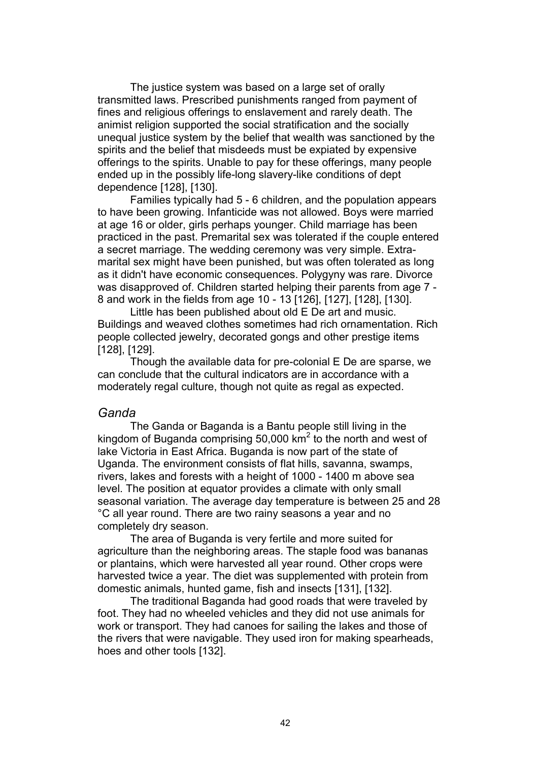The justice system was based on a large set of orally transmitted laws. Prescribed punishments ranged from payment of fines and religious offerings to enslavement and rarely death. The animist religion supported the social stratification and the socially unequal justice system by the belief that wealth was sanctioned by the spirits and the belief that misdeeds must be expiated by expensive offerings to the spirits. Unable to pay for these offerings, many people ended up in the possibly life-long slavery-like conditions of dept dependence [\[128\]](#page-75-0), [\[130\]](#page-75-0).

Families typically had 5 - 6 children, and the population appears to have been growing. Infanticide was not allowed. Boys were married at age 16 or older, girls perhaps younger. Child marriage has been practiced in the past. Premarital sex was tolerated if the couple entered a secret marriage. The wedding ceremony was very simple. Extramarital sex might have been punished, but was often tolerated as long as it didn't have economic consequences. Polygyny was rare. Divorce was disapproved of. Children started helping their parents from age 7 - 8 and work in the fields from age 10 - 13 [[126\]](#page-74-0), [\[127\]](#page-75-0), [\[128\]](#page-75-0), [\[130\]](#page-75-0).

Little has been published about old E De art and music. Buildings and weaved clothes sometimes had rich ornamentation. Rich people collected jewelry, decorated gongs and other prestige items [\[128\]](#page-75-0), [\[129\]](#page-75-0).

Though the available data for pre-colonial E De are sparse, we can conclude that the cultural indicators are in accordance with a moderately regal culture, though not quite as regal as expected.

# *Ganda*

The Ganda or Baganda is a Bantu people still living in the kingdom of Buganda comprising 50,000 km<sup>2</sup> to the north and west of lake Victoria in East Africa. Buganda is now part of the state of Uganda. The environment consists of flat hills, savanna, swamps, rivers, lakes and forests with a height of 1000 - 1400 m above sea level. The position at equator provides a climate with only small seasonal variation. The average day temperature is between 25 and 28 °C all year round. There are two rainy seasons a year and no completely dry season.

The area of Buganda is very fertile and more suited for agriculture than the neighboring areas. The staple food was bananas or plantains, which were harvested all year round. Other crops were harvested twice a year. The diet was supplemented with protein from domestic animals, hunted game, fish and insects [\[131\]](#page-75-0), [[132\]](#page-75-0).

The traditional Baganda had good roads that were traveled by foot. They had no wheeled vehicles and they did not use animals for work or transport. They had canoes for sailing the lakes and those of the rivers that were navigable. They used iron for making spearheads, hoes and other tools [\[132\]](#page-75-0).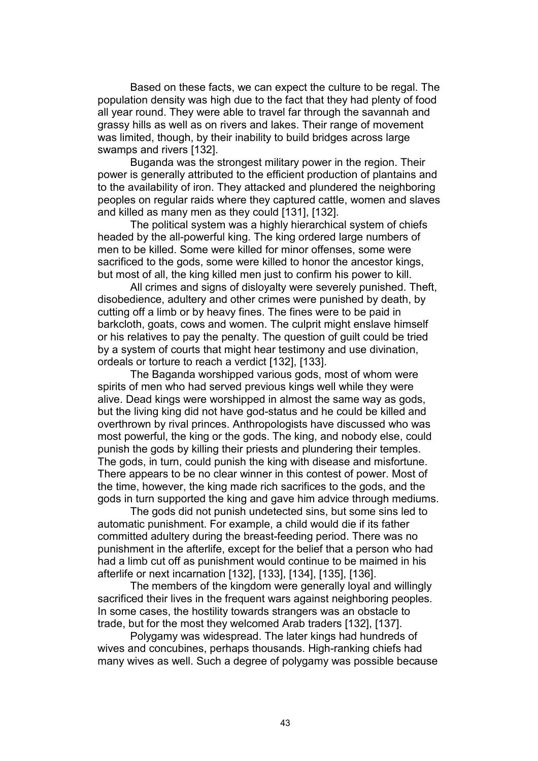Based on these facts, we can expect the culture to be regal. The population density was high due to the fact that they had plenty of food all year round. They were able to travel far through the savannah and grassy hills as well as on rivers and lakes. Their range of movement was limited, though, by their inability to build bridges across large swamps and rivers [\[132\]](#page-75-0).

Buganda was the strongest military power in the region. Their power is generally attributed to the efficient production of plantains and to the availability of iron. They attacked and plundered the neighboring peoples on regular raids where they captured cattle, women and slaves and killed as many men as they could [\[131\]](#page-75-0), [\[132\]](#page-75-0).

The political system was a highly hierarchical system of chiefs headed by the all-powerful king. The king ordered large numbers of men to be killed. Some were killed for minor offenses, some were sacrificed to the gods, some were killed to honor the ancestor kings, but most of all, the king killed men just to confirm his power to kill.

All crimes and signs of disloyalty were severely punished. Theft, disobedience, adultery and other crimes were punished by death, by cutting off a limb or by heavy fines. The fines were to be paid in barkcloth, goats, cows and women. The culprit might enslave himself or his relatives to pay the penalty. The question of guilt could be tried by a system of courts that might hear testimony and use divination, ordeals or torture to reach a verdict [\[132\]](#page-75-0), [[133\]](#page-75-0).

The Baganda worshipped various gods, most of whom were spirits of men who had served previous kings well while they were alive. Dead kings were worshipped in almost the same way as gods, but the living king did not have god-status and he could be killed and overthrown by rival princes. Anthropologists have discussed who was most powerful, the king or the gods. The king, and nobody else, could punish the gods by killing their priests and plundering their temples. The gods, in turn, could punish the king with disease and misfortune. There appears to be no clear winner in this contest of power. Most of the time, however, the king made rich sacrifices to the gods, and the gods in turn supported the king and gave him advice through mediums.

The gods did not punish undetected sins, but some sins led to automatic punishment. For example, a child would die if its father committed adultery during the breast-feeding period. There was no punishment in the afterlife, except for the belief that a person who had had a limb cut off as punishment would continue to be maimed in his afterlife or next incarnation [\[132\]](#page-75-0), [\[133\]](#page-75-0), [[134\]](#page-75-0), [\[135\]](#page-75-0), [\[136\]](#page-75-0).

The members of the kingdom were generally loyal and willingly sacrificed their lives in the frequent wars against neighboring peoples. In some cases, the hostility towards strangers was an obstacle to trade, but for the most they welcomed Arab traders [\[132\]](#page-75-0), [\[137\]](#page-75-0).

Polygamy was widespread. The later kings had hundreds of wives and concubines, perhaps thousands. High-ranking chiefs had many wives as well. Such a degree of polygamy was possible because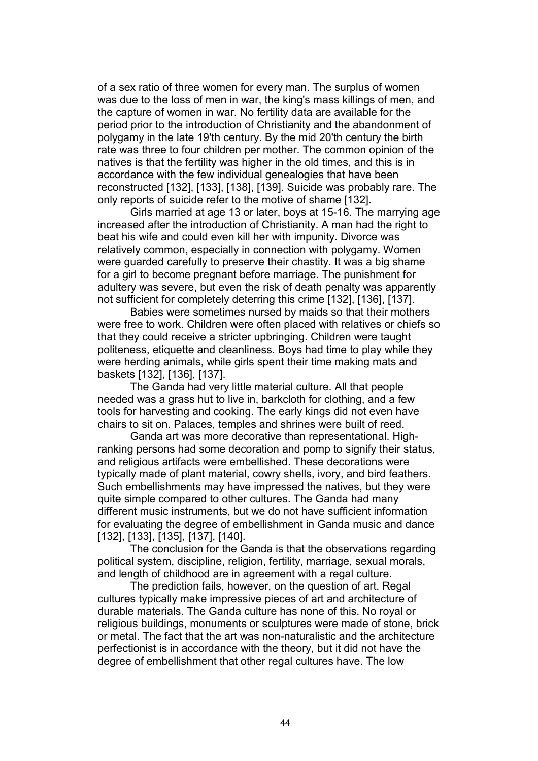of a sex ratio of three women for every man. The surplus of women was due to the loss of men in war, the king's mass killings of men, and the capture of women in war. No fertility data are available for the period prior to the introduction of Christianity and the abandonment of polygamy in the late 19'th century. By the mid 20'th century the birth rate was three to four children per mother. The common opinion of the natives is that the fertility was higher in the old times, and this is in accordance with the few individual genealogies that have been reconstructed [\[132\]](#page-75-0), [\[133\]](#page-75-0), [\[138\]](#page-75-0), [\[139\]](#page-75-0). Suicide was probably rare. The only reports of suicide refer to the motive of shame [\[132\]](#page-75-0).

Girls married at age 13 or later, boys at 15-16. The marrying age increased after the introduction of Christianity. A man had the right to beat his wife and could even kill her with impunity. Divorce was relatively common, especially in connection with polygamy. Women were guarded carefully to preserve their chastity. It was a big shame for a girl to become pregnant before marriage. The punishment for adultery was severe, but even the risk of death penalty was apparently not sufficient for completely deterring this crime [\[132\]](#page-75-0), [\[136\]](#page-75-0), [\[137\]](#page-75-0).

Babies were sometimes nursed by maids so that their mothers were free to work. Children were often placed with relatives or chiefs so that they could receive a stricter upbringing. Children were taught politeness, etiquette and cleanliness. Boys had time to play while they were herding animals, while girls spent their time making mats and baskets [\[132\]](#page-75-0), [\[136\]](#page-75-0), [\[137\]](#page-75-0).

The Ganda had very little material culture. All that people needed was a grass hut to live in, barkcloth for clothing, and a few tools for harvesting and cooking. The early kings did not even have chairs to sit on. Palaces, temples and shrines were built of reed.

Ganda art was more decorative than representational. Highranking persons had some decoration and pomp to signify their status, and religious artifacts were embellished. These decorations were typically made of plant material, cowry shells, ivory, and bird feathers. Such embellishments may have impressed the natives, but they were quite simple compared to other cultures. The Ganda had many different music instruments, but we do not have sufficient information for evaluating the degree of embellishment in Ganda music and dance [\[132\]](#page-75-0), [\[133\]](#page-75-0), [\[135\]](#page-75-0), [\[137\]](#page-75-0), [\[140\]](#page-75-0).

The conclusion for the Ganda is that the observations regarding political system, discipline, religion, fertility, marriage, sexual morals, and length of childhood are in agreement with a regal culture.

The prediction fails, however, on the question of art. Regal cultures typically make impressive pieces of art and architecture of durable materials. The Ganda culture has none of this. No royal or religious buildings, monuments or sculptures were made of stone, brick or metal. The fact that the art was non-naturalistic and the architecture perfectionist is in accordance with the theory, but it did not have the degree of embellishment that other regal cultures have. The low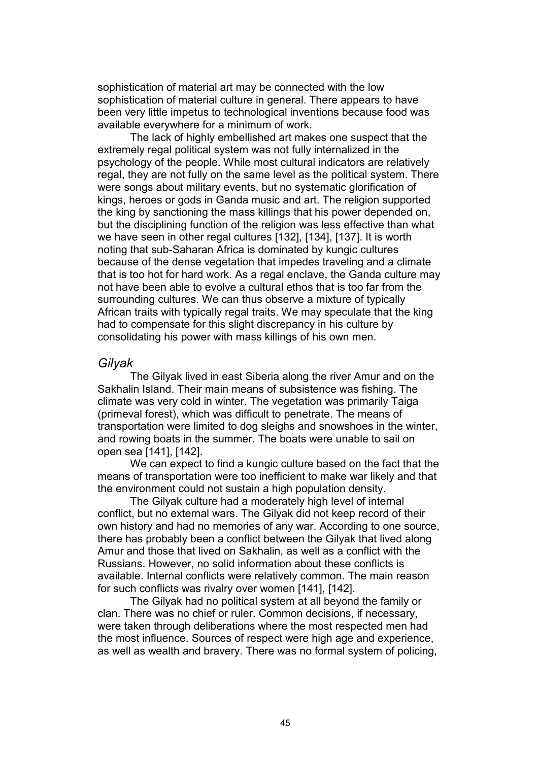sophistication of material art may be connected with the low sophistication of material culture in general. There appears to have been very little impetus to technological inventions because food was available everywhere for a minimum of work.

The lack of highly embellished art makes one suspect that the extremely regal political system was not fully internalized in the psychology of the people. While most cultural indicators are relatively regal, they are not fully on the same level as the political system. There were songs about military events, but no systematic glorification of kings, heroes or gods in Ganda music and art. The religion supported the king by sanctioning the mass killings that his power depended on, but the disciplining function of the religion was less effective than what we have seen in other regal cultures [\[132\]](#page-75-0), [[134\]](#page-75-0), [\[137\]](#page-75-0). It is worth noting that sub-Saharan Africa is dominated by kungic cultures because of the dense vegetation that impedes traveling and a climate that is too hot for hard work. As a regal enclave, the Ganda culture may not have been able to evolve a cultural ethos that is too far from the surrounding cultures. We can thus observe a mixture of typically African traits with typically regal traits. We may speculate that the king had to compensate for this slight discrepancy in his culture by consolidating his power with mass killings of his own men.

# *Gilyak*

The Gilyak lived in east Siberia along the river Amur and on the Sakhalin Island. Their main means of subsistence was fishing. The climate was very cold in winter. The vegetation was primarily Taiga (primeval forest), which was difficult to penetrate. The means of transportation were limited to dog sleighs and snowshoes in the winter, and rowing boats in the summer. The boats were unable to sail on open sea [\[141\]](#page-75-0), [\[142\]](#page-75-0).

We can expect to find a kungic culture based on the fact that the means of transportation were too inefficient to make war likely and that the environment could not sustain a high population density.

The Gilyak culture had a moderately high level of internal conflict, but no external wars. The Gilyak did not keep record of their own history and had no memories of any war. According to one source, there has probably been a conflict between the Gilyak that lived along Amur and those that lived on Sakhalin, as well as a conflict with the Russians. However, no solid information about these conflicts is available. Internal conflicts were relatively common. The main reason for such conflicts was rivalry over women [\[141\]](#page-75-0), [\[142\]](#page-75-0).

The Gilyak had no political system at all beyond the family or clan. There was no chief or ruler. Common decisions, if necessary, were taken through deliberations where the most respected men had the most influence. Sources of respect were high age and experience, as well as wealth and bravery. There was no formal system of policing,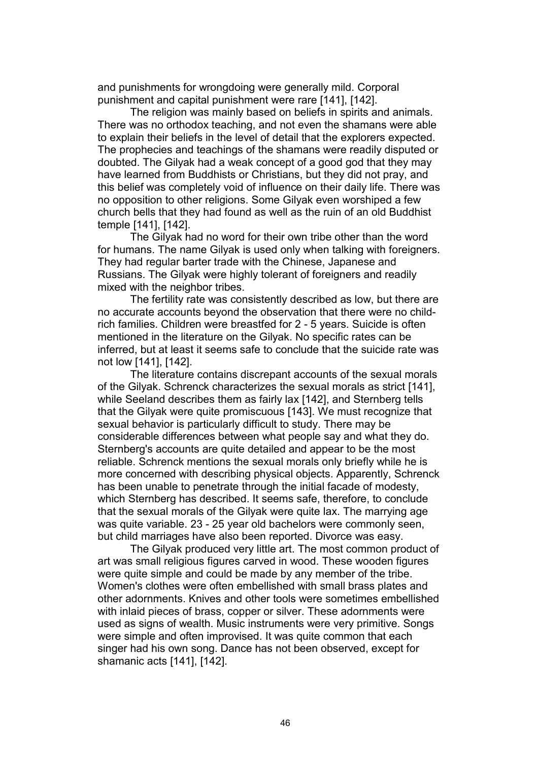and punishments for wrongdoing were generally mild. Corporal punishment and capital punishment were rare [\[141\]](#page-75-0), [\[142\]](#page-75-0).

The religion was mainly based on beliefs in spirits and animals. There was no orthodox teaching, and not even the shamans were able to explain their beliefs in the level of detail that the explorers expected. The prophecies and teachings of the shamans were readily disputed or doubted. The Gilyak had a weak concept of a good god that they may have learned from Buddhists or Christians, but they did not pray, and this belief was completely void of influence on their daily life. There was no opposition to other religions. Some Gilyak even worshiped a few church bells that they had found as well as the ruin of an old Buddhist temple [\[141\]](#page-75-0), [\[142\]](#page-75-0).

The Gilyak had no word for their own tribe other than the word for humans. The name Gilyak is used only when talking with foreigners. They had regular barter trade with the Chinese, Japanese and Russians. The Gilyak were highly tolerant of foreigners and readily mixed with the neighbor tribes.

The fertility rate was consistently described as low, but there are no accurate accounts beyond the observation that there were no childrich families. Children were breastfed for 2 - 5 years. Suicide is often mentioned in the literature on the Gilyak. No specific rates can be inferred, but at least it seems safe to conclude that the suicide rate was not low [\[141\]](#page-75-0), [\[142\]](#page-75-0).

The literature contains discrepant accounts of the sexual morals of the Gilyak. Schrenck characterizes the sexual morals as strict [[141\]](#page-75-0), while Seeland describes them as fairly lax [\[142\]](#page-75-0), and Sternberg tells that the Gilyak were quite promiscuous [\[143\]](#page-75-0). We must recognize that sexual behavior is particularly difficult to study. There may be considerable differences between what people say and what they do. Sternberg's accounts are quite detailed and appear to be the most reliable. Schrenck mentions the sexual morals only briefly while he is more concerned with describing physical objects. Apparently, Schrenck has been unable to penetrate through the initial facade of modesty, which Sternberg has described. It seems safe, therefore, to conclude that the sexual morals of the Gilyak were quite lax. The marrying age was quite variable. 23 - 25 year old bachelors were commonly seen, but child marriages have also been reported. Divorce was easy.

The Gilyak produced very little art. The most common product of art was small religious figures carved in wood. These wooden figures were quite simple and could be made by any member of the tribe. Women's clothes were often embellished with small brass plates and other adornments. Knives and other tools were sometimes embellished with inlaid pieces of brass, copper or silver. These adornments were used as signs of wealth. Music instruments were very primitive. Songs were simple and often improvised. It was quite common that each singer had his own song. Dance has not been observed, except for shamanic acts [\[141\]](#page-75-0), [\[142\]](#page-75-0).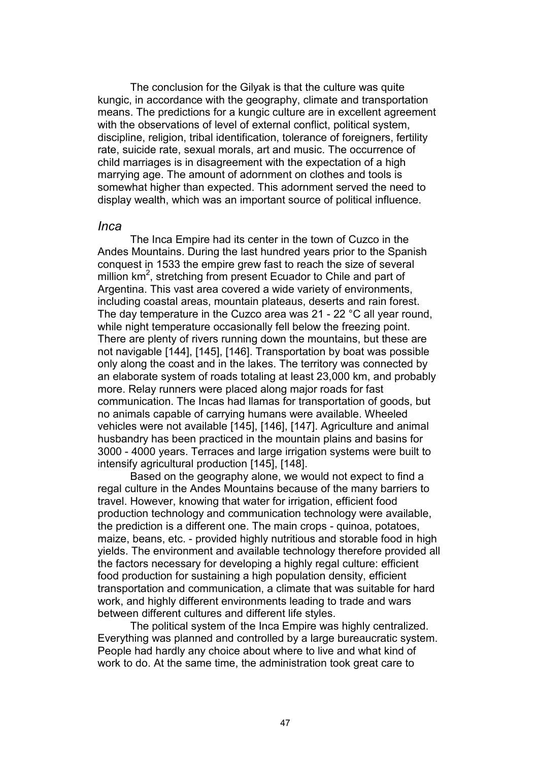The conclusion for the Gilyak is that the culture was quite kungic, in accordance with the geography, climate and transportation means. The predictions for a kungic culture are in excellent agreement with the observations of level of external conflict, political system, discipline, religion, tribal identification, tolerance of foreigners, fertility rate, suicide rate, sexual morals, art and music. The occurrence of child marriages is in disagreement with the expectation of a high marrying age. The amount of adornment on clothes and tools is somewhat higher than expected. This adornment served the need to display wealth, which was an important source of political influence.

#### *Inca*

The Inca Empire had its center in the town of Cuzco in the Andes Mountains. During the last hundred years prior to the Spanish conquest in 1533 the empire grew fast to reach the size of several million  $km^2$ , stretching from present Ecuador to Chile and part of Argentina. This vast area covered a wide variety of environments, including coastal areas, mountain plateaus, deserts and rain forest. The day temperature in the Cuzco area was 21 - 22 °C all year round, while night temperature occasionally fell below the freezing point. There are plenty of rivers running down the mountains, but these are not navigable [\[144\]](#page-76-0), [\[145\]](#page-76-0), [\[146\]](#page-76-0). Transportation by boat was possible only along the coast and in the lakes. The territory was connected by an elaborate system of roads totaling at least 23,000 km, and probably more. Relay runners were placed along major roads for fast communication. The Incas had llamas for transportation of goods, but no animals capable of carrying humans were available. Wheeled vehicles were not available [\[145\]](#page-76-0), [\[146\]](#page-76-0), [\[147\]](#page-76-0). Agriculture and animal husbandry has been practiced in the mountain plains and basins for 3000 - 4000 years. Terraces and large irrigation systems were built to intensify agricultural production [\[145\]](#page-76-0), [\[148\]](#page-76-0).

Based on the geography alone, we would not expect to find a regal culture in the Andes Mountains because of the many barriers to travel. However, knowing that water for irrigation, efficient food production technology and communication technology were available, the prediction is a different one. The main crops - quinoa, potatoes, maize, beans, etc. - provided highly nutritious and storable food in high yields. The environment and available technology therefore provided all the factors necessary for developing a highly regal culture: efficient food production for sustaining a high population density, efficient transportation and communication, a climate that was suitable for hard work, and highly different environments leading to trade and wars between different cultures and different life styles.

The political system of the Inca Empire was highly centralized. Everything was planned and controlled by a large bureaucratic system. People had hardly any choice about where to live and what kind of work to do. At the same time, the administration took great care to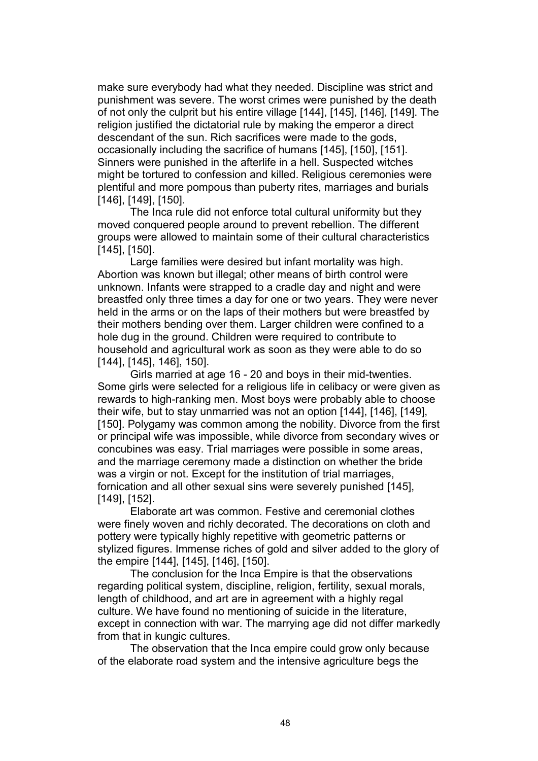make sure everybody had what they needed. Discipline was strict and punishment was severe. The worst crimes were punished by the death of not only the culprit but his entire village [\[144\]](#page-76-0), [\[145\]](#page-76-0), [\[146\]](#page-76-0), [\[149\]](#page-76-0). The religion justified the dictatorial rule by making the emperor a direct descendant of the sun. Rich sacrifices were made to the gods, occasionally including the sacrifice of humans [\[145\]](#page-76-0), [\[150\]](#page-76-0), [\[151\]](#page-76-0). Sinners were punished in the afterlife in a hell. Suspected witches might be tortured to confession and killed. Religious ceremonies were plentiful and more pompous than puberty rites, marriages and burials [\[146\]](#page-76-0), [\[149\]](#page-76-0), [\[150\]](#page-76-0).

The Inca rule did not enforce total cultural uniformity but they moved conquered people around to prevent rebellion. The different groups were allowed to maintain some of their cultural characteristics [\[145\]](#page-76-0), [\[150\]](#page-76-0).

Large families were desired but infant mortality was high. Abortion was known but illegal; other means of birth control were unknown. Infants were strapped to a cradle day and night and were breastfed only three times a day for one or two years. They were never held in the arms or on the laps of their mothers but were breastfed by their mothers bending over them. Larger children were confined to a hole dug in the ground. Children were required to contribute to household and agricultural work as soon as they were able to do so [\[144\]](#page-76-0), [\[145\]](#page-76-0), [146\]](#page-76-0), [150\]](#page-76-0).

Girls married at age 16 - 20 and boys in their mid-twenties. Some girls were selected for a religious life in celibacy or were given as rewards to high-ranking men. Most boys were probably able to choose their wife, but to stay unmarried was not an option [\[144\]](#page-76-0), [[146\]](#page-76-0), [\[149\]](#page-76-0), [\[150\]](#page-76-0). Polygamy was common among the nobility. Divorce from the first or principal wife was impossible, while divorce from secondary wives or concubines was easy. Trial marriages were possible in some areas, and the marriage ceremony made a distinction on whether the bride was a virgin or not. Except for the institution of trial marriages, fornication and all other sexual sins were severely punished [\[145\]](#page-76-0), [\[149\]](#page-76-0), [\[152\]](#page-76-0).

Elaborate art was common. Festive and ceremonial clothes were finely woven and richly decorated. The decorations on cloth and pottery were typically highly repetitive with geometric patterns or stylized figures. Immense riches of gold and silver added to the glory of the empire [\[144\]](#page-76-0), [\[145\]](#page-76-0), [\[146\]](#page-76-0), [\[150\]](#page-76-0).

The conclusion for the Inca Empire is that the observations regarding political system, discipline, religion, fertility, sexual morals, length of childhood, and art are in agreement with a highly regal culture. We have found no mentioning of suicide in the literature, except in connection with war. The marrying age did not differ markedly from that in kungic cultures.

The observation that the Inca empire could grow only because of the elaborate road system and the intensive agriculture begs the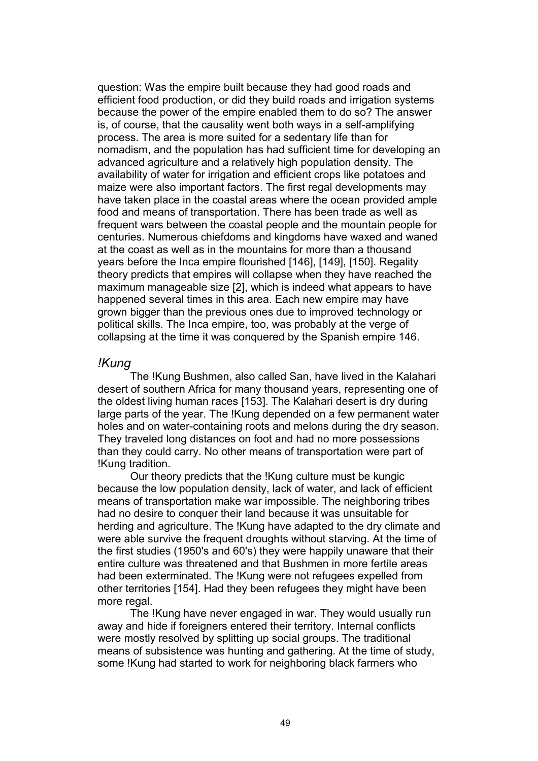question: Was the empire built because they had good roads and efficient food production, or did they build roads and irrigation systems because the power of the empire enabled them to do so? The answer is, of course, that the causality went both ways in a self-amplifying process. The area is more suited for a sedentary life than for nomadism, and the population has had sufficient time for developing an advanced agriculture and a relatively high population density. The availability of water for irrigation and efficient crops like potatoes and maize were also important factors. The first regal developments may have taken place in the coastal areas where the ocean provided ample food and means of transportation. There has been trade as well as frequent wars between the coastal people and the mountain people for centuries. Numerous chiefdoms and kingdoms have waxed and waned at the coast as well as in the mountains for more than a thousand years before the Inca empire flourished [[146\]](#page-76-0), [\[149\]](#page-76-0), [\[150\]](#page-76-0). Regality theory predicts that empires will collapse when they have reached the maximum manageable size [\[2\]](#page-67-0), which is indeed what appears to have happened several times in this area. Each new empire may have grown bigger than the previous ones due to improved technology or political skills. The Inca empire, too, was probably at the verge of collapsing at the time it was conquered by the Spanish empire [146.](#page-76-0)

# *!Kung*

The !Kung Bushmen, also called San, have lived in the Kalahari desert of southern Africa for many thousand years, representing one of the oldest living human races [\[153\]](#page-76-0). The Kalahari desert is dry during large parts of the year. The !Kung depended on a few permanent water holes and on water-containing roots and melons during the dry season. They traveled long distances on foot and had no more possessions than they could carry. No other means of transportation were part of !Kung tradition.

Our theory predicts that the !Kung culture must be kungic because the low population density, lack of water, and lack of efficient means of transportation make war impossible. The neighboring tribes had no desire to conquer their land because it was unsuitable for herding and agriculture. The !Kung have adapted to the dry climate and were able survive the frequent droughts without starving. At the time of the first studies (1950's and 60's) they were happily unaware that their entire culture was threatened and that Bushmen in more fertile areas had been exterminated. The !Kung were not refugees expelled from other territories [\[154\]](#page-76-0). Had they been refugees they might have been more regal.

The !Kung have never engaged in war. They would usually run away and hide if foreigners entered their territory. Internal conflicts were mostly resolved by splitting up social groups. The traditional means of subsistence was hunting and gathering. At the time of study, some !Kung had started to work for neighboring black farmers who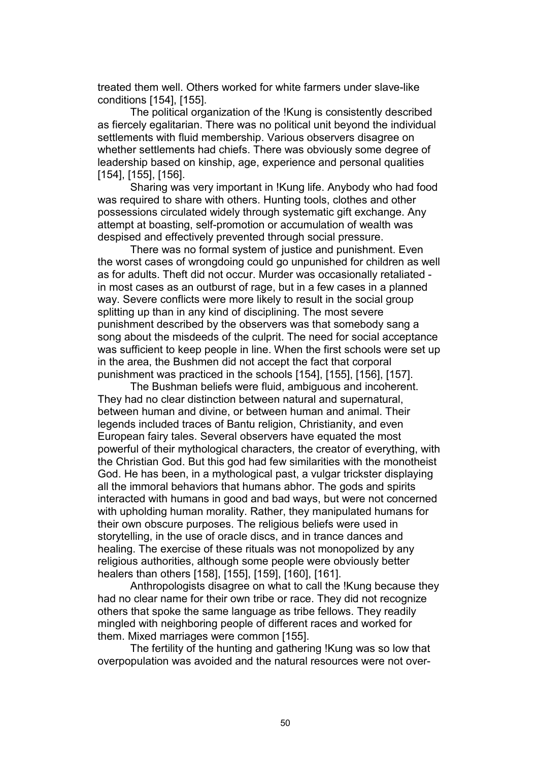treated them well. Others worked for white farmers under slave-like conditions [\[154\]](#page-76-0), [\[155\]](#page-76-0).

The political organization of the !Kung is consistently described as fiercely egalitarian. There was no political unit beyond the individual settlements with fluid membership. Various observers disagree on whether settlements had chiefs. There was obviously some degree of leadership based on kinship, age, experience and personal qualities [\[154\]](#page-76-0), [\[155\]](#page-76-0), [\[156\]](#page-76-0).

Sharing was very important in !Kung life. Anybody who had food was required to share with others. Hunting tools, clothes and other possessions circulated widely through systematic gift exchange. Any attempt at boasting, self-promotion or accumulation of wealth was despised and effectively prevented through social pressure.

There was no formal system of justice and punishment. Even the worst cases of wrongdoing could go unpunished for children as well as for adults. Theft did not occur. Murder was occasionally retaliated in most cases as an outburst of rage, but in a few cases in a planned way. Severe conflicts were more likely to result in the social group splitting up than in any kind of disciplining. The most severe punishment described by the observers was that somebody sang a song about the misdeeds of the culprit. The need for social acceptance was sufficient to keep people in line. When the first schools were set up in the area, the Bushmen did not accept the fact that corporal punishment was practiced in the schools [\[154\]](#page-76-0), [\[155\]](#page-76-0), [\[156\]](#page-76-0), [\[157\]](#page-76-0).

The Bushman beliefs were fluid, ambiguous and incoherent. They had no clear distinction between natural and supernatural, between human and divine, or between human and animal. Their legends included traces of Bantu religion, Christianity, and even European fairy tales. Several observers have equated the most powerful of their mythological characters, the creator of everything, with the Christian God. But this god had few similarities with the monotheist God. He has been, in a mythological past, a vulgar trickster displaying all the immoral behaviors that humans abhor. The gods and spirits interacted with humans in good and bad ways, but were not concerned with upholding human morality. Rather, they manipulated humans for their own obscure purposes. The religious beliefs were used in storytelling, in the use of oracle discs, and in trance dances and healing. The exercise of these rituals was not monopolized by any religious authorities, although some people were obviously better healers than others [\[158\]](#page-76-0), [\[155\]](#page-76-0), [\[159\]](#page-76-0), [\[160\]](#page-76-0), [\[161\]](#page-76-0).

Anthropologists disagree on what to call the !Kung because they had no clear name for their own tribe or race. They did not recognize others that spoke the same language as tribe fellows. They readily mingled with neighboring people of different races and worked for them. Mixed marriages were common [\[155\]](#page-76-0).

The fertility of the hunting and gathering !Kung was so low that overpopulation was avoided and the natural resources were not over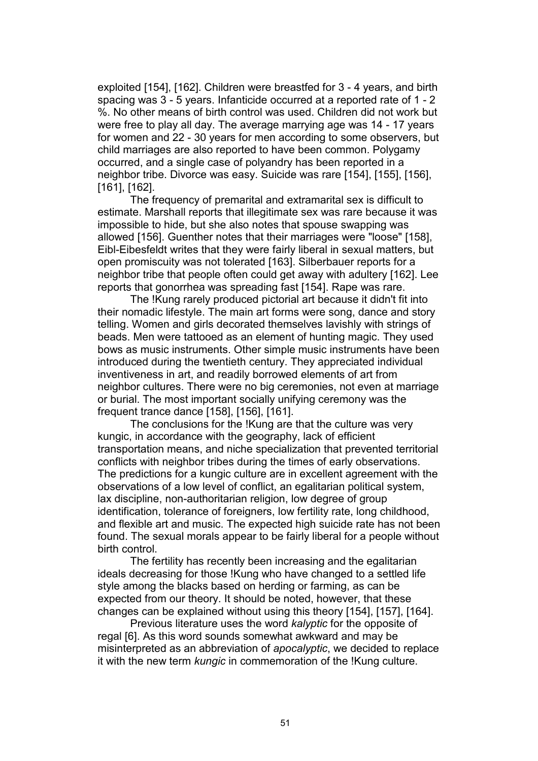exploited [\[154\]](#page-76-0), [\[162\]](#page-77-0). Children were breastfed for 3 - 4 years, and birth spacing was 3 - 5 years. Infanticide occurred at a reported rate of 1 - 2 %. No other means of birth control was used. Children did not work but were free to play all day. The average marrying age was 14 - 17 years for women and 22 - 30 years for men according to some observers, but child marriages are also reported to have been common. Polygamy occurred, and a single case of polyandry has been reported in a neighbor tribe. Divorce was easy. Suicide was rare [\[154\]](#page-76-0), [\[155\]](#page-76-0), [\[156\]](#page-76-0), [\[161\]](#page-76-0), [\[162\]](#page-77-0).

The frequency of premarital and extramarital sex is difficult to estimate. Marshall reports that illegitimate sex was rare because it was impossible to hide, but she also notes that spouse swapping was allowed [\[156\]](#page-76-0). Guenther notes that their marriages were "loose" [\[158\]](#page-76-0), Eibl-Eibesfeldt writes that they were fairly liberal in sexual matters, but open promiscuity was not tolerated [\[163\]](#page-77-0). Silberbauer reports for a neighbor tribe that people often could get away with adultery [\[162\]](#page-77-0). Lee reports that gonorrhea was spreading fast [\[154\]](#page-76-0). Rape was rare.

The !Kung rarely produced pictorial art because it didn't fit into their nomadic lifestyle. The main art forms were song, dance and story telling. Women and girls decorated themselves lavishly with strings of beads. Men were tattooed as an element of hunting magic. They used bows as music instruments. Other simple music instruments have been introduced during the twentieth century. They appreciated individual inventiveness in art, and readily borrowed elements of art from neighbor cultures. There were no big ceremonies, not even at marriage or burial. The most important socially unifying ceremony was the frequent trance dance [\[158\]](#page-76-0), [\[156\]](#page-76-0), [\[161\]](#page-76-0).

The conclusions for the !Kung are that the culture was very kungic, in accordance with the geography, lack of efficient transportation means, and niche specialization that prevented territorial conflicts with neighbor tribes during the times of early observations. The predictions for a kungic culture are in excellent agreement with the observations of a low level of conflict, an egalitarian political system, lax discipline, non-authoritarian religion, low degree of group identification, tolerance of foreigners, low fertility rate, long childhood, and flexible art and music. The expected high suicide rate has not been found. The sexual morals appear to be fairly liberal for a people without birth control.

The fertility has recently been increasing and the egalitarian ideals decreasing for those !Kung who have changed to a settled life style among the blacks based on herding or farming, as can be expected from our theory. It should be noted, however, that these changes can be explained without using this theory [\[154\]](#page-76-0), [\[157\]](#page-76-0), [\[164\]](#page-77-0).

Previous literature uses the word *kalyptic* for the opposite of regal [\[6\]](#page-67-0). As this word sounds somewhat awkward and may be misinterpreted as an abbreviation of *apocalyptic*, we decided to replace it with the new term *kungic* in commemoration of the !Kung culture.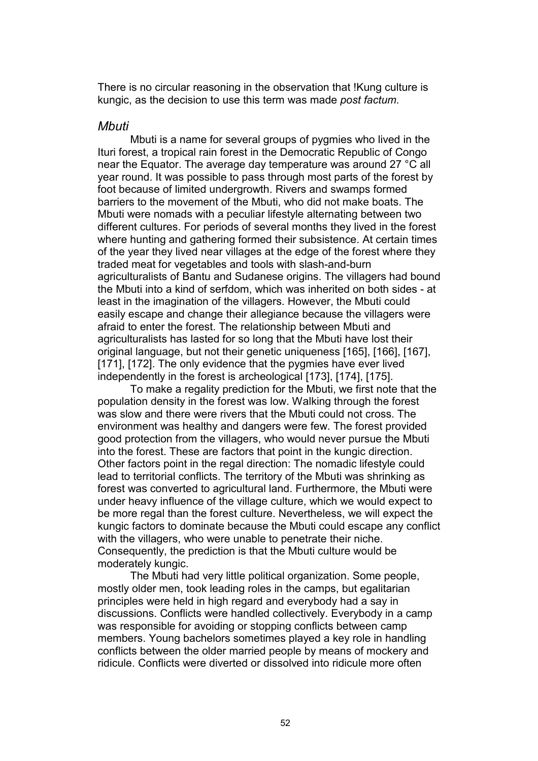There is no circular reasoning in the observation that !Kung culture is kungic, as the decision to use this term was made *post factum*.

### *Mbuti*

Mbuti is a name for several groups of pygmies who lived in the Ituri forest, a tropical rain forest in the Democratic Republic of Congo near the Equator. The average day temperature was around 27 °C all year round. It was possible to pass through most parts of the forest by foot because of limited undergrowth. Rivers and swamps formed barriers to the movement of the Mbuti, who did not make boats. The Mbuti were nomads with a peculiar lifestyle alternating between two different cultures. For periods of several months they lived in the forest where hunting and gathering formed their subsistence. At certain times of the year they lived near villages at the edge of the forest where they traded meat for vegetables and tools with slash-and-burn agriculturalists of Bantu and Sudanese origins. The villagers had bound the Mbuti into a kind of serfdom, which was inherited on both sides - at least in the imagination of the villagers. However, the Mbuti could easily escape and change their allegiance because the villagers were afraid to enter the forest. The relationship between Mbuti and agriculturalists has lasted for so long that the Mbuti have lost their original language, but not their genetic uniqueness [[165\]](#page-77-0), [\[166\]](#page-77-0), [\[167\]](#page-77-0), [\[171\]](#page-77-0), [\[172\]](#page-77-0). The only evidence that the pygmies have ever lived independently in the forest is archeological [\[173\]](#page-77-0), [\[174\]](#page-77-0), [\[175\]](#page-77-0).

To make a regality prediction for the Mbuti, we first note that the population density in the forest was low. Walking through the forest was slow and there were rivers that the Mbuti could not cross. The environment was healthy and dangers were few. The forest provided good protection from the villagers, who would never pursue the Mbuti into the forest. These are factors that point in the kungic direction. Other factors point in the regal direction: The nomadic lifestyle could lead to territorial conflicts. The territory of the Mbuti was shrinking as forest was converted to agricultural land. Furthermore, the Mbuti were under heavy influence of the village culture, which we would expect to be more regal than the forest culture. Nevertheless, we will expect the kungic factors to dominate because the Mbuti could escape any conflict with the villagers, who were unable to penetrate their niche. Consequently, the prediction is that the Mbuti culture would be moderately kungic.

The Mbuti had very little political organization. Some people, mostly older men, took leading roles in the camps, but egalitarian principles were held in high regard and everybody had a say in discussions. Conflicts were handled collectively. Everybody in a camp was responsible for avoiding or stopping conflicts between camp members. Young bachelors sometimes played a key role in handling conflicts between the older married people by means of mockery and ridicule. Conflicts were diverted or dissolved into ridicule more often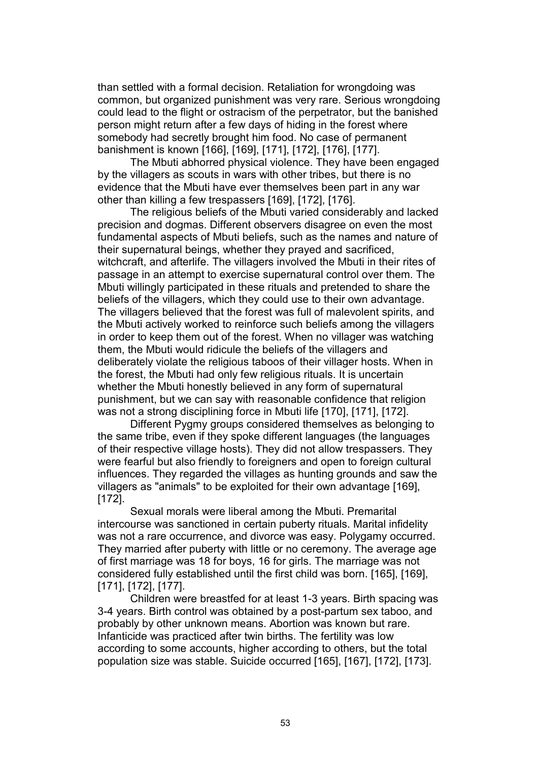than settled with a formal decision. Retaliation for wrongdoing was common, but organized punishment was very rare. Serious wrongdoing could lead to the flight or ostracism of the perpetrator, but the banished person might return after a few days of hiding in the forest where somebody had secretly brought him food. No case of permanent banishment is known [\[166\]](#page-77-0), [\[169\]](#page-77-0), [\[171\]](#page-77-0), [\[172\]](#page-77-0), [\[176\]](#page-78-0), [\[177\]](#page-78-0).

The Mbuti abhorred physical violence. They have been engaged by the villagers as scouts in wars with other tribes, but there is no evidence that the Mbuti have ever themselves been part in any war other than killing a few trespassers [\[169\]](#page-77-0), [\[172\]](#page-77-0), [\[176\]](#page-78-0).

The religious beliefs of the Mbuti varied considerably and lacked precision and dogmas. Different observers disagree on even the most fundamental aspects of Mbuti beliefs, such as the names and nature of their supernatural beings, whether they prayed and sacrificed, witchcraft, and afterlife. The villagers involved the Mbuti in their rites of passage in an attempt to exercise supernatural control over them. The Mbuti willingly participated in these rituals and pretended to share the beliefs of the villagers, which they could use to their own advantage. The villagers believed that the forest was full of malevolent spirits, and the Mbuti actively worked to reinforce such beliefs among the villagers in order to keep them out of the forest. When no villager was watching them, the Mbuti would ridicule the beliefs of the villagers and deliberately violate the religious taboos of their villager hosts. When in the forest, the Mbuti had only few religious rituals. It is uncertain whether the Mbuti honestly believed in any form of supernatural punishment, but we can say with reasonable confidence that religion was not a strong disciplining force in Mbuti life [[170\]](#page-77-0), [\[171\]](#page-77-0), [\[172\]](#page-77-0).

Different Pygmy groups considered themselves as belonging to the same tribe, even if they spoke different languages (the languages of their respective village hosts). They did not allow trespassers. They were fearful but also friendly to foreigners and open to foreign cultural influences. They regarded the villages as hunting grounds and saw the villagers as "animals" to be exploited for their own advantage [\[169\]](#page-77-0), [\[172\]](#page-77-0).

Sexual morals were liberal among the Mbuti. Premarital intercourse was sanctioned in certain puberty rituals. Marital infidelity was not a rare occurrence, and divorce was easy. Polygamy occurred. They married after puberty with little or no ceremony. The average age of first marriage was 18 for boys, 16 for girls. The marriage was not considered fully established until the first child was born. [\[165\]](#page-77-0), [\[169\]](#page-77-0), [\[171\]](#page-77-0), [\[172\]](#page-77-0), [\[177\]](#page-78-0).

Children were breastfed for at least 1-3 years. Birth spacing was 3-4 years. Birth control was obtained by a post-partum sex taboo, and probably by other unknown means. Abortion was known but rare. Infanticide was practiced after twin births. The fertility was low according to some accounts, higher according to others, but the total population size was stable. Suicide occurred [\[165\]](#page-77-0), [\[167\]](#page-77-0), [\[172\]](#page-77-0), [\[173\]](#page-77-0).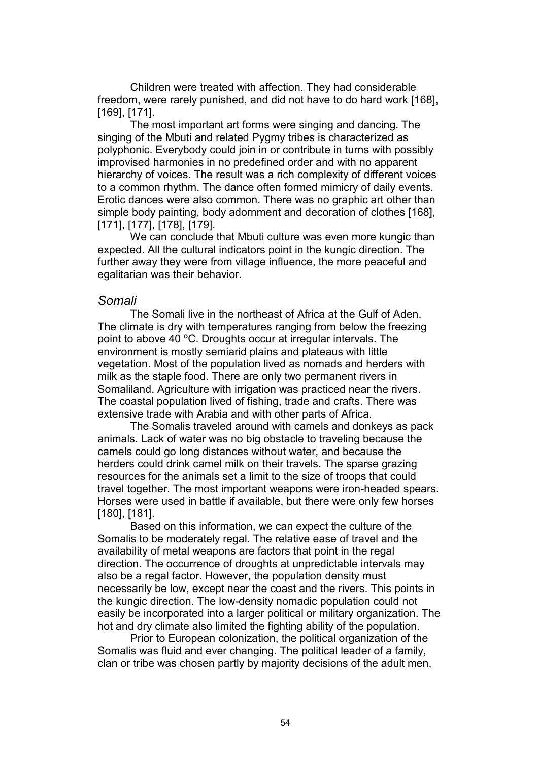Children were treated with affection. They had considerable freedom, were rarely punished, and did not have to do hard work [[168\]](#page-77-0), [\[169\]](#page-77-0), [\[171\]](#page-77-0).

The most important art forms were singing and dancing. The singing of the Mbuti and related Pygmy tribes is characterized as polyphonic. Everybody could join in or contribute in turns with possibly improvised harmonies in no predefined order and with no apparent hierarchy of voices. The result was a rich complexity of different voices to a common rhythm. The dance often formed mimicry of daily events. Erotic dances were also common. There was no graphic art other than simple body painting, body adornment and decoration of clothes [[168\]](#page-77-0), [\[171\]](#page-77-0), [\[177\]](#page-78-0), [\[178\]](#page-78-0), [\[179\]](#page-78-0).

We can conclude that Mbuti culture was even more kungic than expected. All the cultural indicators point in the kungic direction. The further away they were from village influence, the more peaceful and egalitarian was their behavior.

#### *Somali*

The Somali live in the northeast of Africa at the Gulf of Aden. The climate is dry with temperatures ranging from below the freezing point to above 40 ºC. Droughts occur at irregular intervals. The environment is mostly semiarid plains and plateaus with little vegetation. Most of the population lived as nomads and herders with milk as the staple food. There are only two permanent rivers in Somaliland. Agriculture with irrigation was practiced near the rivers. The coastal population lived of fishing, trade and crafts. There was extensive trade with Arabia and with other parts of Africa.

The Somalis traveled around with camels and donkeys as pack animals. Lack of water was no big obstacle to traveling because the camels could go long distances without water, and because the herders could drink camel milk on their travels. The sparse grazing resources for the animals set a limit to the size of troops that could travel together. The most important weapons were iron-headed spears. Horses were used in battle if available, but there were only few horses [\[180\]](#page-78-0), [\[181\]](#page-78-0).

Based on this information, we can expect the culture of the Somalis to be moderately regal. The relative ease of travel and the availability of metal weapons are factors that point in the regal direction. The occurrence of droughts at unpredictable intervals may also be a regal factor. However, the population density must necessarily be low, except near the coast and the rivers. This points in the kungic direction. The low-density nomadic population could not easily be incorporated into a larger political or military organization. The hot and dry climate also limited the fighting ability of the population.

Prior to European colonization, the political organization of the Somalis was fluid and ever changing. The political leader of a family, clan or tribe was chosen partly by majority decisions of the adult men,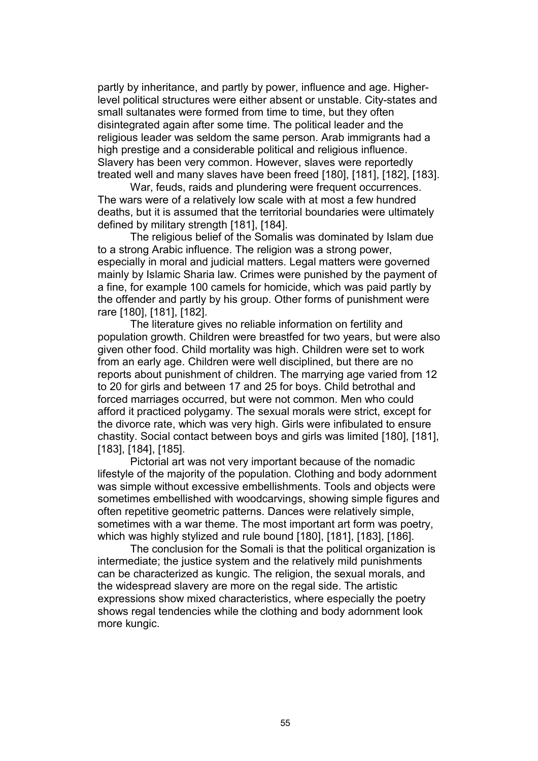partly by inheritance, and partly by power, influence and age. Higherlevel political structures were either absent or unstable. City-states and small sultanates were formed from time to time, but they often disintegrated again after some time. The political leader and the religious leader was seldom the same person. Arab immigrants had a high prestige and a considerable political and religious influence. Slavery has been very common. However, slaves were reportedly treated well and many slaves have been freed [\[180\]](#page-78-0), [\[181\]](#page-78-0), [\[182\]](#page-78-0), [\[183\]](#page-78-0).

War, feuds, raids and plundering were frequent occurrences. The wars were of a relatively low scale with at most a few hundred deaths, but it is assumed that the territorial boundaries were ultimately defined by military strength [\[181\]](#page-78-0), [\[184\]](#page-78-0).

The religious belief of the Somalis was dominated by Islam due to a strong Arabic influence. The religion was a strong power, especially in moral and judicial matters. Legal matters were governed mainly by Islamic Sharia law. Crimes were punished by the payment of a fine, for example 100 camels for homicide, which was paid partly by the offender and partly by his group. Other forms of punishment were rare [\[180\]](#page-78-0), [\[181\]](#page-78-0), [\[182\]](#page-78-0).

The literature gives no reliable information on fertility and population growth. Children were breastfed for two years, but were also given other food. Child mortality was high. Children were set to work from an early age. Children were well disciplined, but there are no reports about punishment of children. The marrying age varied from 12 to 20 for girls and between 17 and 25 for boys. Child betrothal and forced marriages occurred, but were not common. Men who could afford it practiced polygamy. The sexual morals were strict, except for the divorce rate, which was very high. Girls were infibulated to ensure chastity. Social contact between boys and girls was limited [\[180\]](#page-78-0), [\[181\]](#page-78-0), [\[183\]](#page-78-0), [\[184\]](#page-78-0), [\[185\]](#page-78-0).

Pictorial art was not very important because of the nomadic lifestyle of the majority of the population. Clothing and body adornment was simple without excessive embellishments. Tools and objects were sometimes embellished with woodcarvings, showing simple figures and often repetitive geometric patterns. Dances were relatively simple, sometimes with a war theme. The most important art form was poetry, which was highly stylized and rule bound [\[180\]](#page-78-0), [[181\]](#page-78-0), [\[183\]](#page-78-0), [\[186\]](#page-78-0).

The conclusion for the Somali is that the political organization is intermediate; the justice system and the relatively mild punishments can be characterized as kungic. The religion, the sexual morals, and the widespread slavery are more on the regal side. The artistic expressions show mixed characteristics, where especially the poetry shows regal tendencies while the clothing and body adornment look more kungic.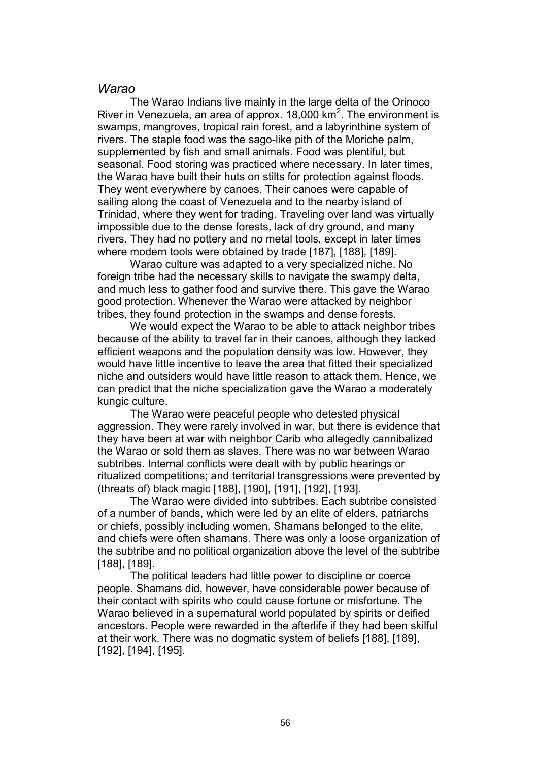# *Warao*

The Warao Indians live mainly in the large delta of the Orinoco River in Venezuela, an area of approx.  $18,000$  km<sup>2</sup>. The environment is swamps, mangroves, tropical rain forest, and a labyrinthine system of rivers. The staple food was the sago-like pith of the Moriche palm, supplemented by fish and small animals. Food was plentiful, but seasonal. Food storing was practiced where necessary. In later times, the Warao have built their huts on stilts for protection against floods. They went everywhere by canoes. Their canoes were capable of sailing along the coast of Venezuela and to the nearby island of Trinidad, where they went for trading. Traveling over land was virtually impossible due to the dense forests, lack of dry ground, and many rivers. They had no pottery and no metal tools, except in later times where modern tools were obtained by trade [\[187\]](#page-78-0), [\[188\]](#page-78-0), [\[189\]](#page-78-0).

Warao culture was adapted to a very specialized niche. No foreign tribe had the necessary skills to navigate the swampy delta, and much less to gather food and survive there. This gave the Warao good protection. Whenever the Warao were attacked by neighbor tribes, they found protection in the swamps and dense forests.

We would expect the Warao to be able to attack neighbor tribes because of the ability to travel far in their canoes, although they lacked efficient weapons and the population density was low. However, they would have little incentive to leave the area that fitted their specialized niche and outsiders would have little reason to attack them. Hence, we can predict that the niche specialization gave the Warao a moderately kungic culture.

The Warao were peaceful people who detested physical aggression. They were rarely involved in war, but there is evidence that they have been at war with neighbor Carib who allegedly cannibalized the Warao or sold them as slaves. There was no war between Warao subtribes. Internal conflicts were dealt with by public hearings or ritualized competitions; and territorial transgressions were prevented by (threats of) black magic [\[188\]](#page-78-0), [\[190\]](#page-78-0), [\[191\]](#page-79-0), [\[192\]](#page-79-0), [\[193\]](#page-79-0).

The Warao were divided into subtribes. Each subtribe consisted of a number of bands, which were led by an elite of elders, patriarchs or chiefs, possibly including women. Shamans belonged to the elite, and chiefs were often shamans. There was only a loose organization of the subtribe and no political organization above the level of the subtribe [\[188\]](#page-78-0), [\[189\]](#page-78-0).

The political leaders had little power to discipline or coerce people. Shamans did, however, have considerable power because of their contact with spirits who could cause fortune or misfortune. The Warao believed in a supernatural world populated by spirits or deified ancestors. People were rewarded in the afterlife if they had been skilful at their work. There was no dogmatic system of beliefs [\[188\]](#page-78-0), [\[189\]](#page-78-0), [\[192\]](#page-79-0), [\[194\]](#page-79-0), [\[195\]](#page-79-0).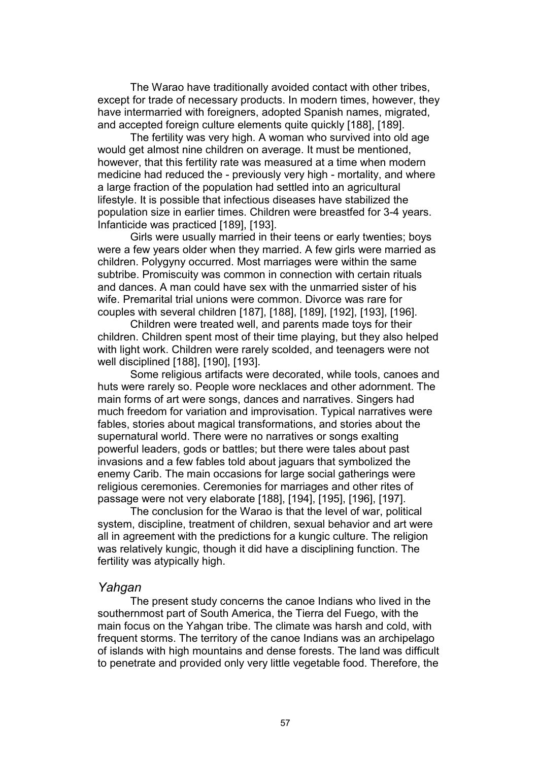The Warao have traditionally avoided contact with other tribes, except for trade of necessary products. In modern times, however, they have intermarried with foreigners, adopted Spanish names, migrated, and accepted foreign culture elements quite quickly [\[188\]](#page-78-0), [\[189\]](#page-78-0).

The fertility was very high. A woman who survived into old age would get almost nine children on average. It must be mentioned, however, that this fertility rate was measured at a time when modern medicine had reduced the - previously very high - mortality, and where a large fraction of the population had settled into an agricultural lifestyle. It is possible that infectious diseases have stabilized the population size in earlier times. Children were breastfed for 3-4 years. Infanticide was practiced [\[189\]](#page-78-0), [\[193\]](#page-79-0).

Girls were usually married in their teens or early twenties; boys were a few years older when they married. A few girls were married as children. Polygyny occurred. Most marriages were within the same subtribe. Promiscuity was common in connection with certain rituals and dances. A man could have sex with the unmarried sister of his wife. Premarital trial unions were common. Divorce was rare for couples with several children [\[187\]](#page-78-0), [\[188\]](#page-78-0), [[189\]](#page-78-0), [\[192\]](#page-79-0), [\[193\]](#page-79-0), [\[196\]](#page-79-0).

Children were treated well, and parents made toys for their children. Children spent most of their time playing, but they also helped with light work. Children were rarely scolded, and teenagers were not well disciplined [\[188\]](#page-78-0), [\[190\]](#page-78-0), [\[193\]](#page-79-0).

Some religious artifacts were decorated, while tools, canoes and huts were rarely so. People wore necklaces and other adornment. The main forms of art were songs, dances and narratives. Singers had much freedom for variation and improvisation. Typical narratives were fables, stories about magical transformations, and stories about the supernatural world. There were no narratives or songs exalting powerful leaders, gods or battles; but there were tales about past invasions and a few fables told about jaguars that symbolized the enemy Carib. The main occasions for large social gatherings were religious ceremonies. Ceremonies for marriages and other rites of passage were not very elaborate [\[188\]](#page-78-0), [\[194\]](#page-79-0), [\[195\]](#page-79-0), [[196\]](#page-79-0), [\[197\]](#page-79-0).

The conclusion for the Warao is that the level of war, political system, discipline, treatment of children, sexual behavior and art were all in agreement with the predictions for a kungic culture. The religion was relatively kungic, though it did have a disciplining function. The fertility was atypically high.

#### *Yahgan*

The present study concerns the canoe Indians who lived in the southernmost part of South America, the Tierra del Fuego, with the main focus on the Yahgan tribe. The climate was harsh and cold, with frequent storms. The territory of the canoe Indians was an archipelago of islands with high mountains and dense forests. The land was difficult to penetrate and provided only very little vegetable food. Therefore, the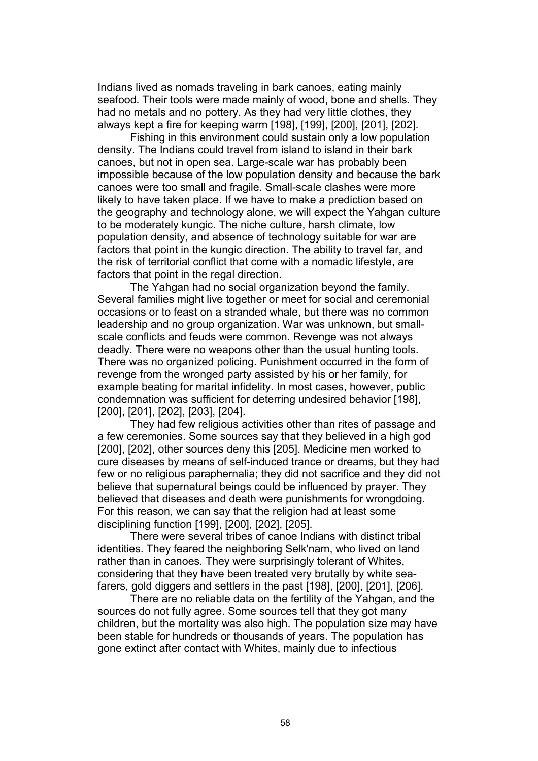Indians lived as nomads traveling in bark canoes, eating mainly seafood. Their tools were made mainly of wood, bone and shells. They had no metals and no pottery. As they had very little clothes, they always kept a fire for keeping warm [\[198\]](#page-79-0), [\[199\]](#page-79-0), [\[200\]](#page-79-0), [\[201\]](#page-79-0), [\[202\]](#page-79-0).

Fishing in this environment could sustain only a low population density. The Indians could travel from island to island in their bark canoes, but not in open sea. Large-scale war has probably been impossible because of the low population density and because the bark canoes were too small and fragile. Small-scale clashes were more likely to have taken place. If we have to make a prediction based on the geography and technology alone, we will expect the Yahgan culture to be moderately kungic. The niche culture, harsh climate, low population density, and absence of technology suitable for war are factors that point in the kungic direction. The ability to travel far, and the risk of territorial conflict that come with a nomadic lifestyle, are factors that point in the regal direction.

The Yahgan had no social organization beyond the family. Several families might live together or meet for social and ceremonial occasions or to feast on a stranded whale, but there was no common leadership and no group organization. War was unknown, but smallscale conflicts and feuds were common. Revenge was not always deadly. There were no weapons other than the usual hunting tools. There was no organized policing. Punishment occurred in the form of revenge from the wronged party assisted by his or her family, for example beating for marital infidelity. In most cases, however, public condemnation was sufficient for deterring undesired behavior [\[198\]](#page-79-0), [\[200\]](#page-79-0), [\[201\]](#page-79-0), [\[202\]](#page-79-0), [\[203\]](#page-79-0), [\[204\]](#page-79-0).

They had few religious activities other than rites of passage and a few ceremonies. Some sources say that they believed in a high god [\[200\]](#page-79-0), [\[202\]](#page-79-0), other sources deny this [\[205\]](#page-79-0). Medicine men worked to cure diseases by means of self-induced trance or dreams, but they had few or no religious paraphernalia; they did not sacrifice and they did not believe that supernatural beings could be influenced by prayer. They believed that diseases and death were punishments for wrongdoing. For this reason, we can say that the religion had at least some disciplining function [\[199\]](#page-79-0), [\[200\]](#page-79-0), [\[202\]](#page-79-0), [\[205\]](#page-79-0).

There were several tribes of canoe Indians with distinct tribal identities. They feared the neighboring Selk'nam, who lived on land rather than in canoes. They were surprisingly tolerant of Whites, considering that they have been treated very brutally by white seafarers, gold diggers and settlers in the past [\[198\]](#page-79-0), [\[200\]](#page-79-0), [\[201\]](#page-79-0), [\[206\]](#page-79-0).

There are no reliable data on the fertility of the Yahgan, and the sources do not fully agree. Some sources tell that they got many children, but the mortality was also high. The population size may have been stable for hundreds or thousands of years. The population has gone extinct after contact with Whites, mainly due to infectious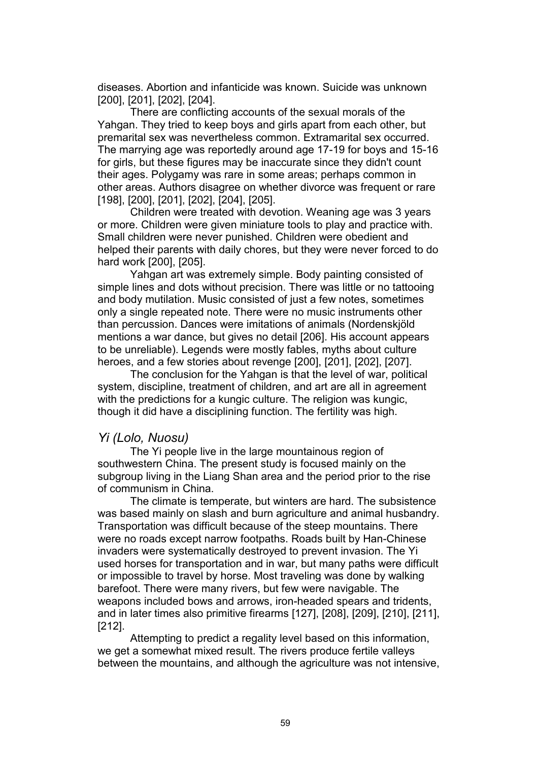diseases. Abortion and infanticide was known. Suicide was unknown [\[200\]](#page-79-0), [\[201\]](#page-79-0), [\[202\]](#page-79-0), [\[204\]](#page-79-0).

There are conflicting accounts of the sexual morals of the Yahgan. They tried to keep boys and girls apart from each other, but premarital sex was nevertheless common. Extramarital sex occurred. The marrying age was reportedly around age 17-19 for boys and 15-16 for girls, but these figures may be inaccurate since they didn't count their ages. Polygamy was rare in some areas; perhaps common in other areas. Authors disagree on whether divorce was frequent or rare [\[198\]](#page-79-0), [\[200\]](#page-79-0), [\[201\]](#page-79-0), [\[202\]](#page-79-0), [\[204\]](#page-79-0), [\[205\]](#page-79-0).

Children were treated with devotion. Weaning age was 3 years or more. Children were given miniature tools to play and practice with. Small children were never punished. Children were obedient and helped their parents with daily chores, but they were never forced to do hard work [\[200\]](#page-79-0), [\[205\]](#page-79-0).

Yahgan art was extremely simple. Body painting consisted of simple lines and dots without precision. There was little or no tattooing and body mutilation. Music consisted of just a few notes, sometimes only a single repeated note. There were no music instruments other than percussion. Dances were imitations of animals (Nordenskiöld mentions a war dance, but gives no detail [\[206\]](#page-79-0). His account appears to be unreliable). Legends were mostly fables, myths about culture heroes, and a few stories about revenge [[200\]](#page-79-0), [\[201\]](#page-79-0), [\[202\]](#page-79-0), [\[207\]](#page-79-0).

The conclusion for the Yahgan is that the level of war, political system, discipline, treatment of children, and art are all in agreement with the predictions for a kungic culture. The religion was kungic, though it did have a disciplining function. The fertility was high.

#### *Yi (Lolo, Nuosu)*

The Yi people live in the large mountainous region of southwestern China. The present study is focused mainly on the subgroup living in the Liang Shan area and the period prior to the rise of communism in China.

The climate is temperate, but winters are hard. The subsistence was based mainly on slash and burn agriculture and animal husbandry. Transportation was difficult because of the steep mountains. There were no roads except narrow footpaths. Roads built by Han-Chinese invaders were systematically destroyed to prevent invasion. The Yi used horses for transportation and in war, but many paths were difficult or impossible to travel by horse. Most traveling was done by walking barefoot. There were many rivers, but few were navigable. The weapons included bows and arrows, iron-headed spears and tridents, and in later times also primitive firearms [\[127\]](#page-75-0), [\[208\]](#page-80-0), [\[209\]](#page-80-0), [\[210\]](#page-80-0), [\[211\]](#page-80-0), [\[212\]](#page-80-0).

Attempting to predict a regality level based on this information, we get a somewhat mixed result. The rivers produce fertile valleys between the mountains, and although the agriculture was not intensive,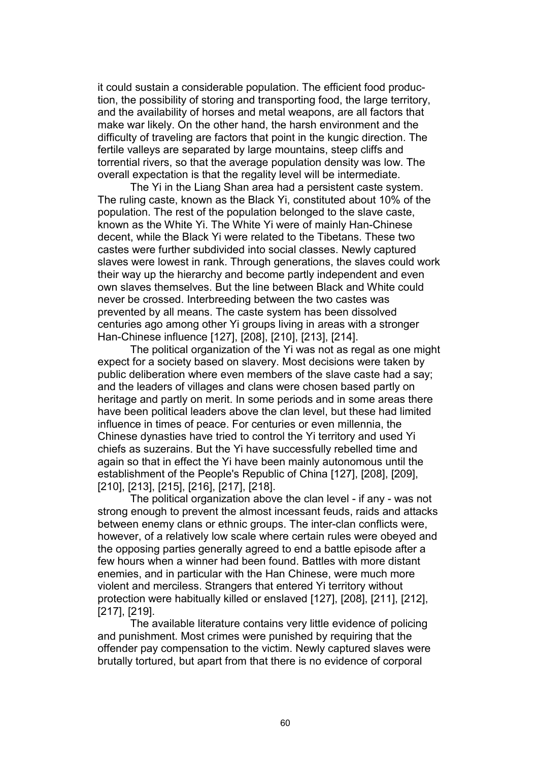it could sustain a considerable population. The efficient food production, the possibility of storing and transporting food, the large territory, and the availability of horses and metal weapons, are all factors that make war likely. On the other hand, the harsh environment and the difficulty of traveling are factors that point in the kungic direction. The fertile valleys are separated by large mountains, steep cliffs and torrential rivers, so that the average population density was low. The overall expectation is that the regality level will be intermediate.

The Yi in the Liang Shan area had a persistent caste system. The ruling caste, known as the Black Yi, constituted about 10% of the population. The rest of the population belonged to the slave caste, known as the White Yi. The White Yi were of mainly Han-Chinese decent, while the Black Yi were related to the Tibetans. These two castes were further subdivided into social classes. Newly captured slaves were lowest in rank. Through generations, the slaves could work their way up the hierarchy and become partly independent and even own slaves themselves. But the line between Black and White could never be crossed. Interbreeding between the two castes was prevented by all means. The caste system has been dissolved centuries ago among other Yi groups living in areas with a stronger Han-Chinese influence [\[127\]](#page-75-0), [\[208\]](#page-80-0), [\[210\]](#page-80-0), [\[213\]](#page-80-0), [\[214\]](#page-80-0).

The political organization of the Yi was not as regal as one might expect for a society based on slavery. Most decisions were taken by public deliberation where even members of the slave caste had a say; and the leaders of villages and clans were chosen based partly on heritage and partly on merit. In some periods and in some areas there have been political leaders above the clan level, but these had limited influence in times of peace. For centuries or even millennia, the Chinese dynasties have tried to control the Yi territory and used Yi chiefs as suzerains. But the Yi have successfully rebelled time and again so that in effect the Yi have been mainly autonomous until the establishment of the People's Republic of China [\[127\]](#page-75-0), [\[208\]](#page-80-0), [\[209\]](#page-80-0), [\[210\]](#page-80-0), [\[213\]](#page-80-0), [\[215\]](#page-80-0), [\[216\]](#page-80-0), [\[217\]](#page-80-0), [\[218\]](#page-80-0).

The political organization above the clan level - if any - was not strong enough to prevent the almost incessant feuds, raids and attacks between enemy clans or ethnic groups. The inter-clan conflicts were, however, of a relatively low scale where certain rules were obeyed and the opposing parties generally agreed to end a battle episode after a few hours when a winner had been found. Battles with more distant enemies, and in particular with the Han Chinese, were much more violent and merciless. Strangers that entered Yi territory without protection were habitually killed or enslaved [[127\]](#page-75-0), [\[208\]](#page-80-0), [\[211\]](#page-80-0), [\[212\]](#page-80-0), [\[217\]](#page-80-0), [\[219\]](#page-80-0).

The available literature contains very little evidence of policing and punishment. Most crimes were punished by requiring that the offender pay compensation to the victim. Newly captured slaves were brutally tortured, but apart from that there is no evidence of corporal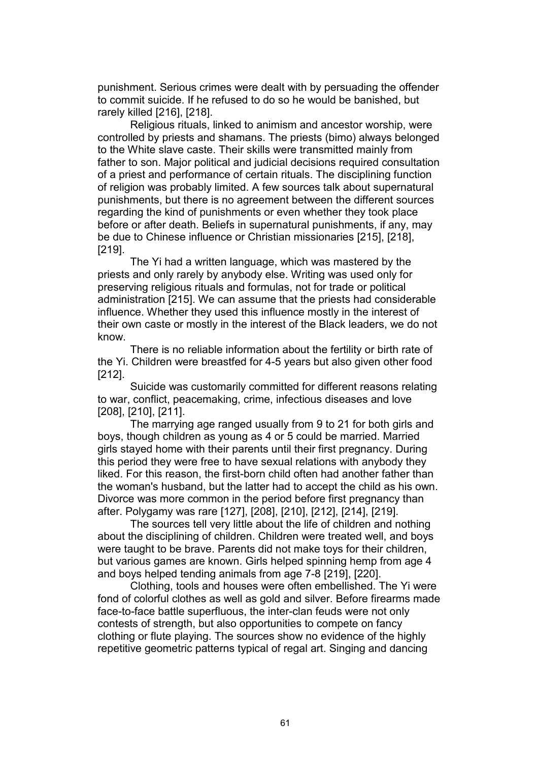punishment. Serious crimes were dealt with by persuading the offender to commit suicide. If he refused to do so he would be banished, but rarely killed [\[216\]](#page-80-0), [\[218\]](#page-80-0).

Religious rituals, linked to animism and ancestor worship, were controlled by priests and shamans. The priests (bimo) always belonged to the White slave caste. Their skills were transmitted mainly from father to son. Major political and judicial decisions required consultation of a priest and performance of certain rituals. The disciplining function of religion was probably limited. A few sources talk about supernatural punishments, but there is no agreement between the different sources regarding the kind of punishments or even whether they took place before or after death. Beliefs in supernatural punishments, if any, may be due to Chinese influence or Christian missionaries [\[215\]](#page-80-0), [\[218\]](#page-80-0), [\[219\]](#page-80-0).

The Yi had a written language, which was mastered by the priests and only rarely by anybody else. Writing was used only for preserving religious rituals and formulas, not for trade or political administration [\[215\]](#page-80-0). We can assume that the priests had considerable influence. Whether they used this influence mostly in the interest of their own caste or mostly in the interest of the Black leaders, we do not know.

There is no reliable information about the fertility or birth rate of the Yi. Children were breastfed for 4-5 years but also given other food [\[212\]](#page-80-0).

Suicide was customarily committed for different reasons relating to war, conflict, peacemaking, crime, infectious diseases and love [\[208\]](#page-80-0), [\[210\]](#page-80-0), [\[211\]](#page-80-0).

The marrying age ranged usually from 9 to 21 for both girls and boys, though children as young as 4 or 5 could be married. Married girls stayed home with their parents until their first pregnancy. During this period they were free to have sexual relations with anybody they liked. For this reason, the first-born child often had another father than the woman's husband, but the latter had to accept the child as his own. Divorce was more common in the period before first pregnancy than after. Polygamy was rare [\[127\]](#page-75-0), [\[208\]](#page-80-0), [\[210\]](#page-80-0), [\[212\]](#page-80-0), [\[214\]](#page-80-0), [\[219\]](#page-80-0).

The sources tell very little about the life of children and nothing about the disciplining of children. Children were treated well, and boys were taught to be brave. Parents did not make toys for their children, but various games are known. Girls helped spinning hemp from age 4 and boys helped tending animals from age 7-8 [\[219\]](#page-80-0), [[220\]](#page-80-0).

Clothing, tools and houses were often embellished. The Yi were fond of colorful clothes as well as gold and silver. Before firearms made face-to-face battle superfluous, the inter-clan feuds were not only contests of strength, but also opportunities to compete on fancy clothing or flute playing. The sources show no evidence of the highly repetitive geometric patterns typical of regal art. Singing and dancing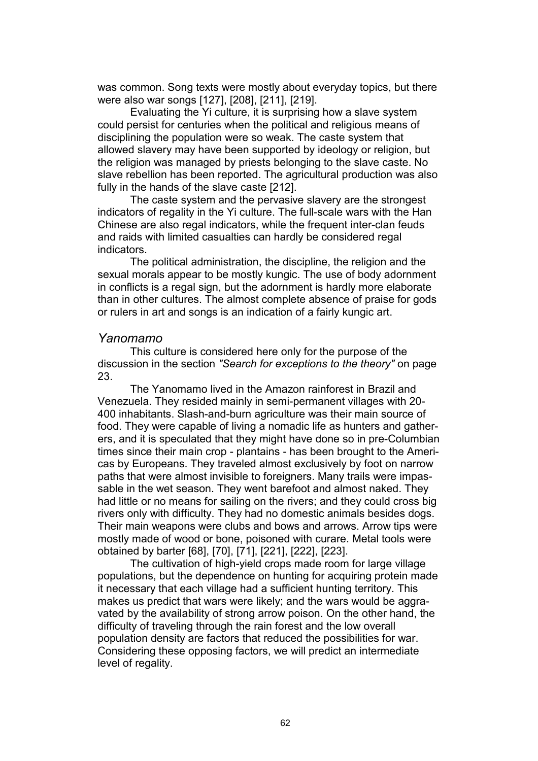was common. Song texts were mostly about everyday topics, but there were also war songs [\[127\]](#page-75-0), [\[208\]](#page-80-0), [\[211\]](#page-80-0), [\[219\]](#page-80-0).

Evaluating the Yi culture, it is surprising how a slave system could persist for centuries when the political and religious means of disciplining the population were so weak. The caste system that allowed slavery may have been supported by ideology or religion, but the religion was managed by priests belonging to the slave caste. No slave rebellion has been reported. The agricultural production was also fully in the hands of the slave caste [\[212\]](#page-80-0).

The caste system and the pervasive slavery are the strongest indicators of regality in the Yi culture. The full-scale wars with the Han Chinese are also regal indicators, while the frequent inter-clan feuds and raids with limited casualties can hardly be considered regal indicators.

The political administration, the discipline, the religion and the sexual morals appear to be mostly kungic. The use of body adornment in conflicts is a regal sign, but the adornment is hardly more elaborate than in other cultures. The almost complete absence of praise for gods or rulers in art and songs is an indication of a fairly kungic art.

#### *Yanomamo*

This culture is considered here only for the purpose of the discussion in the section *"Search for exceptions to the theory"* on page [23.](#page-23-0)

The Yanomamo lived in the Amazon rainforest in Brazil and Venezuela. They resided mainly in semi-permanent villages with 20- 400 inhabitants. Slash-and-burn agriculture was their main source of food. They were capable of living a nomadic life as hunters and gatherers, and it is speculated that they might have done so in pre-Columbian times since their main crop - plantains - has been brought to the Americas by Europeans. They traveled almost exclusively by foot on narrow paths that were almost invisible to foreigners. Many trails were impassable in the wet season. They went barefoot and almost naked. They had little or no means for sailing on the rivers; and they could cross big rivers only with difficulty. They had no domestic animals besides dogs. Their main weapons were clubs and bows and arrows. Arrow tips were mostly made of wood or bone, poisoned with curare. Metal tools were obtained by barter [\[68\]](#page-71-0), [\[70\]](#page-71-0), [\[71\]](#page-71-0), [\[221\]](#page-80-0), [\[222\]](#page-80-0), [\[223\]](#page-80-0).

The cultivation of high-yield crops made room for large village populations, but the dependence on hunting for acquiring protein made it necessary that each village had a sufficient hunting territory. This makes us predict that wars were likely; and the wars would be aggravated by the availability of strong arrow poison. On the other hand, the difficulty of traveling through the rain forest and the low overall population density are factors that reduced the possibilities for war. Considering these opposing factors, we will predict an intermediate level of regality.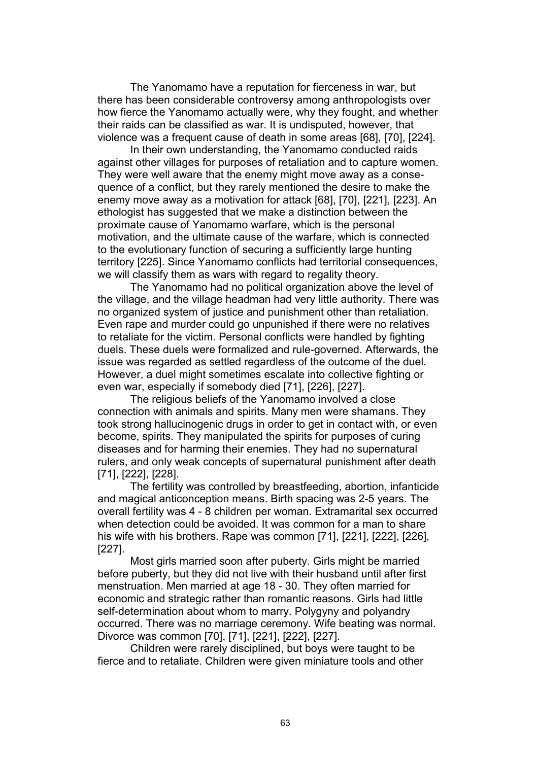The Yanomamo have a reputation for fierceness in war, but there has been considerable controversy among anthropologists over how fierce the Yanomamo actually were, why they fought, and whether their raids can be classified as war. It is undisputed, however, that violence was a frequent cause of death in some areas [\[68\]](#page-71-0), [\[70\]](#page-71-0), [[224\]](#page-80-0).

In their own understanding, the Yanomamo conducted raids against other villages for purposes of retaliation and to capture women. They were well aware that the enemy might move away as a consequence of a conflict, but they rarely mentioned the desire to make the enemy move away as a motivation for attack [\[68\]](#page-71-0), [\[70\]](#page-71-0), [\[221\]](#page-80-0), [\[223\]](#page-80-0). An ethologist has suggested that we make a distinction between the proximate cause of Yanomamo warfare, which is the personal motivation, and the ultimate cause of the warfare, which is connected to the evolutionary function of securing a sufficiently large hunting territory [\[225\]](#page-81-0). Since Yanomamo conflicts had territorial consequences, we will classify them as wars with regard to regality theory.

The Yanomamo had no political organization above the level of the village, and the village headman had very little authority. There was no organized system of justice and punishment other than retaliation. Even rape and murder could go unpunished if there were no relatives to retaliate for the victim. Personal conflicts were handled by fighting duels. These duels were formalized and rule-governed. Afterwards, the issue was regarded as settled regardless of the outcome of the duel. However, a duel might sometimes escalate into collective fighting or even war, especially if somebody died [[71\]](#page-71-0), [\[226\]](#page-81-0), [[227\]](#page-81-0).

The religious beliefs of the Yanomamo involved a close connection with animals and spirits. Many men were shamans. They took strong hallucinogenic drugs in order to get in contact with, or even become, spirits. They manipulated the spirits for purposes of curing diseases and for harming their enemies. They had no supernatural rulers, and only weak concepts of supernatural punishment after death [\[71\]](#page-71-0), [\[222\]](#page-80-0), [\[228\]](#page-81-0).

The fertility was controlled by breastfeeding, abortion, infanticide and magical anticonception means. Birth spacing was 2-5 years. The overall fertility was 4 - 8 children per woman. Extramarital sex occurred when detection could be avoided. It was common for a man to share his wife with his brothers. Rape was common [\[71\]](#page-71-0), [\[221\]](#page-80-0), [\[222\]](#page-80-0), [\[226\]](#page-81-0), [\[227\]](#page-81-0).

Most girls married soon after puberty. Girls might be married before puberty, but they did not live with their husband until after first menstruation. Men married at age 18 - 30. They often married for economic and strategic rather than romantic reasons. Girls had little self-determination about whom to marry. Polygyny and polyandry occurred. There was no marriage ceremony. Wife beating was normal. Divorce was common [\[70\]](#page-71-0), [\[71\]](#page-71-0), [\[221\]](#page-80-0), [\[222\]](#page-80-0), [\[227\]](#page-81-0).

Children were rarely disciplined, but boys were taught to be fierce and to retaliate. Children were given miniature tools and other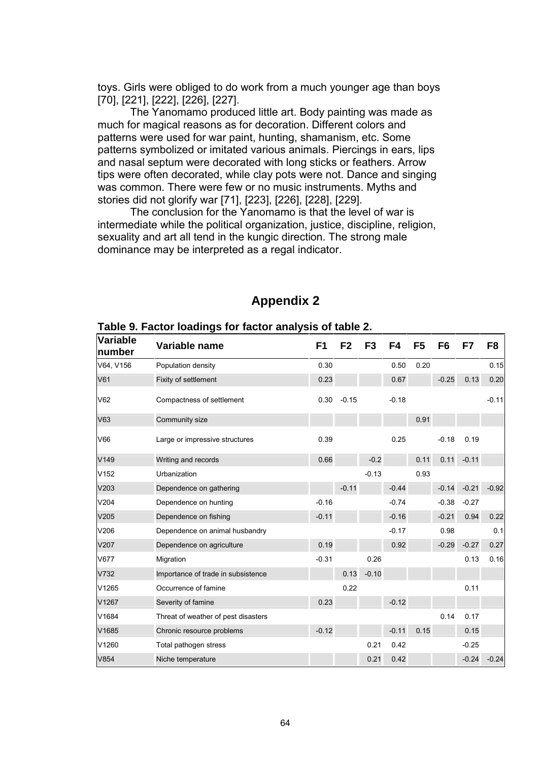toys. Girls were obliged to do work from a much younger age than boys [\[70\]](#page-71-0), [\[221\]](#page-80-0), [\[222\]](#page-80-0), [\[226\]](#page-81-0), [\[227\]](#page-81-0).

The Yanomamo produced little art. Body painting was made as much for magical reasons as for decoration. Different colors and patterns were used for war paint, hunting, shamanism, etc. Some patterns symbolized or imitated various animals. Piercings in ears, lips and nasal septum were decorated with long sticks or feathers. Arrow tips were often decorated, while clay pots were not. Dance and singing was common. There were few or no music instruments. Myths and stories did not glorify war [\[71\]](#page-71-0), [\[223\]](#page-80-0), [\[226\]](#page-81-0), [[228\]](#page-81-0), [\[229\]](#page-81-0).

The conclusion for the Yanomamo is that the level of war is intermediate while the political organization, justice, discipline, religion, sexuality and art all tend in the kungic direction. The strong male dominance may be interpreted as a regal indicator.

| Variable<br>number | Variable name                       | F1      | F <sub>2</sub> | F <sub>3</sub> | F4      | F <sub>5</sub> | F <sub>6</sub> | F7      | F <sub>8</sub> |
|--------------------|-------------------------------------|---------|----------------|----------------|---------|----------------|----------------|---------|----------------|
| V64, V156          | Population density                  | 0.30    |                |                | 0.50    | 0.20           |                |         | 0.15           |
| V61                | Fixity of settlement                | 0.23    |                |                | 0.67    |                | $-0.25$        | 0.13    | 0.20           |
| V62                | Compactness of settlement           | 0.30    | $-0.15$        |                | $-0.18$ |                |                |         | $-0.11$        |
| <b>V63</b>         | Community size                      |         |                |                |         | 0.91           |                |         |                |
| V66                | Large or impressive structures      | 0.39    |                |                | 0.25    |                | $-0.18$        | 0.19    |                |
| V149               | Writing and records                 | 0.66    |                | $-0.2$         |         | 0.11           | 0.11           | $-0.11$ |                |
| V152               | Urbanization                        |         |                | $-0.13$        |         | 0.93           |                |         |                |
| V203               | Dependence on gathering             |         | $-0.11$        |                | $-0.44$ |                | $-0.14$        | $-0.21$ | $-0.92$        |
| V204               | Dependence on hunting               | $-0.16$ |                |                | $-0.74$ |                | $-0.38$        | $-0.27$ |                |
| V205               | Dependence on fishing               | $-0.11$ |                |                | $-0.16$ |                | $-0.21$        | 0.94    | 0.22           |
| V206               | Dependence on animal husbandry      |         |                |                | $-0.17$ |                | 0.98           |         | 0.1            |
| V207               | Dependence on agriculture           | 0.19    |                |                | 0.92    |                | $-0.29$        | $-0.27$ | 0.27           |
| V677               | Migration                           | $-0.31$ |                | 0.26           |         |                |                | 0.13    | 0.16           |
| V732               | Importance of trade in subsistence  |         | 0.13           | $-0.10$        |         |                |                |         |                |
| V1265              | Occurrence of famine                |         | 0.22           |                |         |                |                | 0.11    |                |
| V1267              | Severity of famine                  | 0.23    |                |                | $-0.12$ |                |                |         |                |
| V1684              | Threat of weather of pest disasters |         |                |                |         |                | 0.14           | 0.17    |                |
| V1685              | Chronic resource problems           | $-0.12$ |                |                | $-0.11$ | 0.15           |                | 0.15    |                |
| V1260              | Total pathogen stress               |         |                | 0.21           | 0.42    |                |                | $-0.25$ |                |
| V854               | Niche temperature                   |         |                | 0.21           | 0.42    |                |                | $-0.24$ | $-0.24$        |

# **Appendix 2**

#### **Table 9. Factor loadings for factor analysis of table 2.**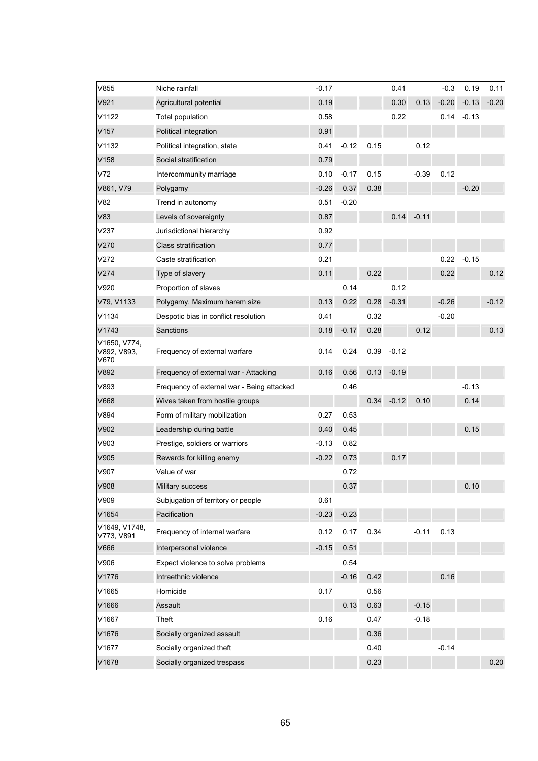| V855                                | Niche rainfall                             | $-0.17$ |         |      | 0.41    |         | $-0.3$  | 0.19    | 0.11    |
|-------------------------------------|--------------------------------------------|---------|---------|------|---------|---------|---------|---------|---------|
| V921                                | Agricultural potential                     | 0.19    |         |      | 0.30    | 0.13    | $-0.20$ | $-0.13$ | $-0.20$ |
| V1122                               | Total population                           | 0.58    |         |      | 0.22    |         | 0.14    | $-0.13$ |         |
| V157                                | Political integration                      | 0.91    |         |      |         |         |         |         |         |
| V1132                               | Political integration, state               | 0.41    | $-0.12$ | 0.15 |         | 0.12    |         |         |         |
| V158                                | Social stratification                      | 0.79    |         |      |         |         |         |         |         |
| V <sub>72</sub>                     | Intercommunity marriage                    | 0.10    | $-0.17$ | 0.15 |         | $-0.39$ | 0.12    |         |         |
| V861, V79                           | Polygamy                                   | $-0.26$ | 0.37    | 0.38 |         |         |         | $-0.20$ |         |
| V82                                 | Trend in autonomy                          | 0.51    | $-0.20$ |      |         |         |         |         |         |
| V83                                 | Levels of sovereignty                      | 0.87    |         |      | 0.14    | $-0.11$ |         |         |         |
| V237                                | Jurisdictional hierarchy                   | 0.92    |         |      |         |         |         |         |         |
| V270                                | <b>Class stratification</b>                | 0.77    |         |      |         |         |         |         |         |
| V272                                | Caste stratification                       | 0.21    |         |      |         |         | 0.22    | $-0.15$ |         |
| V274                                | Type of slavery                            | 0.11    |         | 0.22 |         |         | 0.22    |         | 0.12    |
| V920                                | Proportion of slaves                       |         | 0.14    |      | 0.12    |         |         |         |         |
| V79, V1133                          | Polygamy, Maximum harem size               | 0.13    | 0.22    | 0.28 | $-0.31$ |         | $-0.26$ |         | $-0.12$ |
| V1134                               | Despotic bias in conflict resolution       | 0.41    |         | 0.32 |         |         | $-0.20$ |         |         |
| V1743                               | Sanctions                                  | 0.18    | $-0.17$ | 0.28 |         | 0.12    |         |         | 0.13    |
| V1650, V774,<br>V892, V893,<br>V670 | Frequency of external warfare              | 0.14    | 0.24    | 0.39 | $-0.12$ |         |         |         |         |
| V892                                | Frequency of external war - Attacking      | 0.16    | 0.56    | 0.13 | $-0.19$ |         |         |         |         |
| V893                                | Frequency of external war - Being attacked |         | 0.46    |      |         |         |         | $-0.13$ |         |
| V668                                | Wives taken from hostile groups            |         |         | 0.34 | $-0.12$ | 0.10    |         | 0.14    |         |
| V894                                | Form of military mobilization              | 0.27    | 0.53    |      |         |         |         |         |         |
| V902                                | Leadership during battle                   | 0.40    | 0.45    |      |         |         |         | 0.15    |         |
| V903                                | Prestige, soldiers or warriors             | $-0.13$ | 0.82    |      |         |         |         |         |         |
| V905                                | Rewards for killing enemy                  | $-0.22$ | 0.73    |      | 0.17    |         |         |         |         |
| V907                                | Value of war                               |         | 0.72    |      |         |         |         |         |         |
| V908                                | Military success                           |         | 0.37    |      |         |         |         | 0.10    |         |
| V909                                | Subjugation of territory or people         | 0.61    |         |      |         |         |         |         |         |
| V1654                               | Pacification                               | $-0.23$ | $-0.23$ |      |         |         |         |         |         |
| V1649, V1748,<br>V773, V891         | Frequency of internal warfare              | 0.12    | 0.17    | 0.34 |         | $-0.11$ | 0.13    |         |         |
| V666                                | Interpersonal violence                     | $-0.15$ | 0.51    |      |         |         |         |         |         |
| V906                                | Expect violence to solve problems          |         | 0.54    |      |         |         |         |         |         |
| V1776                               | Intraethnic violence                       |         | $-0.16$ | 0.42 |         |         | 0.16    |         |         |
| V1665                               | Homicide                                   | 0.17    |         | 0.56 |         |         |         |         |         |
| V1666                               | Assault                                    |         | 0.13    | 0.63 |         | $-0.15$ |         |         |         |
| V1667                               | Theft                                      | 0.16    |         | 0.47 |         | $-0.18$ |         |         |         |
| V1676                               | Socially organized assault                 |         |         | 0.36 |         |         |         |         |         |
| V1677                               | Socially organized theft                   |         |         | 0.40 |         |         | $-0.14$ |         |         |
| V1678                               | Socially organized trespass                |         |         | 0.23 |         |         |         |         | 0.20    |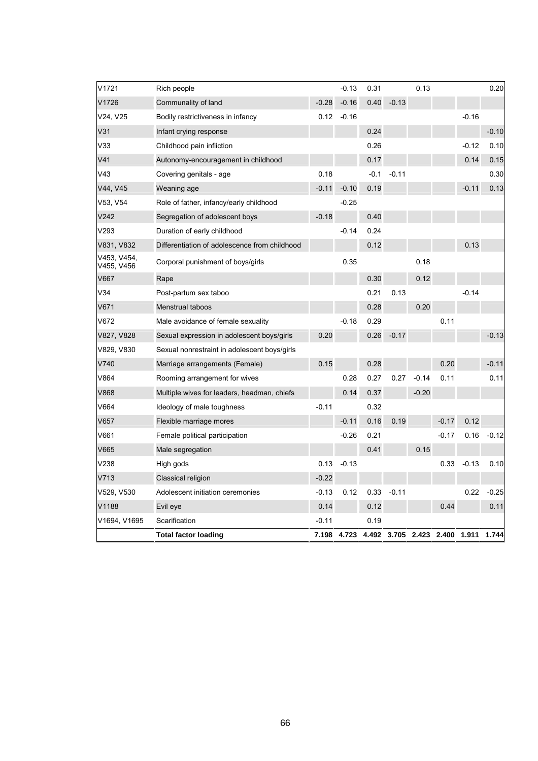|                           | <b>Total factor loading</b>                   | 7.198   | 4.723   |        |         | 4.492 3.705 2.423 | 2.400   | 1.911   | 1.744   |
|---------------------------|-----------------------------------------------|---------|---------|--------|---------|-------------------|---------|---------|---------|
| V1694, V1695              | Scarification                                 | $-0.11$ |         | 0.19   |         |                   |         |         |         |
| V1188                     | Evil eye                                      | 0.14    |         | 0.12   |         |                   | 0.44    |         | 0.11    |
| V529, V530                | Adolescent initiation ceremonies              | $-0.13$ | 0.12    | 0.33   | $-0.11$ |                   |         | 0.22    | $-0.25$ |
| V713                      | Classical religion                            | $-0.22$ |         |        |         |                   |         |         |         |
| V238                      | High gods                                     | 0.13    | $-0.13$ |        |         |                   | 0.33    | $-0.13$ | 0.10    |
| V665                      | Male segregation                              |         |         | 0.41   |         | 0.15              |         |         |         |
| V661                      | Female political participation                |         | $-0.26$ | 0.21   |         |                   | $-0.17$ | 0.16    | $-0.12$ |
| V657                      | Flexible marriage mores                       |         | $-0.11$ | 0.16   | 0.19    |                   | $-0.17$ | 0.12    |         |
| V664                      | Ideology of male toughness                    | $-0.11$ |         | 0.32   |         |                   |         |         |         |
| <b>V868</b>               | Multiple wives for leaders, headman, chiefs   |         | 0.14    | 0.37   |         | $-0.20$           |         |         |         |
| V864                      | Rooming arrangement for wives                 |         | 0.28    | 0.27   | 0.27    | $-0.14$           | 0.11    |         | 0.11    |
| V740                      | Marriage arrangements (Female)                | 0.15    |         | 0.28   |         |                   | 0.20    |         | $-0.11$ |
| V829, V830                | Sexual nonrestraint in adolescent boys/girls  |         |         |        |         |                   |         |         |         |
| V827, V828                | Sexual expression in adolescent boys/girls    | 0.20    |         | 0.26   | $-0.17$ |                   |         |         | $-0.13$ |
| V672                      | Male avoidance of female sexuality            |         | $-0.18$ | 0.29   |         |                   | 0.11    |         |         |
| V671                      | Menstrual taboos                              |         |         | 0.28   |         | 0.20              |         |         |         |
| V34                       | Post-partum sex taboo                         |         |         | 0.21   | 0.13    |                   |         | $-0.14$ |         |
| V667                      | Rape                                          |         |         | 0.30   |         | 0.12              |         |         |         |
| V453, V454,<br>V455, V456 | Corporal punishment of boys/girls             |         | 0.35    |        |         | 0.18              |         |         |         |
| V831, V832                | Differentiation of adolescence from childhood |         |         | 0.12   |         |                   |         | 0.13    |         |
| V293                      | Duration of early childhood                   |         | $-0.14$ | 0.24   |         |                   |         |         |         |
| V242                      | Segregation of adolescent boys                | $-0.18$ |         | 0.40   |         |                   |         |         |         |
| V53, V54                  | Role of father, infancy/early childhood       |         | $-0.25$ |        |         |                   |         |         |         |
| V44, V45                  | Weaning age                                   | $-0.11$ | $-0.10$ | 0.19   |         |                   |         | $-0.11$ | 0.13    |
| V43                       | Covering genitals - age                       | 0.18    |         | $-0.1$ | $-0.11$ |                   |         |         | 0.30    |
| V <sub>41</sub>           | Autonomy-encouragement in childhood           |         |         | 0.17   |         |                   |         | 0.14    | 0.15    |
| V33                       | Childhood pain infliction                     |         |         | 0.26   |         |                   |         | $-0.12$ | 0.10    |
| V31                       | Infant crying response                        |         |         | 0.24   |         |                   |         |         | $-0.10$ |
| V24, V25                  | Bodily restrictiveness in infancy             | 0.12    | $-0.16$ |        |         |                   |         | $-0.16$ |         |
| V1726                     | Communality of land                           | $-0.28$ | $-0.16$ | 0.40   | $-0.13$ |                   |         |         |         |
| V1721                     | Rich people                                   |         | $-0.13$ | 0.31   |         | 0.13              |         |         | 0.20    |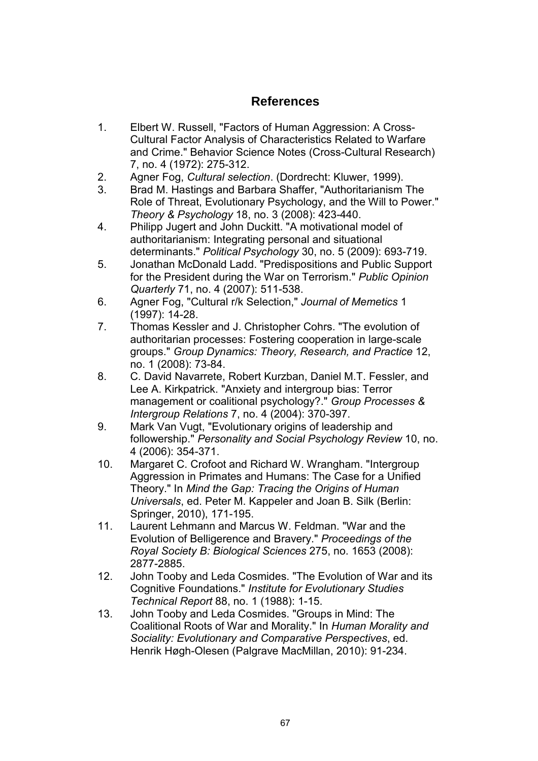# **References**

- <span id="page-67-0"></span>1. Elbert W. Russell, "Factors of Human Aggression: A Cross-Cultural Factor Analysis of Characteristics Related to Warfare and Crime." Behavior Science Notes (Cross-Cultural Research) 7, no. 4 (1972): 275-312.
- 2. Agner Fog, *Cultural selection*. (Dordrecht: Kluwer, 1999).
- 3. Brad M. Hastings and Barbara Shaffer, "Authoritarianism The Role of Threat, Evolutionary Psychology, and the Will to Power." *Theory & Psychology* 18, no. 3 (2008): 423-440.
- 4. Philipp Jugert and John Duckitt. "A motivational model of authoritarianism: Integrating personal and situational determinants." *Political Psychology* 30, no. 5 (2009): 693-719.
- 5. Jonathan McDonald Ladd. "Predispositions and Public Support for the President during the War on Terrorism." *Public Opinion Quarterly* 71, no. 4 (2007): 511-538.
- 6. Agner Fog, "Cultural r/k Selection," *Journal of Memetics* 1 (1997): 14-28.
- 7. Thomas Kessler and J. Christopher Cohrs. "The evolution of authoritarian processes: Fostering cooperation in large-scale groups." *Group Dynamics: Theory, Research, and Practice* 12, no. 1 (2008): 73-84.
- 8. C. David Navarrete, Robert Kurzban, Daniel M.T. Fessler, and Lee A. Kirkpatrick. "Anxiety and intergroup bias: Terror management or coalitional psychology?." *Group Processes & Intergroup Relations* 7, no. 4 (2004): 370-397.
- 9. Mark Van Vugt, "Evolutionary origins of leadership and followership." *Personality and Social Psychology Review* 10, no. 4 (2006): 354-371.
- 10. Margaret C. Crofoot and Richard W. Wrangham. "Intergroup Aggression in Primates and Humans: The Case for a Unified Theory." In *Mind the Gap: Tracing the Origins of Human Universals*, ed. Peter M. Kappeler and Joan B. Silk (Berlin: Springer, 2010), 171-195.
- 11. Laurent Lehmann and Marcus W. Feldman. "War and the Evolution of Belligerence and Bravery." *Proceedings of the Royal Society B: Biological Sciences* 275, no. 1653 (2008): 2877-2885.
- 12. John Tooby and Leda Cosmides. "The Evolution of War and its Cognitive Foundations." *Institute for Evolutionary Studies Technical Report* 88, no. 1 (1988): 1-15.
- 13. John Tooby and Leda Cosmides. "Groups in Mind: The Coalitional Roots of War and Morality." In *Human Morality and Sociality: Evolutionary and Comparative Perspectives*, ed. Henrik Høgh-Olesen (Palgrave MacMillan, 2010): 91-234.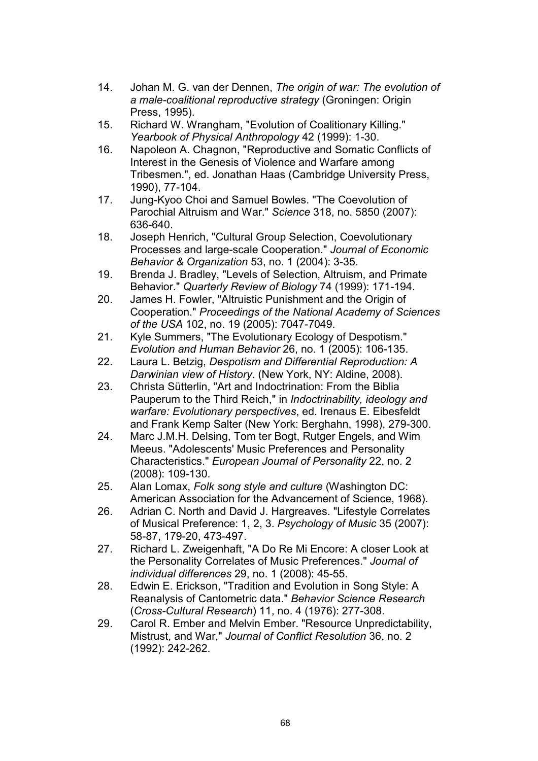- 14. Johan M. G. van der Dennen, *The origin of war: The evolution of a male-coalitional reproductive strategy* (Groningen: Origin Press, 1995).
- 15. Richard W. Wrangham, "Evolution of Coalitionary Killing." *Yearbook of Physical Anthropology* 42 (1999): 1-30.
- 16. Napoleon A. Chagnon, "Reproductive and Somatic Conflicts of Interest in the Genesis of Violence and Warfare among Tribesmen.", ed. Jonathan Haas (Cambridge University Press, 1990), 77-104.
- 17. Jung-Kyoo Choi and Samuel Bowles. "The Coevolution of Parochial Altruism and War." *Science* 318, no. 5850 (2007): 636-640.
- 18. Joseph Henrich, "Cultural Group Selection, Coevolutionary Processes and large-scale Cooperation." *Journal of Economic Behavior & Organization* 53, no. 1 (2004): 3-35.
- 19. Brenda J. Bradley, "Levels of Selection, Altruism, and Primate Behavior." *Quarterly Review of Biology* 74 (1999): 171-194.
- 20. James H. Fowler, "Altruistic Punishment and the Origin of Cooperation." *Proceedings of the National Academy of Sciences of the USA* 102, no. 19 (2005): 7047-7049.
- 21. Kyle Summers, "The Evolutionary Ecology of Despotism." *Evolution and Human Behavior* 26, no. 1 (2005): 106-135.
- 22. Laura L. Betzig, *Despotism and Differential Reproduction: A Darwinian view of History*. (New York, NY: Aldine, 2008).
- 23. Christa Sütterlin, "Art and Indoctrination: From the Biblia Pauperum to the Third Reich," in *Indoctrinability, ideology and warfare: Evolutionary perspectives*, ed. Irenaus E. Eibesfeldt and Frank Kemp Salter (New York: Berghahn, 1998), 279-300.
- 24. Marc J.M.H. Delsing, Tom ter Bogt, Rutger Engels, and Wim Meeus. "Adolescents' Music Preferences and Personality Characteristics." *European Journal of Personality* 22, no. 2 (2008): 109-130.
- 25. Alan Lomax, *Folk song style and culture* (Washington DC: American Association for the Advancement of Science, 1968).
- 26. Adrian C. North and David J. Hargreaves. "Lifestyle Correlates of Musical Preference: 1, 2, 3. *Psychology of Music* 35 (2007): 58-87, 179-20, 473-497.
- 27. Richard L. Zweigenhaft, "A Do Re Mi Encore: A closer Look at the Personality Correlates of Music Preferences." *Journal of individual differences* 29, no. 1 (2008): 45-55.
- 28. Edwin E. Erickson, "Tradition and Evolution in Song Style: A Reanalysis of Cantometric data." *Behavior Science Research* (*Cross-Cultural Research*) 11, no. 4 (1976): 277-308.
- 29. Carol R. Ember and Melvin Ember. "Resource Unpredictability, Mistrust, and War," *Journal of Conflict Resolution* 36, no. 2 (1992): 242-262.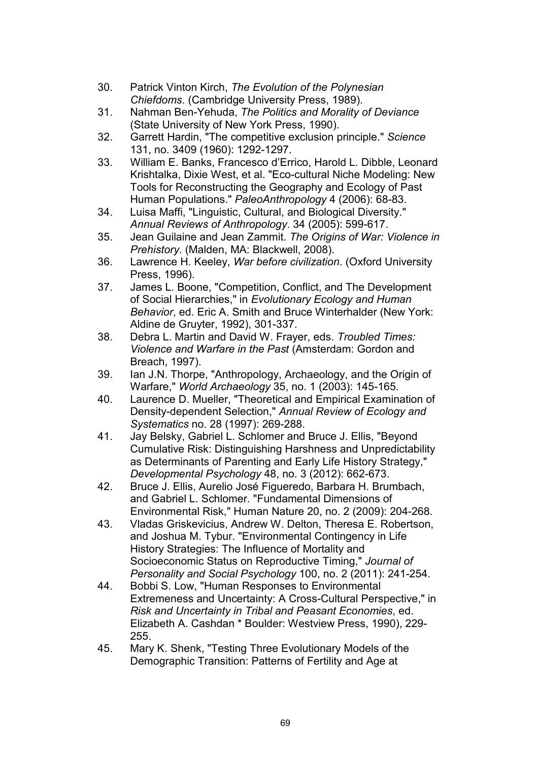- 30. Patrick Vinton Kirch, *The Evolution of the Polynesian Chiefdoms*. (Cambridge University Press, 1989).
- 31. Nahman Ben-Yehuda, *The Politics and Morality of Deviance* (State University of New York Press, 1990).
- 32. Garrett Hardin, "The competitive exclusion principle." *Science* 131, no. 3409 (1960): 1292-1297.
- 33. William E. Banks, Francesco díErrico, Harold L. Dibble, Leonard Krishtalka, Dixie West, et al. "Eco-cultural Niche Modeling: New Tools for Reconstructing the Geography and Ecology of Past Human Populations." *PaleoAnthropology* 4 (2006): 68-83.
- 34. Luisa Maffi, "Linguistic, Cultural, and Biological Diversity." *Annual Reviews of Anthropology*. 34 (2005): 599-617.
- 35. Jean Guilaine and Jean Zammit. *The Origins of War: Violence in Prehistory*. (Malden, MA: Blackwell, 2008).
- 36. Lawrence H. Keeley, *War before civilization*. (Oxford University Press, 1996).
- 37. James L. Boone, "Competition, Conflict, and The Development of Social Hierarchies," in *Evolutionary Ecology and Human Behavior*, ed. Eric A. Smith and Bruce Winterhalder (New York: Aldine de Gruyter, 1992), 301-337.
- 38. Debra L. Martin and David W. Frayer, eds. *Troubled Times: Violence and Warfare in the Past* (Amsterdam: Gordon and Breach, 1997).
- 39. Ian J.N. Thorpe, "Anthropology, Archaeology, and the Origin of Warfare," *World Archaeology* 35, no. 1 (2003): 145-165.
- 40. Laurence D. Mueller, "Theoretical and Empirical Examination of Density-dependent Selection," *Annual Review of Ecology and Systematics* no. 28 (1997): 269-288.
- 41. Jay Belsky, Gabriel L. Schlomer and Bruce J. Ellis, "Beyond Cumulative Risk: Distinguishing Harshness and Unpredictability as Determinants of Parenting and Early Life History Strategy," *Developmental Psychology* 48, no. 3 (2012): 662-673.
- 42. Bruce J. Ellis, Aurelio José Figueredo, Barbara H. Brumbach, and Gabriel L. Schlomer. "Fundamental Dimensions of Environmental Risk," Human Nature 20, no. 2 (2009): 204-268.
- 43. Vladas Griskevicius, Andrew W. Delton, Theresa E. Robertson, and Joshua M. Tybur. "Environmental Contingency in Life History Strategies: The Influence of Mortality and Socioeconomic Status on Reproductive Timing," *Journal of Personality and Social Psychology* 100, no. 2 (2011): 241-254.
- 44. Bobbi S. Low, "Human Responses to Environmental Extremeness and Uncertainty: A Cross-Cultural Perspective," in *Risk and Uncertainty in Tribal and Peasant Economies*, ed. Elizabeth A. Cashdan \* Boulder: Westview Press, 1990), 229- 255.
- 45. Mary K. Shenk, "Testing Three Evolutionary Models of the Demographic Transition: Patterns of Fertility and Age at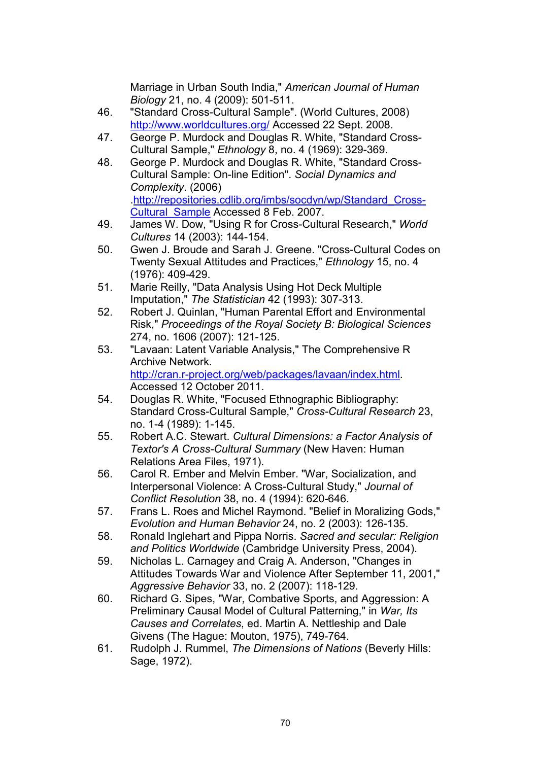Marriage in Urban South India," *American Journal of Human Biology* 21, no. 4 (2009): 501-511.

- 46. "Standard Cross-Cultural Sample". (World Cultures, 2008) <http://www.worldcultures.org/>Accessed 22 Sept. 2008.
- 47. George P. Murdock and Douglas R. White, "Standard Cross-Cultural Sample," *Ethnology* 8, no. 4 (1969): 329-369.
- 48. George P. Murdock and Douglas R. White, "Standard Cross-Cultural Sample: On-line Edition". *Social Dynamics and Complexity*. (2006) [.http://repositories.cdlib.org/imbs/socdyn/wp/Standard\\_Cross-](http://repositories.cdlib.org/imbs/socdyn/wp/Standard_Cross-Cultural_Sample)[Cultural\\_Sample](http://repositories.cdlib.org/imbs/socdyn/wp/Standard_Cross-Cultural_Sample) Accessed 8 Feb. 2007.
- 49. James W. Dow, "Using R for Cross-Cultural Research," *World Cultures* 14 (2003): 144-154.
- 50. Gwen J. Broude and Sarah J. Greene. "Cross-Cultural Codes on Twenty Sexual Attitudes and Practices," *Ethnology* 15, no. 4 (1976): 409-429.
- 51. Marie Reilly, "Data Analysis Using Hot Deck Multiple Imputation," *The Statistician* 42 (1993): 307-313.
- 52. Robert J. Quinlan, "Human Parental Effort and Environmental Risk," *Proceedings of the Royal Society B: Biological Sciences* 274, no. 1606 (2007): 121-125.
- 53. "Lavaan: Latent Variable Analysis," The Comprehensive R Archive Network. [http://cran.r-project.org/web/packages/lavaan/index.html.](http://cran.r-project.org/web/packages/lavaan/index.html) Accessed 12 October 2011.
- 54. Douglas R. White, "Focused Ethnographic Bibliography: Standard Cross-Cultural Sample," *Cross-Cultural Research* 23, no. 1-4 (1989): 1-145.
- 55. Robert A.C. Stewart. *Cultural Dimensions: a Factor Analysis of Textor's A Cross-Cultural Summary* (New Haven: Human Relations Area Files, 1971).
- 56. Carol R. Ember and Melvin Ember. "War, Socialization, and Interpersonal Violence: A Cross-Cultural Study," *Journal of Conflict Resolution* 38, no. 4 (1994): 620-646.
- 57. Frans L. Roes and Michel Raymond. "Belief in Moralizing Gods," *Evolution and Human Behavior* 24, no. 2 (2003): 126-135.
- 58. Ronald Inglehart and Pippa Norris. *Sacred and secular: Religion and Politics Worldwide* (Cambridge University Press, 2004).
- 59. Nicholas L. Carnagey and Craig A. Anderson, "Changes in Attitudes Towards War and Violence After September 11, 2001," *Aggressive Behavior* 33, no. 2 (2007): 118-129.
- 60. Richard G. Sipes, "War, Combative Sports, and Aggression: A Preliminary Causal Model of Cultural Patterning," in *War, Its Causes and Correlates*, ed. Martin A. Nettleship and Dale Givens (The Hague: Mouton, 1975), 749-764.
- 61. Rudolph J. Rummel, *The Dimensions of Nations* (Beverly Hills: Sage, 1972).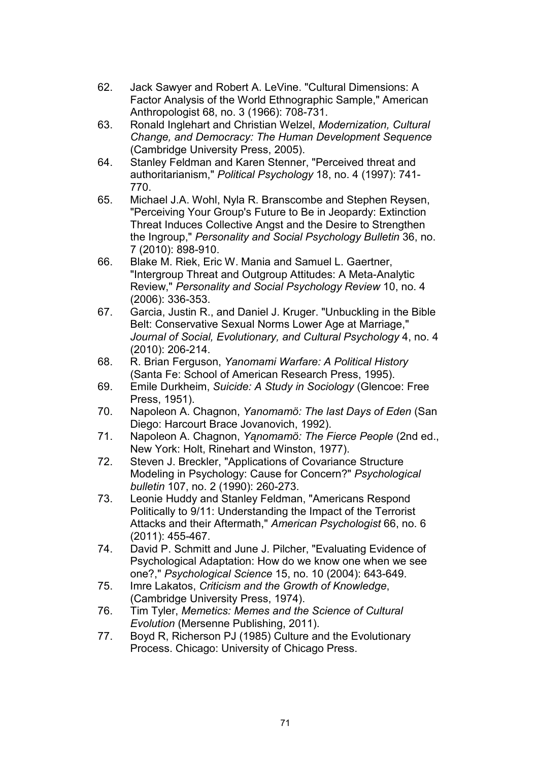- <span id="page-71-0"></span>62. Jack Sawyer and Robert A. LeVine. "Cultural Dimensions: A Factor Analysis of the World Ethnographic Sample," American Anthropologist 68, no. 3 (1966): 708-731.
- 63. Ronald Inglehart and Christian Welzel, *Modernization, Cultural Change, and Democracy: The Human Development Sequence* (Cambridge University Press, 2005).
- 64. Stanley Feldman and Karen Stenner, "Perceived threat and authoritarianism," *Political Psychology* 18, no. 4 (1997): 741- 770.
- 65. Michael J.A. Wohl, Nyla R. Branscombe and Stephen Reysen, "Perceiving Your Group's Future to Be in Jeopardy: Extinction Threat Induces Collective Angst and the Desire to Strengthen the Ingroup," *Personality and Social Psychology Bulletin* 36, no. 7 (2010): 898-910.
- 66. Blake M. Riek, Eric W. Mania and Samuel L. Gaertner, "Intergroup Threat and Outgroup Attitudes: A Meta-Analytic Review," *Personality and Social Psychology Review* 10, no. 4 (2006): 336-353.
- 67. Garcia, Justin R., and Daniel J. Kruger. "Unbuckling in the Bible Belt: Conservative Sexual Norms Lower Age at Marriage," *Journal of Social, Evolutionary, and Cultural Psychology* 4, no. 4 (2010): 206-214.
- 68. R. Brian Ferguson, *Yanomami Warfare: A Political History* (Santa Fe: School of American Research Press, 1995).
- 69. Emile Durkheim, *Suicide: A Study in Sociology* (Glencoe: Free Press, 1951).
- 70. Napoleon A. Chagnon, *Yanomamö: The last Days of Eden* (San Diego: Harcourt Brace Jovanovich, 1992).
- 71. Napoleon A. Chagnon, *Yąnomamˆ: The Fierce People* (2nd ed., New York: Holt, Rinehart and Winston, 1977).
- 72. Steven J. Breckler, "Applications of Covariance Structure Modeling in Psychology: Cause for Concern?" *Psychological bulletin* 107, no. 2 (1990): 260-273.
- 73. Leonie Huddy and Stanley Feldman, "Americans Respond Politically to 9/11: Understanding the Impact of the Terrorist Attacks and their Aftermath," *American Psychologist* 66, no. 6 (2011): 455-467.
- 74. David P. Schmitt and June J. Pilcher, "Evaluating Evidence of Psychological Adaptation: How do we know one when we see one?," *Psychological Science* 15, no. 10 (2004): 643-649.
- 75. Imre Lakatos, *Criticism and the Growth of Knowledge*, (Cambridge University Press, 1974).
- 76. Tim Tyler, *Memetics: Memes and the Science of Cultural Evolution* (Mersenne Publishing, 2011).
- 77. Boyd R, Richerson PJ (1985) Culture and the Evolutionary Process. Chicago: University of Chicago Press.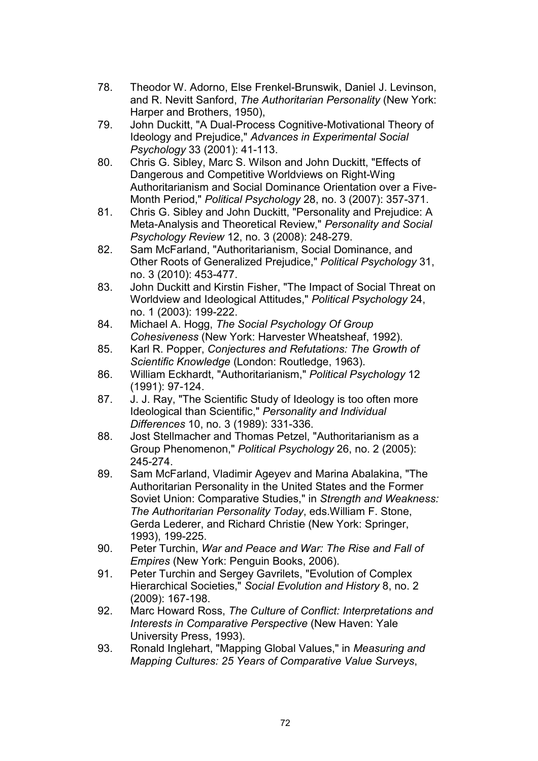- 78. Theodor W. Adorno, Else Frenkel-Brunswik, Daniel J. Levinson, and R. Nevitt Sanford, *The Authoritarian Personality* (New York: Harper and Brothers, 1950),
- 79. John Duckitt, "A Dual-Process Cognitive-Motivational Theory of Ideology and Prejudice," *Advances in Experimental Social Psychology* 33 (2001): 41-113.
- 80. Chris G. Sibley, Marc S. Wilson and John Duckitt, "Effects of Dangerous and Competitive Worldviews on Right-Wing Authoritarianism and Social Dominance Orientation over a Five-Month Period," *Political Psychology* 28, no. 3 (2007): 357-371.
- 81. Chris G. Sibley and John Duckitt, "Personality and Prejudice: A Meta-Analysis and Theoretical Review," *Personality and Social Psychology Review* 12, no. 3 (2008): 248-279.
- 82. Sam McFarland, "Authoritarianism, Social Dominance, and Other Roots of Generalized Prejudice," *Political Psychology* 31, no. 3 (2010): 453-477.
- 83. John Duckitt and Kirstin Fisher, "The Impact of Social Threat on Worldview and Ideological Attitudes," *Political Psychology* 24, no. 1 (2003): 199-222.
- 84. Michael A. Hogg, *The Social Psychology Of Group Cohesiveness* (New York: Harvester Wheatsheaf, 1992).
- 85. Karl R. Popper, *Conjectures and Refutations: The Growth of Scientific Knowledge* (London: Routledge, 1963).
- 86. William Eckhardt, "Authoritarianism," *Political Psychology* 12 (1991): 97-124.
- 87. J. J. Ray, "The Scientific Study of Ideology is too often more Ideological than Scientific," *Personality and Individual Differences* 10, no. 3 (1989): 331-336.
- 88. Jost Stellmacher and Thomas Petzel, "Authoritarianism as a Group Phenomenon," *Political Psychology* 26, no. 2 (2005): 245-274.
- 89. Sam McFarland, Vladimir Ageyev and Marina Abalakina, "The Authoritarian Personality in the United States and the Former Soviet Union: Comparative Studies," in *Strength and Weakness: The Authoritarian Personality Today*, eds.William F. Stone, Gerda Lederer, and Richard Christie (New York: Springer, 1993), 199-225.
- 90. Peter Turchin, *War and Peace and War: The Rise and Fall of Empires* (New York: Penguin Books, 2006).
- 91. Peter Turchin and Sergey Gavrilets, "Evolution of Complex Hierarchical Societies," *Social Evolution and History* 8, no. 2 (2009): 167-198.
- 92. Marc Howard Ross, *The Culture of Conflict: Interpretations and Interests in Comparative Perspective* (New Haven: Yale University Press, 1993).
- 93. Ronald Inglehart, "Mapping Global Values," in *Measuring and Mapping Cultures: 25 Years of Comparative Value Surveys*,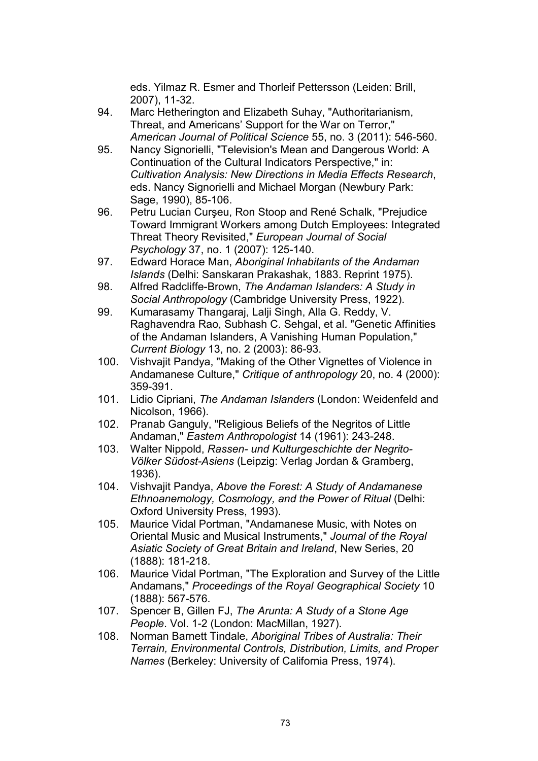eds. Yilmaz R. Esmer and Thorleif Pettersson (Leiden: Brill, 2007), 11-32.

- 94. Marc Hetherington and Elizabeth Suhay, "Authoritarianism, Threat, and Americans' Support for the War on Terror," *American Journal of Political Science* 55, no. 3 (2011): 546-560.
- 95. Nancy Signorielli, "Television's Mean and Dangerous World: A Continuation of the Cultural Indicators Perspective," in: *Cultivation Analysis: New Directions in Media Effects Research*, eds. Nancy Signorielli and Michael Morgan (Newbury Park: Sage, 1990), 85-106.
- 96. Petru Lucian Curseu, Ron Stoop and René Schalk, "Prejudice Toward Immigrant Workers among Dutch Employees: Integrated Threat Theory Revisited," *European Journal of Social Psychology* 37, no. 1 (2007): 125-140.
- 97. Edward Horace Man, *Aboriginal Inhabitants of the Andaman Islands* (Delhi: Sanskaran Prakashak, 1883. Reprint 1975).
- 98. Alfred Radcliffe-Brown, *The Andaman Islanders: A Study in Social Anthropology* (Cambridge University Press, 1922).
- 99. Kumarasamy Thangaraj, Lalji Singh, Alla G. Reddy, V. Raghavendra Rao, Subhash C. Sehgal, et al. "Genetic Affinities of the Andaman Islanders, A Vanishing Human Population," *Current Biology* 13, no. 2 (2003): 86-93.
- 100. Vishvajit Pandya, "Making of the Other Vignettes of Violence in Andamanese Culture," *Critique of anthropology* 20, no. 4 (2000): 359-391.
- 101. Lidio Cipriani, *The Andaman Islanders* (London: Weidenfeld and Nicolson, 1966).
- 102. Pranab Ganguly, "Religious Beliefs of the Negritos of Little Andaman," *Eastern Anthropologist* 14 (1961): 243-248.
- 103. Walter Nippold, *Rassen- und Kulturgeschichte der Negrito-*Völker Südost-Asiens (Leipzig: Verlag Jordan & Gramberg, 1936).
- 104. Vishvajit Pandya, *Above the Forest: A Study of Andamanese Ethnoanemology, Cosmology, and the Power of Ritual* (Delhi: Oxford University Press, 1993).
- 105. Maurice Vidal Portman, "Andamanese Music, with Notes on Oriental Music and Musical Instruments," *Journal of the Royal Asiatic Society of Great Britain and Ireland*, New Series, 20 (1888): 181-218.
- 106. Maurice Vidal Portman, "The Exploration and Survey of the Little Andamans," *Proceedings of the Royal Geographical Society* 10 (1888): 567-576.
- 107. Spencer B, Gillen FJ, *The Arunta: A Study of a Stone Age People*. Vol. 1-2 (London: MacMillan, 1927).
- 108. Norman Barnett Tindale, *Aboriginal Tribes of Australia: Their Terrain, Environmental Controls, Distribution, Limits, and Proper Names* (Berkeley: University of California Press, 1974).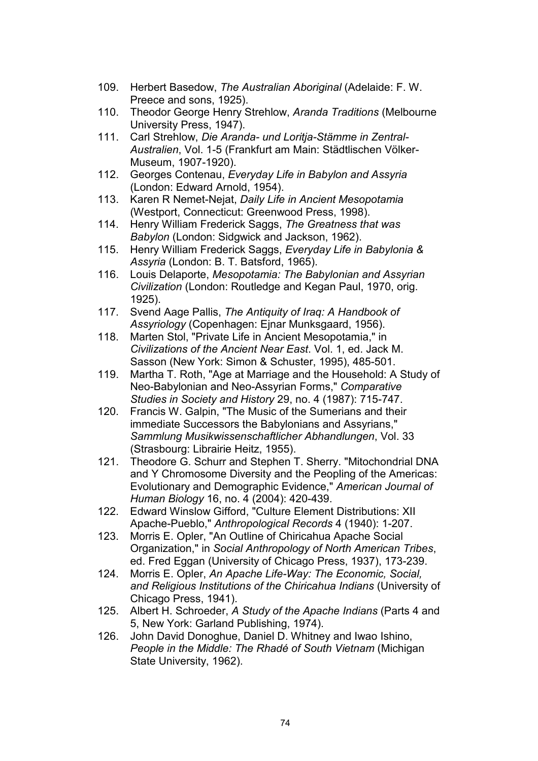- 109. Herbert Basedow, *The Australian Aboriginal* (Adelaide: F. W. Preece and sons, 1925).
- 110. Theodor George Henry Strehlow, *Aranda Traditions* (Melbourne University Press, 1947).
- 111. Carl Strehlow, Die Aranda- und Loritia-Stämme in Zentral-Australien, Vol. 1-5 (Frankfurt am Main: Städtlischen Völker-Museum, 1907-1920).
- 112. Georges Contenau, *Everyday Life in Babylon and Assyria* (London: Edward Arnold, 1954).
- 113. Karen R Nemet-Nejat, *Daily Life in Ancient Mesopotamia*  (Westport, Connecticut: Greenwood Press, 1998).
- 114. Henry William Frederick Saggs, *The Greatness that was Babylon* (London: Sidgwick and Jackson, 1962).
- 115. Henry William Frederick Saggs, *Everyday Life in Babylonia & Assyria* (London: B. T. Batsford, 1965).
- 116. Louis Delaporte, *Mesopotamia: The Babylonian and Assyrian Civilization* (London: Routledge and Kegan Paul, 1970, orig. 1925).
- 117. Svend Aage Pallis, *The Antiquity of Iraq: A Handbook of Assyriology* (Copenhagen: Ejnar Munksgaard, 1956).
- 118. Marten Stol, "Private Life in Ancient Mesopotamia," in *Civilizations of the Ancient Near East*. Vol. 1, ed. Jack M. Sasson (New York: Simon & Schuster, 1995), 485-501.
- 119. Martha T. Roth, "Age at Marriage and the Household: A Study of Neo-Babylonian and Neo-Assyrian Forms," *Comparative Studies in Society and History* 29, no. 4 (1987): 715-747.
- 120. Francis W. Galpin, "The Music of the Sumerians and their immediate Successors the Babylonians and Assyrians," *Sammlung Musikwissenschaftlicher Abhandlungen*, Vol. 33 (Strasbourg: Librairie Heitz, 1955).
- 121. Theodore G. Schurr and Stephen T. Sherry. "Mitochondrial DNA and Y Chromosome Diversity and the Peopling of the Americas: Evolutionary and Demographic Evidence," *American Journal of Human Biology* 16, no. 4 (2004): 420-439.
- 122. Edward Winslow Gifford, "Culture Element Distributions: XII Apache-Pueblo," *Anthropological Records* 4 (1940): 1-207.
- 123. Morris E. Opler, "An Outline of Chiricahua Apache Social Organization," in *Social Anthropology of North American Tribes*, ed. Fred Eggan (University of Chicago Press, 1937), 173-239.
- 124. Morris E. Opler, *An Apache Life-Way: The Economic, Social, and Religious Institutions of the Chiricahua Indians* (University of Chicago Press, 1941).
- 125. Albert H. Schroeder, *A Study of the Apache Indians* (Parts 4 and 5, New York: Garland Publishing, 1974).
- 126. John David Donoghue, Daniel D. Whitney and Iwao Ishino, *People in the Middle: The RhadÈ of South Vietnam* (Michigan State University, 1962).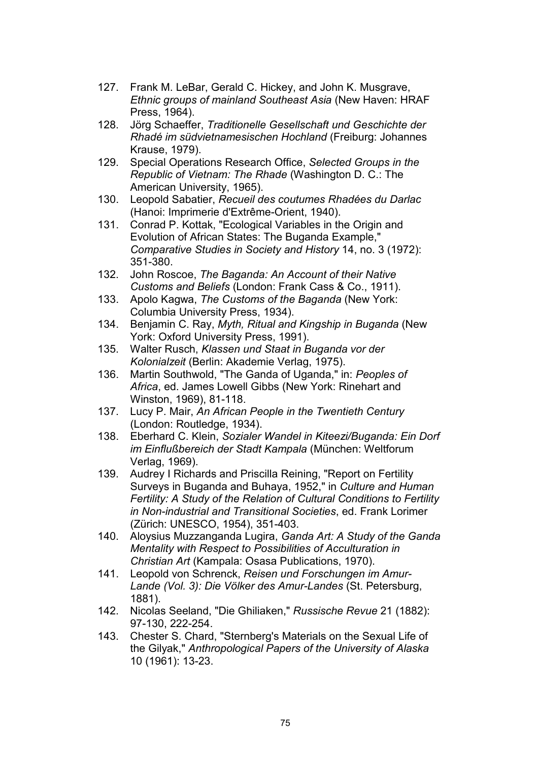- 127. Frank M. LeBar, Gerald C. Hickey, and John K. Musgrave, *Ethnic groups of mainland Southeast Asia* (New Haven: HRAF Press, 1964).
- 128. Jörg Schaeffer, *Traditionelle Gesellschaft und Geschichte der Rhadé im südvietnamesischen Hochland* (Freiburg: Johannes Krause, 1979).
- 129. Special Operations Research Office, *Selected Groups in the Republic of Vietnam: The Rhade* (Washington D. C.: The American University, 1965).
- 130. Leopold Sabatier, *Recueil des coutumes RhadÈes du Darlac* (Hanoi: Imprimerie d'Extrême-Orient, 1940).
- 131. Conrad P. Kottak, "Ecological Variables in the Origin and Evolution of African States: The Buganda Example," *Comparative Studies in Society and History* 14, no. 3 (1972): 351-380.
- 132. John Roscoe, *The Baganda: An Account of their Native Customs and Beliefs* (London: Frank Cass & Co., 1911).
- 133. Apolo Kagwa, *The Customs of the Baganda* (New York: Columbia University Press, 1934).
- 134. Benjamin C. Ray, *Myth, Ritual and Kingship in Buganda* (New York: Oxford University Press, 1991).
- 135. Walter Rusch, *Klassen und Staat in Buganda vor der Kolonialzeit* (Berlin: Akademie Verlag, 1975).
- 136. Martin Southwold, "The Ganda of Uganda," in: *Peoples of Africa*, ed. James Lowell Gibbs (New York: Rinehart and Winston, 1969), 81-118.
- 137. Lucy P. Mair, *An African People in the Twentieth Century* (London: Routledge, 1934).
- 138. Eberhard C. Klein, *Sozialer Wandel in Kiteezi/Buganda: Ein Dorf im Einflußbereich der Stadt Kampala* (München: Weltforum Verlag, 1969).
- 139. Audrey I Richards and Priscilla Reining, "Report on Fertility Surveys in Buganda and Buhaya, 1952," in *Culture and Human Fertility: A Study of the Relation of Cultural Conditions to Fertility in Non-industrial and Transitional Societies*, ed. Frank Lorimer (Zürich: UNESCO, 1954), 351-403.
- 140. Aloysius Muzzanganda Lugira, *Ganda Art: A Study of the Ganda Mentality with Respect to Possibilities of Acculturation in Christian Art* (Kampala: Osasa Publications, 1970).
- 141. Leopold von Schrenck, *Reisen und Forschungen im Amur-Lande (Vol. 3): Die Vˆlker des Amur-Landes* (St. Petersburg, 1881).
- 142. Nicolas Seeland, "Die Ghiliaken," *Russische Revue* 21 (1882): 97-130, 222-254.
- 143. Chester S. Chard, "Sternberg's Materials on the Sexual Life of the Gilyak," *Anthropological Papers of the University of Alaska* 10 (1961): 13-23.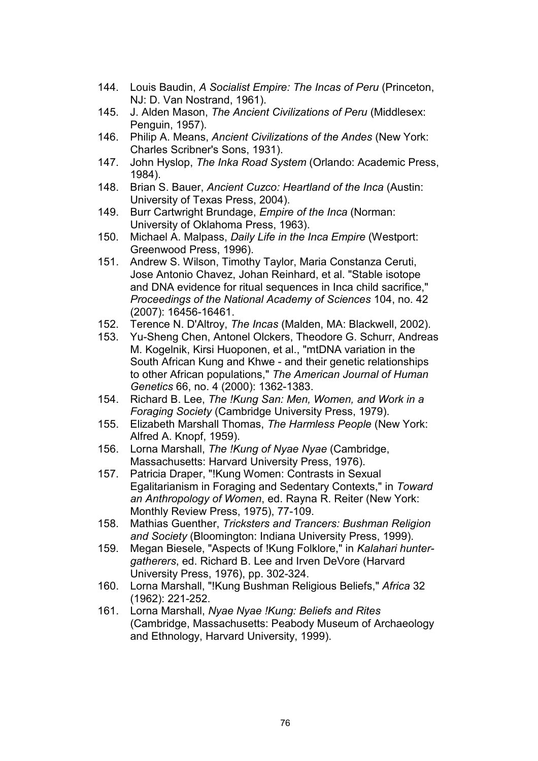- 144. Louis Baudin, *A Socialist Empire: The Incas of Peru* (Princeton, NJ: D. Van Nostrand, 1961).
- 145. J. Alden Mason, *The Ancient Civilizations of Peru* (Middlesex: Penguin, 1957).
- 146. Philip A. Means, *Ancient Civilizations of the Andes* (New York: Charles Scribner's Sons, 1931).
- 147. John Hyslop, *The Inka Road System* (Orlando: Academic Press, 1984).
- 148. Brian S. Bauer, *Ancient Cuzco: Heartland of the Inca* (Austin: University of Texas Press, 2004).
- 149. Burr Cartwright Brundage, *Empire of the Inca* (Norman: University of Oklahoma Press, 1963).
- 150. Michael A. Malpass, *Daily Life in the Inca Empire* (Westport: Greenwood Press, 1996).
- 151. Andrew S. Wilson, Timothy Taylor, Maria Constanza Ceruti, Jose Antonio Chavez, Johan Reinhard, et al. "Stable isotope and DNA evidence for ritual sequences in Inca child sacrifice," *Proceedings of the National Academy of Sciences* 104, no. 42 (2007): 16456-16461.
- 152. Terence N. D'Altroy, *The Incas* (Malden, MA: Blackwell, 2002).
- 153. Yu-Sheng Chen, Antonel Olckers, Theodore G. Schurr, Andreas M. Kogelnik, Kirsi Huoponen, et al., "mtDNA variation in the South African Kung and Khwe - and their genetic relationships to other African populations," *The American Journal of Human Genetics* 66, no. 4 (2000): 1362-1383.
- 154. Richard B. Lee, *The !Kung San: Men, Women, and Work in a Foraging Society* (Cambridge University Press, 1979).
- 155. Elizabeth Marshall Thomas, *The Harmless People* (New York: Alfred A. Knopf, 1959).
- 156. Lorna Marshall, *The !Kung of Nyae Nyae* (Cambridge, Massachusetts: Harvard University Press, 1976).
- 157. Patricia Draper, "!Kung Women: Contrasts in Sexual Egalitarianism in Foraging and Sedentary Contexts," in *Toward an Anthropology of Women*, ed. Rayna R. Reiter (New York: Monthly Review Press, 1975), 77-109.
- 158. Mathias Guenther, *Tricksters and Trancers: Bushman Religion and Society* (Bloomington: Indiana University Press, 1999).
- 159. Megan Biesele, "Aspects of !Kung Folklore," in *Kalahari huntergatherers*, ed. Richard B. Lee and Irven DeVore (Harvard University Press, 1976), pp. 302-324.
- 160. Lorna Marshall, "!Kung Bushman Religious Beliefs," *Africa* 32 (1962): 221-252.
- 161. Lorna Marshall, *Nyae Nyae !Kung: Beliefs and Rites* (Cambridge, Massachusetts: Peabody Museum of Archaeology and Ethnology, Harvard University, 1999).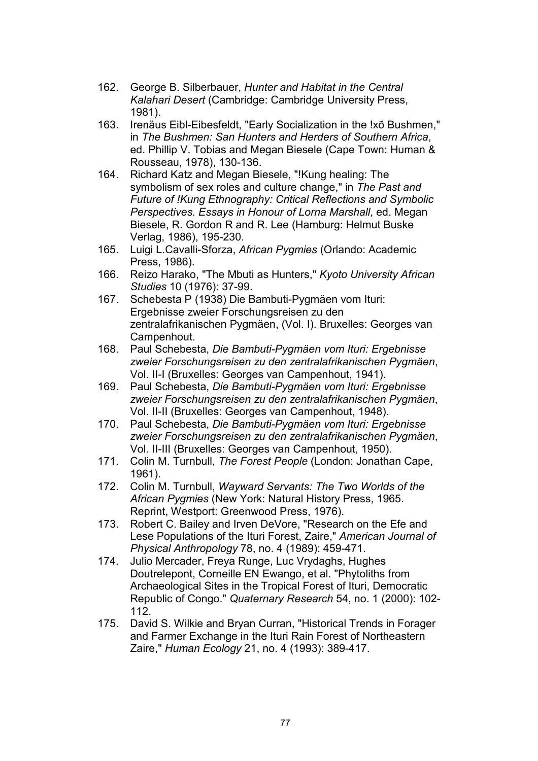- 162. George B. Silberbauer, *Hunter and Habitat in the Central Kalahari Desert* (Cambridge: Cambridge University Press, 1981).
- 163. Irenäus Eibl-Eibesfeldt, "Early Socialization in the !xo Bushmen," in *The Bushmen: San Hunters and Herders of Southern Africa*, ed. Phillip V. Tobias and Megan Biesele (Cape Town: Human & Rousseau, 1978), 130-136.
- 164. Richard Katz and Megan Biesele, "!Kung healing: The symbolism of sex roles and culture change," in *The Past and Future of !Kung Ethnography: Critical Reflections and Symbolic Perspectives. Essays in Honour of Lorna Marshall*, ed. Megan Biesele, R. Gordon R and R. Lee (Hamburg: Helmut Buske Verlag, 1986), 195-230.
- 165. Luigi L.Cavalli-Sforza, *African Pygmies* (Orlando: Academic Press, 1986).
- 166. Reizo Harako, "The Mbuti as Hunters," *Kyoto University African Studies* 10 (1976): 37-99.
- 167. Schebesta P (1938) Die Bambuti-Pygmäen vom Ituri: Ergebnisse zweier Forschungsreisen zu den zentralafrikanischen Pygmäen, (Vol. I). Bruxelles: Georges van Campenhout.
- 168. Paul Schebesta, *Die Bambuti-Pygm‰en vom Ituri: Ergebnisse*  zweier Forschungsreisen zu den zentralafrikanischen Pygmäen, Vol. II-I (Bruxelles: Georges van Campenhout, 1941).
- 169. Paul Schebesta, Die Bambuti-Pygmäen vom Ituri: Ergebnisse zweier Forschungsreisen zu den zentralafrikanischen Pygmäen, Vol. II-II (Bruxelles: Georges van Campenhout, 1948).
- 170. Paul Schebesta, *Die Bambuti-Pygm‰en vom Ituri: Ergebnisse zweier Forschungsreisen zu den zentralafrikanischen Pygm‰en*, Vol. II-III (Bruxelles: Georges van Campenhout, 1950).
- 171. Colin M. Turnbull, *The Forest People* (London: Jonathan Cape, 1961).
- 172. Colin M. Turnbull, *Wayward Servants: The Two Worlds of the African Pygmies* (New York: Natural History Press, 1965. Reprint, Westport: Greenwood Press, 1976).
- 173. Robert C. Bailey and Irven DeVore, "Research on the Efe and Lese Populations of the Ituri Forest, Zaire," *American Journal of Physical Anthropology* 78, no. 4 (1989): 459-471.
- 174. Julio Mercader, Freya Runge, Luc Vrydaghs, Hughes Doutrelepont, Corneille EN Ewango, et al. "Phytoliths from Archaeological Sites in the Tropical Forest of Ituri, Democratic Republic of Congo." *Quaternary Research* 54, no. 1 (2000): 102- 112.
- 175. David S. Wilkie and Bryan Curran, "Historical Trends in Forager and Farmer Exchange in the Ituri Rain Forest of Northeastern Zaire," *Human Ecology* 21, no. 4 (1993): 389-417.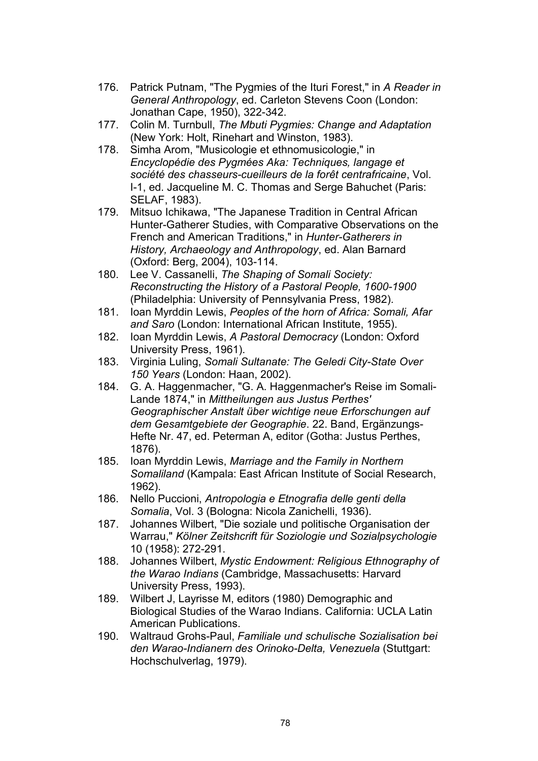- 176. Patrick Putnam, "The Pygmies of the Ituri Forest," in *A Reader in General Anthropology*, ed. Carleton Stevens Coon (London: Jonathan Cape, 1950), 322-342.
- 177. Colin M. Turnbull, *The Mbuti Pygmies: Change and Adaptation* (New York: Holt, Rinehart and Winston, 1983).
- 178. Simha Arom, "Musicologie et ethnomusicologie," in *EncyclopÈdie des PygmÈes Aka: Techniques, langage et*  société des chasseurs-cueilleurs de la forêt centrafricaine, Vol. I-1, ed. Jacqueline M. C. Thomas and Serge Bahuchet (Paris: SELAF, 1983).
- 179. Mitsuo Ichikawa, "The Japanese Tradition in Central African Hunter-Gatherer Studies, with Comparative Observations on the French and American Traditions," in *Hunter-Gatherers in History, Archaeology and Anthropology*, ed. Alan Barnard (Oxford: Berg, 2004), 103-114.
- 180. Lee V. Cassanelli, *The Shaping of Somali Society: Reconstructing the History of a Pastoral People, 1600-1900* (Philadelphia: University of Pennsylvania Press, 1982).
- 181. Ioan Myrddin Lewis, *Peoples of the horn of Africa: Somali, Afar and Saro* (London: International African Institute, 1955).
- 182. Ioan Myrddin Lewis, *A Pastoral Democracy* (London: Oxford University Press, 1961).
- 183. Virginia Luling, *Somali Sultanate: The Geledi City-State Over 150 Years* (London: Haan, 2002).
- 184. G. A. Haggenmacher, "G. A. Haggenmacher's Reise im Somali-Lande 1874," in *Mittheilungen aus Justus Perthes'*  Geographischer Anstalt über wichtige neue Erforschungen auf dem Gesamtgebiete der Geographie. 22. Band, Ergänzungs-Hefte Nr. 47, ed. Peterman A, editor (Gotha: Justus Perthes, 1876).
- 185. Ioan Myrddin Lewis, *Marriage and the Family in Northern Somaliland* (Kampala: East African Institute of Social Research, 1962).
- 186. Nello Puccioni, *Antropologia e Etnografia delle genti della Somalia*, Vol. 3 (Bologna: Nicola Zanichelli, 1936).
- 187. Johannes Wilbert, "Die soziale und politische Organisation der Warrau," Kölner Zeitshcrift für Soziologie und Sozialpsychologie 10 (1958): 272-291.
- 188. Johannes Wilbert, *Mystic Endowment: Religious Ethnography of the Warao Indians* (Cambridge, Massachusetts: Harvard University Press, 1993).
- 189. Wilbert J, Layrisse M, editors (1980) Demographic and Biological Studies of the Warao Indians. California: UCLA Latin American Publications.
- 190. Waltraud Grohs-Paul, *Familiale und schulische Sozialisation bei den Warao-Indianern des Orinoko-Delta, Venezuela* (Stuttgart: Hochschulverlag, 1979).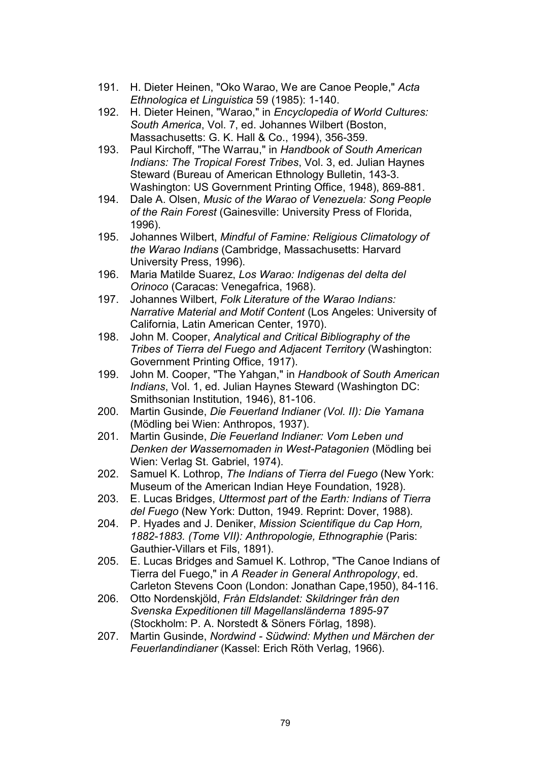- 191. H. Dieter Heinen, "Oko Warao, We are Canoe People," *Acta Ethnologica et Linguistica* 59 (1985): 1-140.
- 192. H. Dieter Heinen, "Warao," in *Encyclopedia of World Cultures: South America*, Vol. 7, ed. Johannes Wilbert (Boston, Massachusetts: G. K. Hall & Co., 1994), 356-359.
- 193. Paul Kirchoff, "The Warrau," in *Handbook of South American Indians: The Tropical Forest Tribes*, Vol. 3, ed. Julian Haynes Steward (Bureau of American Ethnology Bulletin, 143-3. Washington: US Government Printing Office, 1948), 869-881.
- 194. Dale A. Olsen, *Music of the Warao of Venezuela: Song People of the Rain Forest* (Gainesville: University Press of Florida, 1996).
- 195. Johannes Wilbert, *Mindful of Famine: Religious Climatology of the Warao Indians* (Cambridge, Massachusetts: Harvard University Press, 1996).
- 196. Maria Matilde Suarez, *Los Warao: Indigenas del delta del Orinoco* (Caracas: Venegafrica, 1968).
- 197. Johannes Wilbert, *Folk Literature of the Warao Indians: Narrative Material and Motif Content* (Los Angeles: University of California, Latin American Center, 1970).
- 198. John M. Cooper, *Analytical and Critical Bibliography of the Tribes of Tierra del Fuego and Adjacent Territory* (Washington: Government Printing Office, 1917).
- 199. John M. Cooper, "The Yahgan," in *Handbook of South American Indians*, Vol. 1, ed. Julian Haynes Steward (Washington DC: Smithsonian Institution, 1946), 81-106.
- 200. Martin Gusinde, *Die Feuerland Indianer (Vol. II): Die Yamana* (Mödling bei Wien: Anthropos, 1937).
- 201. Martin Gusinde, *Die Feuerland Indianer: Vom Leben und Denken der Wassernomaden in West-Patagonien* (Mˆdling bei Wien: Verlag St. Gabriel, 1974).
- 202. Samuel K. Lothrop, *The Indians of Tierra del Fuego* (New York: Museum of the American Indian Heye Foundation, 1928).
- 203. E. Lucas Bridges, *Uttermost part of the Earth: Indians of Tierra del Fuego* (New York: Dutton, 1949. Reprint: Dover, 1988).
- 204. P. Hyades and J. Deniker, *Mission Scientifique du Cap Horn, 1882-1883. (Tome VII): Anthropologie, Ethnographie* (Paris: Gauthier-Villars et Fils, 1891).
- 205. E. Lucas Bridges and Samuel K. Lothrop, "The Canoe Indians of Tierra del Fuego," in *A Reader in General Anthropology*, ed. Carleton Stevens Coon (London: Jonathan Cape,1950), 84-116.
- 206. Otto Nordenskjöld, *Från Eldslandet: Skildringer från den Svenska Expeditionen till Magellansl‰nderna 1895-97* (Stockholm: P. A. Norstedt & Söners Förlag, 1898).
- 207. Martin Gusinde, *Nordwind Südwind: Mythen und Märchen der Feuerlandindianer* (Kassel: Erich Röth Verlag, 1966).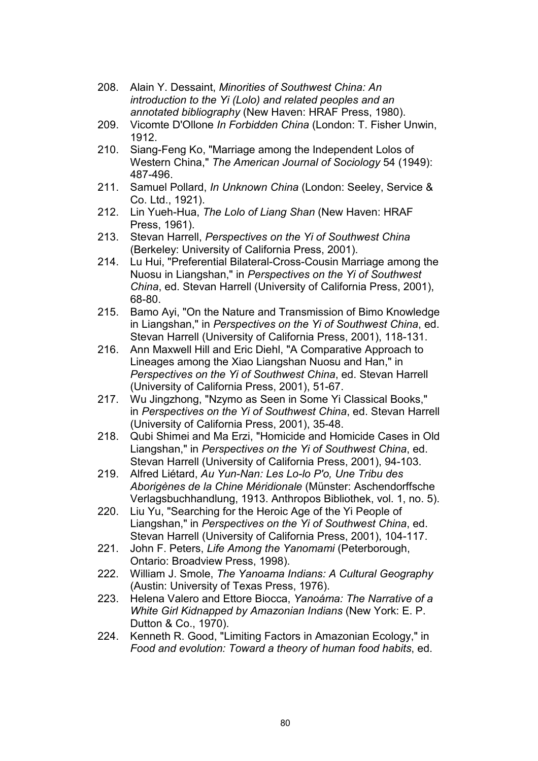- 208. Alain Y. Dessaint, *Minorities of Southwest China: An introduction to the Yi (Lolo) and related peoples and an annotated bibliography* (New Haven: HRAF Press, 1980).
- 209. Vicomte D'Ollone *In Forbidden China* (London: T. Fisher Unwin, 1912.
- 210. Siang-Feng Ko, "Marriage among the Independent Lolos of Western China," *The American Journal of Sociology* 54 (1949): 487-496.
- 211. Samuel Pollard, *In Unknown China* (London: Seeley, Service & Co. Ltd., 1921).
- 212. Lin Yueh-Hua, *The Lolo of Liang Shan* (New Haven: HRAF Press, 1961).
- 213. Stevan Harrell, *Perspectives on the Yi of Southwest China* (Berkeley: University of California Press, 2001).
- 214. Lu Hui, "Preferential Bilateral-Cross-Cousin Marriage among the Nuosu in Liangshan," in *Perspectives on the Yi of Southwest China*, ed. Stevan Harrell (University of California Press, 2001), 68-80.
- 215. Bamo Ayi, "On the Nature and Transmission of Bimo Knowledge in Liangshan," in *Perspectives on the Yi of Southwest China*, ed. Stevan Harrell (University of California Press, 2001), 118-131.
- 216. Ann Maxwell Hill and Eric Diehl, "A Comparative Approach to Lineages among the Xiao Liangshan Nuosu and Han," in *Perspectives on the Yi of Southwest China*, ed. Stevan Harrell (University of California Press, 2001), 51-67.
- 217. Wu Jingzhong, "Nzymo as Seen in Some Yi Classical Books," in *Perspectives on the Yi of Southwest China*, ed. Stevan Harrell (University of California Press, 2001), 35-48.
- 218. Qubi Shimei and Ma Erzi, "Homicide and Homicide Cases in Old Liangshan," in *Perspectives on the Yi of Southwest China*, ed. Stevan Harrell (University of California Press, 2001), 94-103.
- 219. Alfred LiÈtard, *Au Yun-Nan: Les Lo-lo P'o, Une Tribu des Aborigènes de la Chine Méridionale* (Münster: Aschendorffsche Verlagsbuchhandlung, 1913. Anthropos Bibliothek, vol. 1, no. 5).
- 220. Liu Yu, "Searching for the Heroic Age of the Yi People of Liangshan," in *Perspectives on the Yi of Southwest China*, ed. Stevan Harrell (University of California Press, 2001), 104-117.
- 221. John F. Peters, *Life Among the Yanomami* (Peterborough, Ontario: Broadview Press, 1998).
- 222. William J. Smole, *The Yanoama Indians: A Cultural Geography* (Austin: University of Texas Press, 1976).
- 223. Helena Valero and Ettore Biocca, Yanoáma: The Narrative of a *White Girl Kidnapped by Amazonian Indians* (New York: E. P. Dutton & Co., 1970).
- 224. Kenneth R. Good, "Limiting Factors in Amazonian Ecology," in *Food and evolution: Toward a theory of human food habits*, ed.